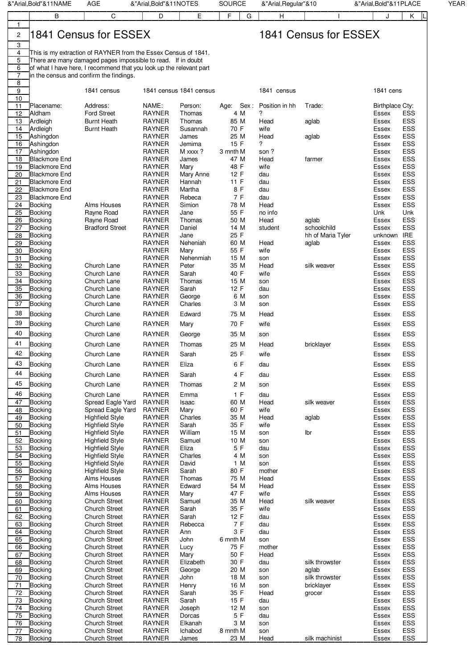| E<br>F<br>В<br>С<br>D<br>G<br>H<br>Κ<br>J<br>$\mathbf{1}$<br>l1841 Census for ESSEX<br>1841 Census for ESSEX<br>2<br>3<br>This is my extraction of RAYNER from the Essex Census of 1841.<br>4<br>5<br>There are many damaged pages impossible to read. If in doubt<br>6<br>of what I have here, I recommend that you look up the relevant part<br>$\overline{7}$<br>in the census and confirm the findings.<br>8<br>9<br>1841 cens<br>1841 census<br>1841 census 1841 census<br>1841 census<br>10<br>NAME:<br>11<br>Age: Sex: Position in hh<br>Placename:<br>Address:<br>Person:<br>Trade:<br>Birthplace Cty:<br>12<br>Aldham<br><b>Ford Street</b><br><b>RAYNER</b><br>4 M<br>?<br><b>ESS</b><br>Thomas<br>Essex<br><b>ESS</b><br>13<br>Ardleigh<br><b>Burnt Heath</b><br><b>RAYNER</b><br>85 M<br>Head<br>Thomas<br>aglab<br>Essex<br><b>RAYNER</b><br>70 F<br>wife<br>ESS<br>14<br>Ardleigh<br><b>Burnt Heath</b><br>Susannah<br>Essex<br><b>RAYNER</b><br><b>ESS</b><br>15<br>Ashingdon<br>James<br>25 M<br>Head<br>Essex<br>aglab<br>16<br><b>RAYNER</b><br>15 F<br>?<br>ESS<br>Ashingdon<br>Jemima<br>Essex<br>17<br><b>RAYNER</b><br><b>ESS</b><br>Ashingdon<br>M xxxx ?<br>3 mnth M<br>son?<br>Essex<br><b>RAYNER</b><br><b>ESS</b><br>18<br><b>Blackmore End</b><br>47 M<br>Head<br>Essex<br>James<br>farmer<br><b>RAYNER</b><br>48 F<br>wife<br><b>ESS</b><br>19<br><b>Blackmore End</b><br>Mary<br>Essex<br><b>Blackmore End</b><br><b>RAYNER</b><br><b>ESS</b><br>20<br>Mary Anne<br>12 F<br>Essex<br>dau<br>ESS<br>21<br><b>Blackmore End</b><br><b>RAYNER</b><br>11 F<br>Hannah<br>dau<br>Essex<br><b>RAYNER</b><br>8 F<br><b>ESS</b><br>22<br><b>Blackmore End</b><br>Martha<br>dau<br>Essex<br><b>RAYNER</b><br>7 F<br><b>ESS</b><br>23<br><b>Blackmore End</b><br>Rebeca<br>dau<br>Essex<br><b>RAYNER</b><br>Simion<br><b>ESS</b><br>24<br><b>Bocking</b><br>Alms Houses<br>78 M<br>Head<br>Essex<br><b>RAYNER</b><br>55 F<br>25<br>Rayne Road<br>no info<br>Unk<br>Unk<br><b>Bocking</b><br>Jane<br><b>ESS</b><br>26<br><b>Bocking</b><br><b>RAYNER</b><br>Thomas<br>50 M<br>Head<br>Rayne Road<br>Essex<br>aglab<br><b>ESS</b><br>27<br><b>Bradford Street</b><br><b>RAYNER</b><br>Daniel<br>14 M<br>schoolchild<br><b>Bocking</b><br>student<br>Essex<br><b>RAYNER</b><br>25 F<br>unknown IRE<br>28<br><b>Bocking</b><br>Jane<br>hh of Maria Tyler<br><b>RAYNER</b><br><b>ESS</b><br>29<br><b>Bocking</b><br>Neheniah<br>60 M<br>Head<br>aglab<br>Essex<br><b>RAYNER</b><br>55 F<br><b>ESS</b><br>wife<br>Essex<br>30<br>Bocking<br>Mary<br>31<br><b>RAYNER</b><br>ESS<br>15 M<br><b>Bocking</b><br>Nehenmiah<br>son<br>Essex<br><b>ESS</b><br>32<br>Church Lane<br><b>RAYNER</b><br>Peter<br>35 M<br>Head<br>Bocking<br>silk weaver<br>Essex<br>40 F<br><b>ESS</b><br>33<br><b>Bocking</b><br>Church Lane<br><b>RAYNER</b><br>Sarah<br>wife<br>Essex<br><b>RAYNER</b><br><b>ESS</b><br>34<br><b>Bocking</b><br>Church Lane<br>Thomas<br>15 M<br>son<br>Essex<br><b>RAYNER</b><br><b>ESS</b><br>35<br>Church Lane<br>Sarah<br>12 F<br>Essex<br>Bocking<br>dau<br>ESS<br>36<br>Church Lane<br><b>RAYNER</b><br>6 M<br><b>Bocking</b><br>George<br>Essex<br>son<br><b>ESS</b><br>37<br><b>RAYNER</b><br>Charles<br>3 M<br><b>Bocking</b><br>Church Lane<br>Essex<br>son<br>38<br><b>RAYNER</b><br><b>ESS</b><br><b>Bocking</b><br>Church Lane<br>Edward<br>75 M<br>Head<br>Essex<br>39<br>70 F<br><b>ESS</b><br><b>Bocking</b><br>Church Lane<br><b>RAYNER</b><br>wife<br>Mary<br>Essex<br>40<br>ESS<br><b>Bocking</b><br>Church Lane<br><b>RAYNER</b><br>35 M<br>George<br>Essex<br>son<br>41<br><b>ESS</b><br><b>RAYNER</b><br><b>Bocking</b><br>25 M<br>Church Lane<br>Thomas<br>Head<br>bricklayer<br>Essex<br>42<br><b>Bocking</b><br>Church Lane<br>RAYNER<br>Sarah<br>25 F<br>wife<br>Essex<br>ESS<br>43<br><b>RAYNER</b><br>6 F<br><b>ESS</b><br><b>Bocking</b><br>Church Lane<br>Eliza<br>Essex<br>dau<br>44<br>4 F<br>ESS<br><b>Bocking</b><br>Church Lane<br><b>RAYNER</b><br>Sarah<br>dau<br>Essex<br>45<br>ESS<br><b>RAYNER</b><br>2 M<br><b>Bocking</b><br>Church Lane<br>Thomas<br>son<br>Essex<br>46<br><b>ESS</b><br><b>Bocking</b><br><b>RAYNER</b><br>1 F<br>dau<br>Church Lane<br>Emma<br>Essex<br>47<br><b>RAYNER</b><br>60 M<br>ESS<br><b>Bocking</b><br>Spread Eagle Yard<br>Isaac<br>Head<br>silk weaver<br>Essex<br>60 F<br>wife<br>ESS<br>48<br><b>Bocking</b><br>Spread Eagle Yard<br><b>RAYNER</b><br>Mary<br>Essex<br>ESS<br>49<br><b>RAYNER</b><br>35 M<br><b>Bocking</b><br><b>Highfield Style</b><br>Charles<br>Head<br>Essex<br>aglab<br>35 F<br>ESS<br>50<br><b>Bocking</b><br><b>Highfield Style</b><br><b>RAYNER</b><br>Sarah<br>wife<br>Essex<br><b>RAYNER</b><br>ESS<br>51<br><b>Bocking</b><br><b>Highfield Style</b><br>William<br>15 M<br>Ibr<br>Essex<br>son<br><b>Highfield Style</b><br><b>RAYNER</b><br>ESS<br>52<br><b>Bocking</b><br>Samuel<br>10 M<br>Essex<br>son<br>5 F<br>ESS<br>53<br><b>Bocking</b><br><b>Highfield Style</b><br><b>RAYNER</b><br>Eliza<br>dau<br>Essex<br>ESS<br>54<br><b>RAYNER</b><br>4 M<br><b>Bocking</b><br><b>Highfield Style</b><br>Charles<br>Essex<br>son<br>55<br>1 M<br>ESS<br><b>Bocking</b><br><b>RAYNER</b><br>David<br><b>Highfield Style</b><br>son<br>Essex<br><b>RAYNER</b><br>80 F<br>ESS<br>56<br><b>Bocking</b><br><b>Highfield Style</b><br>Sarah<br>mother<br>Essex<br><b>RAYNER</b><br>ESS<br><b>Bocking</b><br>Alms Houses<br>Thomas<br>75 M<br>Head<br>Essex<br>57<br>Edward<br>54 M<br>ESS<br>58<br><b>Bocking</b><br>Alms Houses<br><b>RAYNER</b><br>Head<br>Essex<br>59<br><b>RAYNER</b><br>47 F<br>wife<br>ESS<br><b>Bocking</b><br>Alms Houses<br>Essex<br>Mary<br>ESS<br><b>Bocking</b><br><b>RAYNER</b><br>Samuel<br>35 M<br>Head<br>silk weaver<br>60<br><b>Church Street</b><br>Essex<br><b>RAYNER</b><br>35 F<br>wife<br>ESS<br>61<br><b>Bocking</b><br><b>Church Street</b><br>Sarah<br>Essex<br><b>RAYNER</b><br>12 F<br><b>ESS</b><br>62<br><b>Bocking</b><br><b>Church Street</b><br>Sarah<br>dau<br>Essex<br>7 F<br>ESS<br>63<br><b>Bocking</b><br><b>Church Street</b><br><b>RAYNER</b><br>Rebecca<br>dau<br>Essex<br>3 F<br>ESS<br><b>RAYNER</b><br>64<br><b>Bocking</b><br><b>Church Street</b><br>dau<br>Essex<br>Ann<br>ESS<br>65<br><b>Bocking</b><br><b>RAYNER</b><br>6 mnth M<br><b>Church Street</b><br>John<br>son<br>Essex<br><b>RAYNER</b><br>ESS<br>66<br><b>Bocking</b><br><b>Church Street</b><br>75 F<br>mother<br>Essex<br>Lucy<br><b>RAYNER</b><br>50 F<br><b>ESS</b><br>67<br><b>Bocking</b><br><b>Church Street</b><br>Mary<br>Head<br>Essex<br>30 F<br>ESS<br><b>Bocking</b><br><b>Church Street</b><br><b>RAYNER</b><br>Elizabeth<br>dau<br>silk throwster<br>Essex<br>68<br>ESS<br><b>RAYNER</b><br>69<br><b>Bocking</b><br><b>Church Street</b><br>20 M<br>Essex<br>George<br>son<br>aglab<br>ESS<br>70<br><b>Bocking</b><br><b>RAYNER</b><br>18 M<br><b>Church Street</b><br>John<br>silk throwster<br>Essex<br>son<br><b>RAYNER</b><br>ESS<br>71<br><b>Bocking</b><br><b>Church Street</b><br>Henry<br>16 M<br>bricklayer<br>Essex<br>son<br><b>RAYNER</b><br>35 F<br><b>ESS</b><br>72<br><b>Bocking</b><br><b>Church Street</b><br>Sarah<br>Head<br>Essex<br>grocer<br>15 F<br>ESS<br>73<br><b>Bocking</b><br><b>Church Street</b><br><b>RAYNER</b><br>Sarah<br>dau<br>Essex<br><b>RAYNER</b><br>ESS<br>74<br><b>Bocking</b><br><b>Church Street</b><br>12 M<br>Essex<br>Joseph<br>son<br>5 F<br>ESS<br>75<br><b>RAYNER</b><br><b>Bocking</b><br><b>Church Street</b><br>Dorcas<br>dau<br>Essex<br><b>RAYNER</b><br>3 M<br>ESS<br>76<br><b>Bocking</b><br><b>Church Street</b><br>Elkanah<br>Essex<br>son<br><b>Church Street</b><br><b>RAYNER</b><br>ESS<br>77<br><b>Bocking</b><br>Ichabod<br>8 mnth M<br>Essex<br>son<br>ESS<br><b>Bocking</b><br><b>Church Street</b><br><b>RAYNER</b><br>23 M<br>Head<br>silk machinist<br>78<br>James<br>Essex | &"Arial, Bold"&11NAME | AGE | &"Arial, Bold"&11NOTES | SOURCE | &"Arial, Regular"&10 | &"Arial,Bold"&11PLACE | <b>YEAR</b> |
|-------------------------------------------------------------------------------------------------------------------------------------------------------------------------------------------------------------------------------------------------------------------------------------------------------------------------------------------------------------------------------------------------------------------------------------------------------------------------------------------------------------------------------------------------------------------------------------------------------------------------------------------------------------------------------------------------------------------------------------------------------------------------------------------------------------------------------------------------------------------------------------------------------------------------------------------------------------------------------------------------------------------------------------------------------------------------------------------------------------------------------------------------------------------------------------------------------------------------------------------------------------------------------------------------------------------------------------------------------------------------------------------------------------------------------------------------------------------------------------------------------------------------------------------------------------------------------------------------------------------------------------------------------------------------------------------------------------------------------------------------------------------------------------------------------------------------------------------------------------------------------------------------------------------------------------------------------------------------------------------------------------------------------------------------------------------------------------------------------------------------------------------------------------------------------------------------------------------------------------------------------------------------------------------------------------------------------------------------------------------------------------------------------------------------------------------------------------------------------------------------------------------------------------------------------------------------------------------------------------------------------------------------------------------------------------------------------------------------------------------------------------------------------------------------------------------------------------------------------------------------------------------------------------------------------------------------------------------------------------------------------------------------------------------------------------------------------------------------------------------------------------------------------------------------------------------------------------------------------------------------------------------------------------------------------------------------------------------------------------------------------------------------------------------------------------------------------------------------------------------------------------------------------------------------------------------------------------------------------------------------------------------------------------------------------------------------------------------------------------------------------------------------------------------------------------------------------------------------------------------------------------------------------------------------------------------------------------------------------------------------------------------------------------------------------------------------------------------------------------------------------------------------------------------------------------------------------------------------------------------------------------------------------------------------------------------------------------------------------------------------------------------------------------------------------------------------------------------------------------------------------------------------------------------------------------------------------------------------------------------------------------------------------------------------------------------------------------------------------------------------------------------------------------------------------------------------------------------------------------------------------------------------------------------------------------------------------------------------------------------------------------------------------------------------------------------------------------------------------------------------------------------------------------------------------------------------------------------------------------------------------------------------------------------------------------------------------------------------------------------------------------------------------------------------------------------------------------------------------------------------------------------------------------------------------------------------------------------------------------------------------------------------------------------------------------------------------------------------------------------------------------------------------------------------------------------------------------------------------------------------------------------------------------------------------------------------------------------------------------------------------------------------------------------------------------------------------------------------------------------------------------------------------------------------------------------------------------------------------------------------------------------------------------------------------------------------------------------------------------------------------------------------------------------------------------------------------------------------------------------------------------------------------------------------------------------------------------------------------------------------------------------------------------------------------------------------------------------------------------------------------------------------------------------------------------------------------------------------------------------------------------------------------------------------------------------------------------------------------------------------------------------------------------------------------------------------------------------------------------------------------------------------------------------------------------------------------------------------------------------------------------------------------------------------------------------------------------------------------------------------------------------------------------------------------------------------------------------------------------------------------------------------------------------------------------------------------------------------------------------------------------------------------------------------------------------------------------------------------------------------------------------------------------------------------------------------------------------------------------------------------------------------------------------|-----------------------|-----|------------------------|--------|----------------------|-----------------------|-------------|
|                                                                                                                                                                                                                                                                                                                                                                                                                                                                                                                                                                                                                                                                                                                                                                                                                                                                                                                                                                                                                                                                                                                                                                                                                                                                                                                                                                                                                                                                                                                                                                                                                                                                                                                                                                                                                                                                                                                                                                                                                                                                                                                                                                                                                                                                                                                                                                                                                                                                                                                                                                                                                                                                                                                                                                                                                                                                                                                                                                                                                                                                                                                                                                                                                                                                                                                                                                                                                                                                                                                                                                                                                                                                                                                                                                                                                                                                                                                                                                                                                                                                                                                                                                                                                                                                                                                                                                                                                                                                                                                                                                                                                                                                                                                                                                                                                                                                                                                                                                                                                                                                                                                                                                                                                                                                                                                                                                                                                                                                                                                                                                                                                                                                                                                                                                                                                                                                                                                                                                                                                                                                                                                                                                                                                                                                                                                                                                                                                                                                                                                                                                                                                                                                                                                                                                                                                                                                                                                                                                                                                                                                                                                                                                                                                                                                                                                                                                                                                                                                                                                                                                                                                                                                                                                                                                                                                                                                                                                   |                       |     |                        |        |                      |                       |             |
|                                                                                                                                                                                                                                                                                                                                                                                                                                                                                                                                                                                                                                                                                                                                                                                                                                                                                                                                                                                                                                                                                                                                                                                                                                                                                                                                                                                                                                                                                                                                                                                                                                                                                                                                                                                                                                                                                                                                                                                                                                                                                                                                                                                                                                                                                                                                                                                                                                                                                                                                                                                                                                                                                                                                                                                                                                                                                                                                                                                                                                                                                                                                                                                                                                                                                                                                                                                                                                                                                                                                                                                                                                                                                                                                                                                                                                                                                                                                                                                                                                                                                                                                                                                                                                                                                                                                                                                                                                                                                                                                                                                                                                                                                                                                                                                                                                                                                                                                                                                                                                                                                                                                                                                                                                                                                                                                                                                                                                                                                                                                                                                                                                                                                                                                                                                                                                                                                                                                                                                                                                                                                                                                                                                                                                                                                                                                                                                                                                                                                                                                                                                                                                                                                                                                                                                                                                                                                                                                                                                                                                                                                                                                                                                                                                                                                                                                                                                                                                                                                                                                                                                                                                                                                                                                                                                                                                                                                                                   |                       |     |                        |        |                      |                       |             |
|                                                                                                                                                                                                                                                                                                                                                                                                                                                                                                                                                                                                                                                                                                                                                                                                                                                                                                                                                                                                                                                                                                                                                                                                                                                                                                                                                                                                                                                                                                                                                                                                                                                                                                                                                                                                                                                                                                                                                                                                                                                                                                                                                                                                                                                                                                                                                                                                                                                                                                                                                                                                                                                                                                                                                                                                                                                                                                                                                                                                                                                                                                                                                                                                                                                                                                                                                                                                                                                                                                                                                                                                                                                                                                                                                                                                                                                                                                                                                                                                                                                                                                                                                                                                                                                                                                                                                                                                                                                                                                                                                                                                                                                                                                                                                                                                                                                                                                                                                                                                                                                                                                                                                                                                                                                                                                                                                                                                                                                                                                                                                                                                                                                                                                                                                                                                                                                                                                                                                                                                                                                                                                                                                                                                                                                                                                                                                                                                                                                                                                                                                                                                                                                                                                                                                                                                                                                                                                                                                                                                                                                                                                                                                                                                                                                                                                                                                                                                                                                                                                                                                                                                                                                                                                                                                                                                                                                                                                                   |                       |     |                        |        |                      |                       |             |
|                                                                                                                                                                                                                                                                                                                                                                                                                                                                                                                                                                                                                                                                                                                                                                                                                                                                                                                                                                                                                                                                                                                                                                                                                                                                                                                                                                                                                                                                                                                                                                                                                                                                                                                                                                                                                                                                                                                                                                                                                                                                                                                                                                                                                                                                                                                                                                                                                                                                                                                                                                                                                                                                                                                                                                                                                                                                                                                                                                                                                                                                                                                                                                                                                                                                                                                                                                                                                                                                                                                                                                                                                                                                                                                                                                                                                                                                                                                                                                                                                                                                                                                                                                                                                                                                                                                                                                                                                                                                                                                                                                                                                                                                                                                                                                                                                                                                                                                                                                                                                                                                                                                                                                                                                                                                                                                                                                                                                                                                                                                                                                                                                                                                                                                                                                                                                                                                                                                                                                                                                                                                                                                                                                                                                                                                                                                                                                                                                                                                                                                                                                                                                                                                                                                                                                                                                                                                                                                                                                                                                                                                                                                                                                                                                                                                                                                                                                                                                                                                                                                                                                                                                                                                                                                                                                                                                                                                                                                   |                       |     |                        |        |                      |                       |             |
|                                                                                                                                                                                                                                                                                                                                                                                                                                                                                                                                                                                                                                                                                                                                                                                                                                                                                                                                                                                                                                                                                                                                                                                                                                                                                                                                                                                                                                                                                                                                                                                                                                                                                                                                                                                                                                                                                                                                                                                                                                                                                                                                                                                                                                                                                                                                                                                                                                                                                                                                                                                                                                                                                                                                                                                                                                                                                                                                                                                                                                                                                                                                                                                                                                                                                                                                                                                                                                                                                                                                                                                                                                                                                                                                                                                                                                                                                                                                                                                                                                                                                                                                                                                                                                                                                                                                                                                                                                                                                                                                                                                                                                                                                                                                                                                                                                                                                                                                                                                                                                                                                                                                                                                                                                                                                                                                                                                                                                                                                                                                                                                                                                                                                                                                                                                                                                                                                                                                                                                                                                                                                                                                                                                                                                                                                                                                                                                                                                                                                                                                                                                                                                                                                                                                                                                                                                                                                                                                                                                                                                                                                                                                                                                                                                                                                                                                                                                                                                                                                                                                                                                                                                                                                                                                                                                                                                                                                                                   |                       |     |                        |        |                      |                       |             |
|                                                                                                                                                                                                                                                                                                                                                                                                                                                                                                                                                                                                                                                                                                                                                                                                                                                                                                                                                                                                                                                                                                                                                                                                                                                                                                                                                                                                                                                                                                                                                                                                                                                                                                                                                                                                                                                                                                                                                                                                                                                                                                                                                                                                                                                                                                                                                                                                                                                                                                                                                                                                                                                                                                                                                                                                                                                                                                                                                                                                                                                                                                                                                                                                                                                                                                                                                                                                                                                                                                                                                                                                                                                                                                                                                                                                                                                                                                                                                                                                                                                                                                                                                                                                                                                                                                                                                                                                                                                                                                                                                                                                                                                                                                                                                                                                                                                                                                                                                                                                                                                                                                                                                                                                                                                                                                                                                                                                                                                                                                                                                                                                                                                                                                                                                                                                                                                                                                                                                                                                                                                                                                                                                                                                                                                                                                                                                                                                                                                                                                                                                                                                                                                                                                                                                                                                                                                                                                                                                                                                                                                                                                                                                                                                                                                                                                                                                                                                                                                                                                                                                                                                                                                                                                                                                                                                                                                                                                                   |                       |     |                        |        |                      |                       |             |
|                                                                                                                                                                                                                                                                                                                                                                                                                                                                                                                                                                                                                                                                                                                                                                                                                                                                                                                                                                                                                                                                                                                                                                                                                                                                                                                                                                                                                                                                                                                                                                                                                                                                                                                                                                                                                                                                                                                                                                                                                                                                                                                                                                                                                                                                                                                                                                                                                                                                                                                                                                                                                                                                                                                                                                                                                                                                                                                                                                                                                                                                                                                                                                                                                                                                                                                                                                                                                                                                                                                                                                                                                                                                                                                                                                                                                                                                                                                                                                                                                                                                                                                                                                                                                                                                                                                                                                                                                                                                                                                                                                                                                                                                                                                                                                                                                                                                                                                                                                                                                                                                                                                                                                                                                                                                                                                                                                                                                                                                                                                                                                                                                                                                                                                                                                                                                                                                                                                                                                                                                                                                                                                                                                                                                                                                                                                                                                                                                                                                                                                                                                                                                                                                                                                                                                                                                                                                                                                                                                                                                                                                                                                                                                                                                                                                                                                                                                                                                                                                                                                                                                                                                                                                                                                                                                                                                                                                                                                   |                       |     |                        |        |                      |                       |             |
|                                                                                                                                                                                                                                                                                                                                                                                                                                                                                                                                                                                                                                                                                                                                                                                                                                                                                                                                                                                                                                                                                                                                                                                                                                                                                                                                                                                                                                                                                                                                                                                                                                                                                                                                                                                                                                                                                                                                                                                                                                                                                                                                                                                                                                                                                                                                                                                                                                                                                                                                                                                                                                                                                                                                                                                                                                                                                                                                                                                                                                                                                                                                                                                                                                                                                                                                                                                                                                                                                                                                                                                                                                                                                                                                                                                                                                                                                                                                                                                                                                                                                                                                                                                                                                                                                                                                                                                                                                                                                                                                                                                                                                                                                                                                                                                                                                                                                                                                                                                                                                                                                                                                                                                                                                                                                                                                                                                                                                                                                                                                                                                                                                                                                                                                                                                                                                                                                                                                                                                                                                                                                                                                                                                                                                                                                                                                                                                                                                                                                                                                                                                                                                                                                                                                                                                                                                                                                                                                                                                                                                                                                                                                                                                                                                                                                                                                                                                                                                                                                                                                                                                                                                                                                                                                                                                                                                                                                                                   |                       |     |                        |        |                      |                       |             |
|                                                                                                                                                                                                                                                                                                                                                                                                                                                                                                                                                                                                                                                                                                                                                                                                                                                                                                                                                                                                                                                                                                                                                                                                                                                                                                                                                                                                                                                                                                                                                                                                                                                                                                                                                                                                                                                                                                                                                                                                                                                                                                                                                                                                                                                                                                                                                                                                                                                                                                                                                                                                                                                                                                                                                                                                                                                                                                                                                                                                                                                                                                                                                                                                                                                                                                                                                                                                                                                                                                                                                                                                                                                                                                                                                                                                                                                                                                                                                                                                                                                                                                                                                                                                                                                                                                                                                                                                                                                                                                                                                                                                                                                                                                                                                                                                                                                                                                                                                                                                                                                                                                                                                                                                                                                                                                                                                                                                                                                                                                                                                                                                                                                                                                                                                                                                                                                                                                                                                                                                                                                                                                                                                                                                                                                                                                                                                                                                                                                                                                                                                                                                                                                                                                                                                                                                                                                                                                                                                                                                                                                                                                                                                                                                                                                                                                                                                                                                                                                                                                                                                                                                                                                                                                                                                                                                                                                                                                                   |                       |     |                        |        |                      |                       |             |
|                                                                                                                                                                                                                                                                                                                                                                                                                                                                                                                                                                                                                                                                                                                                                                                                                                                                                                                                                                                                                                                                                                                                                                                                                                                                                                                                                                                                                                                                                                                                                                                                                                                                                                                                                                                                                                                                                                                                                                                                                                                                                                                                                                                                                                                                                                                                                                                                                                                                                                                                                                                                                                                                                                                                                                                                                                                                                                                                                                                                                                                                                                                                                                                                                                                                                                                                                                                                                                                                                                                                                                                                                                                                                                                                                                                                                                                                                                                                                                                                                                                                                                                                                                                                                                                                                                                                                                                                                                                                                                                                                                                                                                                                                                                                                                                                                                                                                                                                                                                                                                                                                                                                                                                                                                                                                                                                                                                                                                                                                                                                                                                                                                                                                                                                                                                                                                                                                                                                                                                                                                                                                                                                                                                                                                                                                                                                                                                                                                                                                                                                                                                                                                                                                                                                                                                                                                                                                                                                                                                                                                                                                                                                                                                                                                                                                                                                                                                                                                                                                                                                                                                                                                                                                                                                                                                                                                                                                                                   |                       |     |                        |        |                      |                       |             |
|                                                                                                                                                                                                                                                                                                                                                                                                                                                                                                                                                                                                                                                                                                                                                                                                                                                                                                                                                                                                                                                                                                                                                                                                                                                                                                                                                                                                                                                                                                                                                                                                                                                                                                                                                                                                                                                                                                                                                                                                                                                                                                                                                                                                                                                                                                                                                                                                                                                                                                                                                                                                                                                                                                                                                                                                                                                                                                                                                                                                                                                                                                                                                                                                                                                                                                                                                                                                                                                                                                                                                                                                                                                                                                                                                                                                                                                                                                                                                                                                                                                                                                                                                                                                                                                                                                                                                                                                                                                                                                                                                                                                                                                                                                                                                                                                                                                                                                                                                                                                                                                                                                                                                                                                                                                                                                                                                                                                                                                                                                                                                                                                                                                                                                                                                                                                                                                                                                                                                                                                                                                                                                                                                                                                                                                                                                                                                                                                                                                                                                                                                                                                                                                                                                                                                                                                                                                                                                                                                                                                                                                                                                                                                                                                                                                                                                                                                                                                                                                                                                                                                                                                                                                                                                                                                                                                                                                                                                                   |                       |     |                        |        |                      |                       |             |
|                                                                                                                                                                                                                                                                                                                                                                                                                                                                                                                                                                                                                                                                                                                                                                                                                                                                                                                                                                                                                                                                                                                                                                                                                                                                                                                                                                                                                                                                                                                                                                                                                                                                                                                                                                                                                                                                                                                                                                                                                                                                                                                                                                                                                                                                                                                                                                                                                                                                                                                                                                                                                                                                                                                                                                                                                                                                                                                                                                                                                                                                                                                                                                                                                                                                                                                                                                                                                                                                                                                                                                                                                                                                                                                                                                                                                                                                                                                                                                                                                                                                                                                                                                                                                                                                                                                                                                                                                                                                                                                                                                                                                                                                                                                                                                                                                                                                                                                                                                                                                                                                                                                                                                                                                                                                                                                                                                                                                                                                                                                                                                                                                                                                                                                                                                                                                                                                                                                                                                                                                                                                                                                                                                                                                                                                                                                                                                                                                                                                                                                                                                                                                                                                                                                                                                                                                                                                                                                                                                                                                                                                                                                                                                                                                                                                                                                                                                                                                                                                                                                                                                                                                                                                                                                                                                                                                                                                                                                   |                       |     |                        |        |                      |                       |             |
|                                                                                                                                                                                                                                                                                                                                                                                                                                                                                                                                                                                                                                                                                                                                                                                                                                                                                                                                                                                                                                                                                                                                                                                                                                                                                                                                                                                                                                                                                                                                                                                                                                                                                                                                                                                                                                                                                                                                                                                                                                                                                                                                                                                                                                                                                                                                                                                                                                                                                                                                                                                                                                                                                                                                                                                                                                                                                                                                                                                                                                                                                                                                                                                                                                                                                                                                                                                                                                                                                                                                                                                                                                                                                                                                                                                                                                                                                                                                                                                                                                                                                                                                                                                                                                                                                                                                                                                                                                                                                                                                                                                                                                                                                                                                                                                                                                                                                                                                                                                                                                                                                                                                                                                                                                                                                                                                                                                                                                                                                                                                                                                                                                                                                                                                                                                                                                                                                                                                                                                                                                                                                                                                                                                                                                                                                                                                                                                                                                                                                                                                                                                                                                                                                                                                                                                                                                                                                                                                                                                                                                                                                                                                                                                                                                                                                                                                                                                                                                                                                                                                                                                                                                                                                                                                                                                                                                                                                                                   |                       |     |                        |        |                      |                       |             |
|                                                                                                                                                                                                                                                                                                                                                                                                                                                                                                                                                                                                                                                                                                                                                                                                                                                                                                                                                                                                                                                                                                                                                                                                                                                                                                                                                                                                                                                                                                                                                                                                                                                                                                                                                                                                                                                                                                                                                                                                                                                                                                                                                                                                                                                                                                                                                                                                                                                                                                                                                                                                                                                                                                                                                                                                                                                                                                                                                                                                                                                                                                                                                                                                                                                                                                                                                                                                                                                                                                                                                                                                                                                                                                                                                                                                                                                                                                                                                                                                                                                                                                                                                                                                                                                                                                                                                                                                                                                                                                                                                                                                                                                                                                                                                                                                                                                                                                                                                                                                                                                                                                                                                                                                                                                                                                                                                                                                                                                                                                                                                                                                                                                                                                                                                                                                                                                                                                                                                                                                                                                                                                                                                                                                                                                                                                                                                                                                                                                                                                                                                                                                                                                                                                                                                                                                                                                                                                                                                                                                                                                                                                                                                                                                                                                                                                                                                                                                                                                                                                                                                                                                                                                                                                                                                                                                                                                                                                                   |                       |     |                        |        |                      |                       |             |
|                                                                                                                                                                                                                                                                                                                                                                                                                                                                                                                                                                                                                                                                                                                                                                                                                                                                                                                                                                                                                                                                                                                                                                                                                                                                                                                                                                                                                                                                                                                                                                                                                                                                                                                                                                                                                                                                                                                                                                                                                                                                                                                                                                                                                                                                                                                                                                                                                                                                                                                                                                                                                                                                                                                                                                                                                                                                                                                                                                                                                                                                                                                                                                                                                                                                                                                                                                                                                                                                                                                                                                                                                                                                                                                                                                                                                                                                                                                                                                                                                                                                                                                                                                                                                                                                                                                                                                                                                                                                                                                                                                                                                                                                                                                                                                                                                                                                                                                                                                                                                                                                                                                                                                                                                                                                                                                                                                                                                                                                                                                                                                                                                                                                                                                                                                                                                                                                                                                                                                                                                                                                                                                                                                                                                                                                                                                                                                                                                                                                                                                                                                                                                                                                                                                                                                                                                                                                                                                                                                                                                                                                                                                                                                                                                                                                                                                                                                                                                                                                                                                                                                                                                                                                                                                                                                                                                                                                                                                   |                       |     |                        |        |                      |                       |             |
|                                                                                                                                                                                                                                                                                                                                                                                                                                                                                                                                                                                                                                                                                                                                                                                                                                                                                                                                                                                                                                                                                                                                                                                                                                                                                                                                                                                                                                                                                                                                                                                                                                                                                                                                                                                                                                                                                                                                                                                                                                                                                                                                                                                                                                                                                                                                                                                                                                                                                                                                                                                                                                                                                                                                                                                                                                                                                                                                                                                                                                                                                                                                                                                                                                                                                                                                                                                                                                                                                                                                                                                                                                                                                                                                                                                                                                                                                                                                                                                                                                                                                                                                                                                                                                                                                                                                                                                                                                                                                                                                                                                                                                                                                                                                                                                                                                                                                                                                                                                                                                                                                                                                                                                                                                                                                                                                                                                                                                                                                                                                                                                                                                                                                                                                                                                                                                                                                                                                                                                                                                                                                                                                                                                                                                                                                                                                                                                                                                                                                                                                                                                                                                                                                                                                                                                                                                                                                                                                                                                                                                                                                                                                                                                                                                                                                                                                                                                                                                                                                                                                                                                                                                                                                                                                                                                                                                                                                                                   |                       |     |                        |        |                      |                       |             |
|                                                                                                                                                                                                                                                                                                                                                                                                                                                                                                                                                                                                                                                                                                                                                                                                                                                                                                                                                                                                                                                                                                                                                                                                                                                                                                                                                                                                                                                                                                                                                                                                                                                                                                                                                                                                                                                                                                                                                                                                                                                                                                                                                                                                                                                                                                                                                                                                                                                                                                                                                                                                                                                                                                                                                                                                                                                                                                                                                                                                                                                                                                                                                                                                                                                                                                                                                                                                                                                                                                                                                                                                                                                                                                                                                                                                                                                                                                                                                                                                                                                                                                                                                                                                                                                                                                                                                                                                                                                                                                                                                                                                                                                                                                                                                                                                                                                                                                                                                                                                                                                                                                                                                                                                                                                                                                                                                                                                                                                                                                                                                                                                                                                                                                                                                                                                                                                                                                                                                                                                                                                                                                                                                                                                                                                                                                                                                                                                                                                                                                                                                                                                                                                                                                                                                                                                                                                                                                                                                                                                                                                                                                                                                                                                                                                                                                                                                                                                                                                                                                                                                                                                                                                                                                                                                                                                                                                                                                                   |                       |     |                        |        |                      |                       |             |
|                                                                                                                                                                                                                                                                                                                                                                                                                                                                                                                                                                                                                                                                                                                                                                                                                                                                                                                                                                                                                                                                                                                                                                                                                                                                                                                                                                                                                                                                                                                                                                                                                                                                                                                                                                                                                                                                                                                                                                                                                                                                                                                                                                                                                                                                                                                                                                                                                                                                                                                                                                                                                                                                                                                                                                                                                                                                                                                                                                                                                                                                                                                                                                                                                                                                                                                                                                                                                                                                                                                                                                                                                                                                                                                                                                                                                                                                                                                                                                                                                                                                                                                                                                                                                                                                                                                                                                                                                                                                                                                                                                                                                                                                                                                                                                                                                                                                                                                                                                                                                                                                                                                                                                                                                                                                                                                                                                                                                                                                                                                                                                                                                                                                                                                                                                                                                                                                                                                                                                                                                                                                                                                                                                                                                                                                                                                                                                                                                                                                                                                                                                                                                                                                                                                                                                                                                                                                                                                                                                                                                                                                                                                                                                                                                                                                                                                                                                                                                                                                                                                                                                                                                                                                                                                                                                                                                                                                                                                   |                       |     |                        |        |                      |                       |             |
|                                                                                                                                                                                                                                                                                                                                                                                                                                                                                                                                                                                                                                                                                                                                                                                                                                                                                                                                                                                                                                                                                                                                                                                                                                                                                                                                                                                                                                                                                                                                                                                                                                                                                                                                                                                                                                                                                                                                                                                                                                                                                                                                                                                                                                                                                                                                                                                                                                                                                                                                                                                                                                                                                                                                                                                                                                                                                                                                                                                                                                                                                                                                                                                                                                                                                                                                                                                                                                                                                                                                                                                                                                                                                                                                                                                                                                                                                                                                                                                                                                                                                                                                                                                                                                                                                                                                                                                                                                                                                                                                                                                                                                                                                                                                                                                                                                                                                                                                                                                                                                                                                                                                                                                                                                                                                                                                                                                                                                                                                                                                                                                                                                                                                                                                                                                                                                                                                                                                                                                                                                                                                                                                                                                                                                                                                                                                                                                                                                                                                                                                                                                                                                                                                                                                                                                                                                                                                                                                                                                                                                                                                                                                                                                                                                                                                                                                                                                                                                                                                                                                                                                                                                                                                                                                                                                                                                                                                                                   |                       |     |                        |        |                      |                       |             |
|                                                                                                                                                                                                                                                                                                                                                                                                                                                                                                                                                                                                                                                                                                                                                                                                                                                                                                                                                                                                                                                                                                                                                                                                                                                                                                                                                                                                                                                                                                                                                                                                                                                                                                                                                                                                                                                                                                                                                                                                                                                                                                                                                                                                                                                                                                                                                                                                                                                                                                                                                                                                                                                                                                                                                                                                                                                                                                                                                                                                                                                                                                                                                                                                                                                                                                                                                                                                                                                                                                                                                                                                                                                                                                                                                                                                                                                                                                                                                                                                                                                                                                                                                                                                                                                                                                                                                                                                                                                                                                                                                                                                                                                                                                                                                                                                                                                                                                                                                                                                                                                                                                                                                                                                                                                                                                                                                                                                                                                                                                                                                                                                                                                                                                                                                                                                                                                                                                                                                                                                                                                                                                                                                                                                                                                                                                                                                                                                                                                                                                                                                                                                                                                                                                                                                                                                                                                                                                                                                                                                                                                                                                                                                                                                                                                                                                                                                                                                                                                                                                                                                                                                                                                                                                                                                                                                                                                                                                                   |                       |     |                        |        |                      |                       |             |
|                                                                                                                                                                                                                                                                                                                                                                                                                                                                                                                                                                                                                                                                                                                                                                                                                                                                                                                                                                                                                                                                                                                                                                                                                                                                                                                                                                                                                                                                                                                                                                                                                                                                                                                                                                                                                                                                                                                                                                                                                                                                                                                                                                                                                                                                                                                                                                                                                                                                                                                                                                                                                                                                                                                                                                                                                                                                                                                                                                                                                                                                                                                                                                                                                                                                                                                                                                                                                                                                                                                                                                                                                                                                                                                                                                                                                                                                                                                                                                                                                                                                                                                                                                                                                                                                                                                                                                                                                                                                                                                                                                                                                                                                                                                                                                                                                                                                                                                                                                                                                                                                                                                                                                                                                                                                                                                                                                                                                                                                                                                                                                                                                                                                                                                                                                                                                                                                                                                                                                                                                                                                                                                                                                                                                                                                                                                                                                                                                                                                                                                                                                                                                                                                                                                                                                                                                                                                                                                                                                                                                                                                                                                                                                                                                                                                                                                                                                                                                                                                                                                                                                                                                                                                                                                                                                                                                                                                                                                   |                       |     |                        |        |                      |                       |             |
|                                                                                                                                                                                                                                                                                                                                                                                                                                                                                                                                                                                                                                                                                                                                                                                                                                                                                                                                                                                                                                                                                                                                                                                                                                                                                                                                                                                                                                                                                                                                                                                                                                                                                                                                                                                                                                                                                                                                                                                                                                                                                                                                                                                                                                                                                                                                                                                                                                                                                                                                                                                                                                                                                                                                                                                                                                                                                                                                                                                                                                                                                                                                                                                                                                                                                                                                                                                                                                                                                                                                                                                                                                                                                                                                                                                                                                                                                                                                                                                                                                                                                                                                                                                                                                                                                                                                                                                                                                                                                                                                                                                                                                                                                                                                                                                                                                                                                                                                                                                                                                                                                                                                                                                                                                                                                                                                                                                                                                                                                                                                                                                                                                                                                                                                                                                                                                                                                                                                                                                                                                                                                                                                                                                                                                                                                                                                                                                                                                                                                                                                                                                                                                                                                                                                                                                                                                                                                                                                                                                                                                                                                                                                                                                                                                                                                                                                                                                                                                                                                                                                                                                                                                                                                                                                                                                                                                                                                                                   |                       |     |                        |        |                      |                       |             |
|                                                                                                                                                                                                                                                                                                                                                                                                                                                                                                                                                                                                                                                                                                                                                                                                                                                                                                                                                                                                                                                                                                                                                                                                                                                                                                                                                                                                                                                                                                                                                                                                                                                                                                                                                                                                                                                                                                                                                                                                                                                                                                                                                                                                                                                                                                                                                                                                                                                                                                                                                                                                                                                                                                                                                                                                                                                                                                                                                                                                                                                                                                                                                                                                                                                                                                                                                                                                                                                                                                                                                                                                                                                                                                                                                                                                                                                                                                                                                                                                                                                                                                                                                                                                                                                                                                                                                                                                                                                                                                                                                                                                                                                                                                                                                                                                                                                                                                                                                                                                                                                                                                                                                                                                                                                                                                                                                                                                                                                                                                                                                                                                                                                                                                                                                                                                                                                                                                                                                                                                                                                                                                                                                                                                                                                                                                                                                                                                                                                                                                                                                                                                                                                                                                                                                                                                                                                                                                                                                                                                                                                                                                                                                                                                                                                                                                                                                                                                                                                                                                                                                                                                                                                                                                                                                                                                                                                                                                                   |                       |     |                        |        |                      |                       |             |
|                                                                                                                                                                                                                                                                                                                                                                                                                                                                                                                                                                                                                                                                                                                                                                                                                                                                                                                                                                                                                                                                                                                                                                                                                                                                                                                                                                                                                                                                                                                                                                                                                                                                                                                                                                                                                                                                                                                                                                                                                                                                                                                                                                                                                                                                                                                                                                                                                                                                                                                                                                                                                                                                                                                                                                                                                                                                                                                                                                                                                                                                                                                                                                                                                                                                                                                                                                                                                                                                                                                                                                                                                                                                                                                                                                                                                                                                                                                                                                                                                                                                                                                                                                                                                                                                                                                                                                                                                                                                                                                                                                                                                                                                                                                                                                                                                                                                                                                                                                                                                                                                                                                                                                                                                                                                                                                                                                                                                                                                                                                                                                                                                                                                                                                                                                                                                                                                                                                                                                                                                                                                                                                                                                                                                                                                                                                                                                                                                                                                                                                                                                                                                                                                                                                                                                                                                                                                                                                                                                                                                                                                                                                                                                                                                                                                                                                                                                                                                                                                                                                                                                                                                                                                                                                                                                                                                                                                                                                   |                       |     |                        |        |                      |                       |             |
|                                                                                                                                                                                                                                                                                                                                                                                                                                                                                                                                                                                                                                                                                                                                                                                                                                                                                                                                                                                                                                                                                                                                                                                                                                                                                                                                                                                                                                                                                                                                                                                                                                                                                                                                                                                                                                                                                                                                                                                                                                                                                                                                                                                                                                                                                                                                                                                                                                                                                                                                                                                                                                                                                                                                                                                                                                                                                                                                                                                                                                                                                                                                                                                                                                                                                                                                                                                                                                                                                                                                                                                                                                                                                                                                                                                                                                                                                                                                                                                                                                                                                                                                                                                                                                                                                                                                                                                                                                                                                                                                                                                                                                                                                                                                                                                                                                                                                                                                                                                                                                                                                                                                                                                                                                                                                                                                                                                                                                                                                                                                                                                                                                                                                                                                                                                                                                                                                                                                                                                                                                                                                                                                                                                                                                                                                                                                                                                                                                                                                                                                                                                                                                                                                                                                                                                                                                                                                                                                                                                                                                                                                                                                                                                                                                                                                                                                                                                                                                                                                                                                                                                                                                                                                                                                                                                                                                                                                                                   |                       |     |                        |        |                      |                       |             |
|                                                                                                                                                                                                                                                                                                                                                                                                                                                                                                                                                                                                                                                                                                                                                                                                                                                                                                                                                                                                                                                                                                                                                                                                                                                                                                                                                                                                                                                                                                                                                                                                                                                                                                                                                                                                                                                                                                                                                                                                                                                                                                                                                                                                                                                                                                                                                                                                                                                                                                                                                                                                                                                                                                                                                                                                                                                                                                                                                                                                                                                                                                                                                                                                                                                                                                                                                                                                                                                                                                                                                                                                                                                                                                                                                                                                                                                                                                                                                                                                                                                                                                                                                                                                                                                                                                                                                                                                                                                                                                                                                                                                                                                                                                                                                                                                                                                                                                                                                                                                                                                                                                                                                                                                                                                                                                                                                                                                                                                                                                                                                                                                                                                                                                                                                                                                                                                                                                                                                                                                                                                                                                                                                                                                                                                                                                                                                                                                                                                                                                                                                                                                                                                                                                                                                                                                                                                                                                                                                                                                                                                                                                                                                                                                                                                                                                                                                                                                                                                                                                                                                                                                                                                                                                                                                                                                                                                                                                                   |                       |     |                        |        |                      |                       |             |
|                                                                                                                                                                                                                                                                                                                                                                                                                                                                                                                                                                                                                                                                                                                                                                                                                                                                                                                                                                                                                                                                                                                                                                                                                                                                                                                                                                                                                                                                                                                                                                                                                                                                                                                                                                                                                                                                                                                                                                                                                                                                                                                                                                                                                                                                                                                                                                                                                                                                                                                                                                                                                                                                                                                                                                                                                                                                                                                                                                                                                                                                                                                                                                                                                                                                                                                                                                                                                                                                                                                                                                                                                                                                                                                                                                                                                                                                                                                                                                                                                                                                                                                                                                                                                                                                                                                                                                                                                                                                                                                                                                                                                                                                                                                                                                                                                                                                                                                                                                                                                                                                                                                                                                                                                                                                                                                                                                                                                                                                                                                                                                                                                                                                                                                                                                                                                                                                                                                                                                                                                                                                                                                                                                                                                                                                                                                                                                                                                                                                                                                                                                                                                                                                                                                                                                                                                                                                                                                                                                                                                                                                                                                                                                                                                                                                                                                                                                                                                                                                                                                                                                                                                                                                                                                                                                                                                                                                                                                   |                       |     |                        |        |                      |                       |             |
|                                                                                                                                                                                                                                                                                                                                                                                                                                                                                                                                                                                                                                                                                                                                                                                                                                                                                                                                                                                                                                                                                                                                                                                                                                                                                                                                                                                                                                                                                                                                                                                                                                                                                                                                                                                                                                                                                                                                                                                                                                                                                                                                                                                                                                                                                                                                                                                                                                                                                                                                                                                                                                                                                                                                                                                                                                                                                                                                                                                                                                                                                                                                                                                                                                                                                                                                                                                                                                                                                                                                                                                                                                                                                                                                                                                                                                                                                                                                                                                                                                                                                                                                                                                                                                                                                                                                                                                                                                                                                                                                                                                                                                                                                                                                                                                                                                                                                                                                                                                                                                                                                                                                                                                                                                                                                                                                                                                                                                                                                                                                                                                                                                                                                                                                                                                                                                                                                                                                                                                                                                                                                                                                                                                                                                                                                                                                                                                                                                                                                                                                                                                                                                                                                                                                                                                                                                                                                                                                                                                                                                                                                                                                                                                                                                                                                                                                                                                                                                                                                                                                                                                                                                                                                                                                                                                                                                                                                                                   |                       |     |                        |        |                      |                       |             |
|                                                                                                                                                                                                                                                                                                                                                                                                                                                                                                                                                                                                                                                                                                                                                                                                                                                                                                                                                                                                                                                                                                                                                                                                                                                                                                                                                                                                                                                                                                                                                                                                                                                                                                                                                                                                                                                                                                                                                                                                                                                                                                                                                                                                                                                                                                                                                                                                                                                                                                                                                                                                                                                                                                                                                                                                                                                                                                                                                                                                                                                                                                                                                                                                                                                                                                                                                                                                                                                                                                                                                                                                                                                                                                                                                                                                                                                                                                                                                                                                                                                                                                                                                                                                                                                                                                                                                                                                                                                                                                                                                                                                                                                                                                                                                                                                                                                                                                                                                                                                                                                                                                                                                                                                                                                                                                                                                                                                                                                                                                                                                                                                                                                                                                                                                                                                                                                                                                                                                                                                                                                                                                                                                                                                                                                                                                                                                                                                                                                                                                                                                                                                                                                                                                                                                                                                                                                                                                                                                                                                                                                                                                                                                                                                                                                                                                                                                                                                                                                                                                                                                                                                                                                                                                                                                                                                                                                                                                                   |                       |     |                        |        |                      |                       |             |
|                                                                                                                                                                                                                                                                                                                                                                                                                                                                                                                                                                                                                                                                                                                                                                                                                                                                                                                                                                                                                                                                                                                                                                                                                                                                                                                                                                                                                                                                                                                                                                                                                                                                                                                                                                                                                                                                                                                                                                                                                                                                                                                                                                                                                                                                                                                                                                                                                                                                                                                                                                                                                                                                                                                                                                                                                                                                                                                                                                                                                                                                                                                                                                                                                                                                                                                                                                                                                                                                                                                                                                                                                                                                                                                                                                                                                                                                                                                                                                                                                                                                                                                                                                                                                                                                                                                                                                                                                                                                                                                                                                                                                                                                                                                                                                                                                                                                                                                                                                                                                                                                                                                                                                                                                                                                                                                                                                                                                                                                                                                                                                                                                                                                                                                                                                                                                                                                                                                                                                                                                                                                                                                                                                                                                                                                                                                                                                                                                                                                                                                                                                                                                                                                                                                                                                                                                                                                                                                                                                                                                                                                                                                                                                                                                                                                                                                                                                                                                                                                                                                                                                                                                                                                                                                                                                                                                                                                                                                   |                       |     |                        |        |                      |                       |             |
|                                                                                                                                                                                                                                                                                                                                                                                                                                                                                                                                                                                                                                                                                                                                                                                                                                                                                                                                                                                                                                                                                                                                                                                                                                                                                                                                                                                                                                                                                                                                                                                                                                                                                                                                                                                                                                                                                                                                                                                                                                                                                                                                                                                                                                                                                                                                                                                                                                                                                                                                                                                                                                                                                                                                                                                                                                                                                                                                                                                                                                                                                                                                                                                                                                                                                                                                                                                                                                                                                                                                                                                                                                                                                                                                                                                                                                                                                                                                                                                                                                                                                                                                                                                                                                                                                                                                                                                                                                                                                                                                                                                                                                                                                                                                                                                                                                                                                                                                                                                                                                                                                                                                                                                                                                                                                                                                                                                                                                                                                                                                                                                                                                                                                                                                                                                                                                                                                                                                                                                                                                                                                                                                                                                                                                                                                                                                                                                                                                                                                                                                                                                                                                                                                                                                                                                                                                                                                                                                                                                                                                                                                                                                                                                                                                                                                                                                                                                                                                                                                                                                                                                                                                                                                                                                                                                                                                                                                                                   |                       |     |                        |        |                      |                       |             |
|                                                                                                                                                                                                                                                                                                                                                                                                                                                                                                                                                                                                                                                                                                                                                                                                                                                                                                                                                                                                                                                                                                                                                                                                                                                                                                                                                                                                                                                                                                                                                                                                                                                                                                                                                                                                                                                                                                                                                                                                                                                                                                                                                                                                                                                                                                                                                                                                                                                                                                                                                                                                                                                                                                                                                                                                                                                                                                                                                                                                                                                                                                                                                                                                                                                                                                                                                                                                                                                                                                                                                                                                                                                                                                                                                                                                                                                                                                                                                                                                                                                                                                                                                                                                                                                                                                                                                                                                                                                                                                                                                                                                                                                                                                                                                                                                                                                                                                                                                                                                                                                                                                                                                                                                                                                                                                                                                                                                                                                                                                                                                                                                                                                                                                                                                                                                                                                                                                                                                                                                                                                                                                                                                                                                                                                                                                                                                                                                                                                                                                                                                                                                                                                                                                                                                                                                                                                                                                                                                                                                                                                                                                                                                                                                                                                                                                                                                                                                                                                                                                                                                                                                                                                                                                                                                                                                                                                                                                                   |                       |     |                        |        |                      |                       |             |
|                                                                                                                                                                                                                                                                                                                                                                                                                                                                                                                                                                                                                                                                                                                                                                                                                                                                                                                                                                                                                                                                                                                                                                                                                                                                                                                                                                                                                                                                                                                                                                                                                                                                                                                                                                                                                                                                                                                                                                                                                                                                                                                                                                                                                                                                                                                                                                                                                                                                                                                                                                                                                                                                                                                                                                                                                                                                                                                                                                                                                                                                                                                                                                                                                                                                                                                                                                                                                                                                                                                                                                                                                                                                                                                                                                                                                                                                                                                                                                                                                                                                                                                                                                                                                                                                                                                                                                                                                                                                                                                                                                                                                                                                                                                                                                                                                                                                                                                                                                                                                                                                                                                                                                                                                                                                                                                                                                                                                                                                                                                                                                                                                                                                                                                                                                                                                                                                                                                                                                                                                                                                                                                                                                                                                                                                                                                                                                                                                                                                                                                                                                                                                                                                                                                                                                                                                                                                                                                                                                                                                                                                                                                                                                                                                                                                                                                                                                                                                                                                                                                                                                                                                                                                                                                                                                                                                                                                                                                   |                       |     |                        |        |                      |                       |             |
|                                                                                                                                                                                                                                                                                                                                                                                                                                                                                                                                                                                                                                                                                                                                                                                                                                                                                                                                                                                                                                                                                                                                                                                                                                                                                                                                                                                                                                                                                                                                                                                                                                                                                                                                                                                                                                                                                                                                                                                                                                                                                                                                                                                                                                                                                                                                                                                                                                                                                                                                                                                                                                                                                                                                                                                                                                                                                                                                                                                                                                                                                                                                                                                                                                                                                                                                                                                                                                                                                                                                                                                                                                                                                                                                                                                                                                                                                                                                                                                                                                                                                                                                                                                                                                                                                                                                                                                                                                                                                                                                                                                                                                                                                                                                                                                                                                                                                                                                                                                                                                                                                                                                                                                                                                                                                                                                                                                                                                                                                                                                                                                                                                                                                                                                                                                                                                                                                                                                                                                                                                                                                                                                                                                                                                                                                                                                                                                                                                                                                                                                                                                                                                                                                                                                                                                                                                                                                                                                                                                                                                                                                                                                                                                                                                                                                                                                                                                                                                                                                                                                                                                                                                                                                                                                                                                                                                                                                                                   |                       |     |                        |        |                      |                       |             |
|                                                                                                                                                                                                                                                                                                                                                                                                                                                                                                                                                                                                                                                                                                                                                                                                                                                                                                                                                                                                                                                                                                                                                                                                                                                                                                                                                                                                                                                                                                                                                                                                                                                                                                                                                                                                                                                                                                                                                                                                                                                                                                                                                                                                                                                                                                                                                                                                                                                                                                                                                                                                                                                                                                                                                                                                                                                                                                                                                                                                                                                                                                                                                                                                                                                                                                                                                                                                                                                                                                                                                                                                                                                                                                                                                                                                                                                                                                                                                                                                                                                                                                                                                                                                                                                                                                                                                                                                                                                                                                                                                                                                                                                                                                                                                                                                                                                                                                                                                                                                                                                                                                                                                                                                                                                                                                                                                                                                                                                                                                                                                                                                                                                                                                                                                                                                                                                                                                                                                                                                                                                                                                                                                                                                                                                                                                                                                                                                                                                                                                                                                                                                                                                                                                                                                                                                                                                                                                                                                                                                                                                                                                                                                                                                                                                                                                                                                                                                                                                                                                                                                                                                                                                                                                                                                                                                                                                                                                                   |                       |     |                        |        |                      |                       |             |
|                                                                                                                                                                                                                                                                                                                                                                                                                                                                                                                                                                                                                                                                                                                                                                                                                                                                                                                                                                                                                                                                                                                                                                                                                                                                                                                                                                                                                                                                                                                                                                                                                                                                                                                                                                                                                                                                                                                                                                                                                                                                                                                                                                                                                                                                                                                                                                                                                                                                                                                                                                                                                                                                                                                                                                                                                                                                                                                                                                                                                                                                                                                                                                                                                                                                                                                                                                                                                                                                                                                                                                                                                                                                                                                                                                                                                                                                                                                                                                                                                                                                                                                                                                                                                                                                                                                                                                                                                                                                                                                                                                                                                                                                                                                                                                                                                                                                                                                                                                                                                                                                                                                                                                                                                                                                                                                                                                                                                                                                                                                                                                                                                                                                                                                                                                                                                                                                                                                                                                                                                                                                                                                                                                                                                                                                                                                                                                                                                                                                                                                                                                                                                                                                                                                                                                                                                                                                                                                                                                                                                                                                                                                                                                                                                                                                                                                                                                                                                                                                                                                                                                                                                                                                                                                                                                                                                                                                                                                   |                       |     |                        |        |                      |                       |             |
|                                                                                                                                                                                                                                                                                                                                                                                                                                                                                                                                                                                                                                                                                                                                                                                                                                                                                                                                                                                                                                                                                                                                                                                                                                                                                                                                                                                                                                                                                                                                                                                                                                                                                                                                                                                                                                                                                                                                                                                                                                                                                                                                                                                                                                                                                                                                                                                                                                                                                                                                                                                                                                                                                                                                                                                                                                                                                                                                                                                                                                                                                                                                                                                                                                                                                                                                                                                                                                                                                                                                                                                                                                                                                                                                                                                                                                                                                                                                                                                                                                                                                                                                                                                                                                                                                                                                                                                                                                                                                                                                                                                                                                                                                                                                                                                                                                                                                                                                                                                                                                                                                                                                                                                                                                                                                                                                                                                                                                                                                                                                                                                                                                                                                                                                                                                                                                                                                                                                                                                                                                                                                                                                                                                                                                                                                                                                                                                                                                                                                                                                                                                                                                                                                                                                                                                                                                                                                                                                                                                                                                                                                                                                                                                                                                                                                                                                                                                                                                                                                                                                                                                                                                                                                                                                                                                                                                                                                                                   |                       |     |                        |        |                      |                       |             |
|                                                                                                                                                                                                                                                                                                                                                                                                                                                                                                                                                                                                                                                                                                                                                                                                                                                                                                                                                                                                                                                                                                                                                                                                                                                                                                                                                                                                                                                                                                                                                                                                                                                                                                                                                                                                                                                                                                                                                                                                                                                                                                                                                                                                                                                                                                                                                                                                                                                                                                                                                                                                                                                                                                                                                                                                                                                                                                                                                                                                                                                                                                                                                                                                                                                                                                                                                                                                                                                                                                                                                                                                                                                                                                                                                                                                                                                                                                                                                                                                                                                                                                                                                                                                                                                                                                                                                                                                                                                                                                                                                                                                                                                                                                                                                                                                                                                                                                                                                                                                                                                                                                                                                                                                                                                                                                                                                                                                                                                                                                                                                                                                                                                                                                                                                                                                                                                                                                                                                                                                                                                                                                                                                                                                                                                                                                                                                                                                                                                                                                                                                                                                                                                                                                                                                                                                                                                                                                                                                                                                                                                                                                                                                                                                                                                                                                                                                                                                                                                                                                                                                                                                                                                                                                                                                                                                                                                                                                                   |                       |     |                        |        |                      |                       |             |
|                                                                                                                                                                                                                                                                                                                                                                                                                                                                                                                                                                                                                                                                                                                                                                                                                                                                                                                                                                                                                                                                                                                                                                                                                                                                                                                                                                                                                                                                                                                                                                                                                                                                                                                                                                                                                                                                                                                                                                                                                                                                                                                                                                                                                                                                                                                                                                                                                                                                                                                                                                                                                                                                                                                                                                                                                                                                                                                                                                                                                                                                                                                                                                                                                                                                                                                                                                                                                                                                                                                                                                                                                                                                                                                                                                                                                                                                                                                                                                                                                                                                                                                                                                                                                                                                                                                                                                                                                                                                                                                                                                                                                                                                                                                                                                                                                                                                                                                                                                                                                                                                                                                                                                                                                                                                                                                                                                                                                                                                                                                                                                                                                                                                                                                                                                                                                                                                                                                                                                                                                                                                                                                                                                                                                                                                                                                                                                                                                                                                                                                                                                                                                                                                                                                                                                                                                                                                                                                                                                                                                                                                                                                                                                                                                                                                                                                                                                                                                                                                                                                                                                                                                                                                                                                                                                                                                                                                                                                   |                       |     |                        |        |                      |                       |             |
|                                                                                                                                                                                                                                                                                                                                                                                                                                                                                                                                                                                                                                                                                                                                                                                                                                                                                                                                                                                                                                                                                                                                                                                                                                                                                                                                                                                                                                                                                                                                                                                                                                                                                                                                                                                                                                                                                                                                                                                                                                                                                                                                                                                                                                                                                                                                                                                                                                                                                                                                                                                                                                                                                                                                                                                                                                                                                                                                                                                                                                                                                                                                                                                                                                                                                                                                                                                                                                                                                                                                                                                                                                                                                                                                                                                                                                                                                                                                                                                                                                                                                                                                                                                                                                                                                                                                                                                                                                                                                                                                                                                                                                                                                                                                                                                                                                                                                                                                                                                                                                                                                                                                                                                                                                                                                                                                                                                                                                                                                                                                                                                                                                                                                                                                                                                                                                                                                                                                                                                                                                                                                                                                                                                                                                                                                                                                                                                                                                                                                                                                                                                                                                                                                                                                                                                                                                                                                                                                                                                                                                                                                                                                                                                                                                                                                                                                                                                                                                                                                                                                                                                                                                                                                                                                                                                                                                                                                                                   |                       |     |                        |        |                      |                       |             |
|                                                                                                                                                                                                                                                                                                                                                                                                                                                                                                                                                                                                                                                                                                                                                                                                                                                                                                                                                                                                                                                                                                                                                                                                                                                                                                                                                                                                                                                                                                                                                                                                                                                                                                                                                                                                                                                                                                                                                                                                                                                                                                                                                                                                                                                                                                                                                                                                                                                                                                                                                                                                                                                                                                                                                                                                                                                                                                                                                                                                                                                                                                                                                                                                                                                                                                                                                                                                                                                                                                                                                                                                                                                                                                                                                                                                                                                                                                                                                                                                                                                                                                                                                                                                                                                                                                                                                                                                                                                                                                                                                                                                                                                                                                                                                                                                                                                                                                                                                                                                                                                                                                                                                                                                                                                                                                                                                                                                                                                                                                                                                                                                                                                                                                                                                                                                                                                                                                                                                                                                                                                                                                                                                                                                                                                                                                                                                                                                                                                                                                                                                                                                                                                                                                                                                                                                                                                                                                                                                                                                                                                                                                                                                                                                                                                                                                                                                                                                                                                                                                                                                                                                                                                                                                                                                                                                                                                                                                                   |                       |     |                        |        |                      |                       |             |
|                                                                                                                                                                                                                                                                                                                                                                                                                                                                                                                                                                                                                                                                                                                                                                                                                                                                                                                                                                                                                                                                                                                                                                                                                                                                                                                                                                                                                                                                                                                                                                                                                                                                                                                                                                                                                                                                                                                                                                                                                                                                                                                                                                                                                                                                                                                                                                                                                                                                                                                                                                                                                                                                                                                                                                                                                                                                                                                                                                                                                                                                                                                                                                                                                                                                                                                                                                                                                                                                                                                                                                                                                                                                                                                                                                                                                                                                                                                                                                                                                                                                                                                                                                                                                                                                                                                                                                                                                                                                                                                                                                                                                                                                                                                                                                                                                                                                                                                                                                                                                                                                                                                                                                                                                                                                                                                                                                                                                                                                                                                                                                                                                                                                                                                                                                                                                                                                                                                                                                                                                                                                                                                                                                                                                                                                                                                                                                                                                                                                                                                                                                                                                                                                                                                                                                                                                                                                                                                                                                                                                                                                                                                                                                                                                                                                                                                                                                                                                                                                                                                                                                                                                                                                                                                                                                                                                                                                                                                   |                       |     |                        |        |                      |                       |             |
|                                                                                                                                                                                                                                                                                                                                                                                                                                                                                                                                                                                                                                                                                                                                                                                                                                                                                                                                                                                                                                                                                                                                                                                                                                                                                                                                                                                                                                                                                                                                                                                                                                                                                                                                                                                                                                                                                                                                                                                                                                                                                                                                                                                                                                                                                                                                                                                                                                                                                                                                                                                                                                                                                                                                                                                                                                                                                                                                                                                                                                                                                                                                                                                                                                                                                                                                                                                                                                                                                                                                                                                                                                                                                                                                                                                                                                                                                                                                                                                                                                                                                                                                                                                                                                                                                                                                                                                                                                                                                                                                                                                                                                                                                                                                                                                                                                                                                                                                                                                                                                                                                                                                                                                                                                                                                                                                                                                                                                                                                                                                                                                                                                                                                                                                                                                                                                                                                                                                                                                                                                                                                                                                                                                                                                                                                                                                                                                                                                                                                                                                                                                                                                                                                                                                                                                                                                                                                                                                                                                                                                                                                                                                                                                                                                                                                                                                                                                                                                                                                                                                                                                                                                                                                                                                                                                                                                                                                                                   |                       |     |                        |        |                      |                       |             |
|                                                                                                                                                                                                                                                                                                                                                                                                                                                                                                                                                                                                                                                                                                                                                                                                                                                                                                                                                                                                                                                                                                                                                                                                                                                                                                                                                                                                                                                                                                                                                                                                                                                                                                                                                                                                                                                                                                                                                                                                                                                                                                                                                                                                                                                                                                                                                                                                                                                                                                                                                                                                                                                                                                                                                                                                                                                                                                                                                                                                                                                                                                                                                                                                                                                                                                                                                                                                                                                                                                                                                                                                                                                                                                                                                                                                                                                                                                                                                                                                                                                                                                                                                                                                                                                                                                                                                                                                                                                                                                                                                                                                                                                                                                                                                                                                                                                                                                                                                                                                                                                                                                                                                                                                                                                                                                                                                                                                                                                                                                                                                                                                                                                                                                                                                                                                                                                                                                                                                                                                                                                                                                                                                                                                                                                                                                                                                                                                                                                                                                                                                                                                                                                                                                                                                                                                                                                                                                                                                                                                                                                                                                                                                                                                                                                                                                                                                                                                                                                                                                                                                                                                                                                                                                                                                                                                                                                                                                                   |                       |     |                        |        |                      |                       |             |
|                                                                                                                                                                                                                                                                                                                                                                                                                                                                                                                                                                                                                                                                                                                                                                                                                                                                                                                                                                                                                                                                                                                                                                                                                                                                                                                                                                                                                                                                                                                                                                                                                                                                                                                                                                                                                                                                                                                                                                                                                                                                                                                                                                                                                                                                                                                                                                                                                                                                                                                                                                                                                                                                                                                                                                                                                                                                                                                                                                                                                                                                                                                                                                                                                                                                                                                                                                                                                                                                                                                                                                                                                                                                                                                                                                                                                                                                                                                                                                                                                                                                                                                                                                                                                                                                                                                                                                                                                                                                                                                                                                                                                                                                                                                                                                                                                                                                                                                                                                                                                                                                                                                                                                                                                                                                                                                                                                                                                                                                                                                                                                                                                                                                                                                                                                                                                                                                                                                                                                                                                                                                                                                                                                                                                                                                                                                                                                                                                                                                                                                                                                                                                                                                                                                                                                                                                                                                                                                                                                                                                                                                                                                                                                                                                                                                                                                                                                                                                                                                                                                                                                                                                                                                                                                                                                                                                                                                                                                   |                       |     |                        |        |                      |                       |             |
|                                                                                                                                                                                                                                                                                                                                                                                                                                                                                                                                                                                                                                                                                                                                                                                                                                                                                                                                                                                                                                                                                                                                                                                                                                                                                                                                                                                                                                                                                                                                                                                                                                                                                                                                                                                                                                                                                                                                                                                                                                                                                                                                                                                                                                                                                                                                                                                                                                                                                                                                                                                                                                                                                                                                                                                                                                                                                                                                                                                                                                                                                                                                                                                                                                                                                                                                                                                                                                                                                                                                                                                                                                                                                                                                                                                                                                                                                                                                                                                                                                                                                                                                                                                                                                                                                                                                                                                                                                                                                                                                                                                                                                                                                                                                                                                                                                                                                                                                                                                                                                                                                                                                                                                                                                                                                                                                                                                                                                                                                                                                                                                                                                                                                                                                                                                                                                                                                                                                                                                                                                                                                                                                                                                                                                                                                                                                                                                                                                                                                                                                                                                                                                                                                                                                                                                                                                                                                                                                                                                                                                                                                                                                                                                                                                                                                                                                                                                                                                                                                                                                                                                                                                                                                                                                                                                                                                                                                                                   |                       |     |                        |        |                      |                       |             |
|                                                                                                                                                                                                                                                                                                                                                                                                                                                                                                                                                                                                                                                                                                                                                                                                                                                                                                                                                                                                                                                                                                                                                                                                                                                                                                                                                                                                                                                                                                                                                                                                                                                                                                                                                                                                                                                                                                                                                                                                                                                                                                                                                                                                                                                                                                                                                                                                                                                                                                                                                                                                                                                                                                                                                                                                                                                                                                                                                                                                                                                                                                                                                                                                                                                                                                                                                                                                                                                                                                                                                                                                                                                                                                                                                                                                                                                                                                                                                                                                                                                                                                                                                                                                                                                                                                                                                                                                                                                                                                                                                                                                                                                                                                                                                                                                                                                                                                                                                                                                                                                                                                                                                                                                                                                                                                                                                                                                                                                                                                                                                                                                                                                                                                                                                                                                                                                                                                                                                                                                                                                                                                                                                                                                                                                                                                                                                                                                                                                                                                                                                                                                                                                                                                                                                                                                                                                                                                                                                                                                                                                                                                                                                                                                                                                                                                                                                                                                                                                                                                                                                                                                                                                                                                                                                                                                                                                                                                                   |                       |     |                        |        |                      |                       |             |
|                                                                                                                                                                                                                                                                                                                                                                                                                                                                                                                                                                                                                                                                                                                                                                                                                                                                                                                                                                                                                                                                                                                                                                                                                                                                                                                                                                                                                                                                                                                                                                                                                                                                                                                                                                                                                                                                                                                                                                                                                                                                                                                                                                                                                                                                                                                                                                                                                                                                                                                                                                                                                                                                                                                                                                                                                                                                                                                                                                                                                                                                                                                                                                                                                                                                                                                                                                                                                                                                                                                                                                                                                                                                                                                                                                                                                                                                                                                                                                                                                                                                                                                                                                                                                                                                                                                                                                                                                                                                                                                                                                                                                                                                                                                                                                                                                                                                                                                                                                                                                                                                                                                                                                                                                                                                                                                                                                                                                                                                                                                                                                                                                                                                                                                                                                                                                                                                                                                                                                                                                                                                                                                                                                                                                                                                                                                                                                                                                                                                                                                                                                                                                                                                                                                                                                                                                                                                                                                                                                                                                                                                                                                                                                                                                                                                                                                                                                                                                                                                                                                                                                                                                                                                                                                                                                                                                                                                                                                   |                       |     |                        |        |                      |                       |             |
|                                                                                                                                                                                                                                                                                                                                                                                                                                                                                                                                                                                                                                                                                                                                                                                                                                                                                                                                                                                                                                                                                                                                                                                                                                                                                                                                                                                                                                                                                                                                                                                                                                                                                                                                                                                                                                                                                                                                                                                                                                                                                                                                                                                                                                                                                                                                                                                                                                                                                                                                                                                                                                                                                                                                                                                                                                                                                                                                                                                                                                                                                                                                                                                                                                                                                                                                                                                                                                                                                                                                                                                                                                                                                                                                                                                                                                                                                                                                                                                                                                                                                                                                                                                                                                                                                                                                                                                                                                                                                                                                                                                                                                                                                                                                                                                                                                                                                                                                                                                                                                                                                                                                                                                                                                                                                                                                                                                                                                                                                                                                                                                                                                                                                                                                                                                                                                                                                                                                                                                                                                                                                                                                                                                                                                                                                                                                                                                                                                                                                                                                                                                                                                                                                                                                                                                                                                                                                                                                                                                                                                                                                                                                                                                                                                                                                                                                                                                                                                                                                                                                                                                                                                                                                                                                                                                                                                                                                                                   |                       |     |                        |        |                      |                       |             |
|                                                                                                                                                                                                                                                                                                                                                                                                                                                                                                                                                                                                                                                                                                                                                                                                                                                                                                                                                                                                                                                                                                                                                                                                                                                                                                                                                                                                                                                                                                                                                                                                                                                                                                                                                                                                                                                                                                                                                                                                                                                                                                                                                                                                                                                                                                                                                                                                                                                                                                                                                                                                                                                                                                                                                                                                                                                                                                                                                                                                                                                                                                                                                                                                                                                                                                                                                                                                                                                                                                                                                                                                                                                                                                                                                                                                                                                                                                                                                                                                                                                                                                                                                                                                                                                                                                                                                                                                                                                                                                                                                                                                                                                                                                                                                                                                                                                                                                                                                                                                                                                                                                                                                                                                                                                                                                                                                                                                                                                                                                                                                                                                                                                                                                                                                                                                                                                                                                                                                                                                                                                                                                                                                                                                                                                                                                                                                                                                                                                                                                                                                                                                                                                                                                                                                                                                                                                                                                                                                                                                                                                                                                                                                                                                                                                                                                                                                                                                                                                                                                                                                                                                                                                                                                                                                                                                                                                                                                                   |                       |     |                        |        |                      |                       |             |
|                                                                                                                                                                                                                                                                                                                                                                                                                                                                                                                                                                                                                                                                                                                                                                                                                                                                                                                                                                                                                                                                                                                                                                                                                                                                                                                                                                                                                                                                                                                                                                                                                                                                                                                                                                                                                                                                                                                                                                                                                                                                                                                                                                                                                                                                                                                                                                                                                                                                                                                                                                                                                                                                                                                                                                                                                                                                                                                                                                                                                                                                                                                                                                                                                                                                                                                                                                                                                                                                                                                                                                                                                                                                                                                                                                                                                                                                                                                                                                                                                                                                                                                                                                                                                                                                                                                                                                                                                                                                                                                                                                                                                                                                                                                                                                                                                                                                                                                                                                                                                                                                                                                                                                                                                                                                                                                                                                                                                                                                                                                                                                                                                                                                                                                                                                                                                                                                                                                                                                                                                                                                                                                                                                                                                                                                                                                                                                                                                                                                                                                                                                                                                                                                                                                                                                                                                                                                                                                                                                                                                                                                                                                                                                                                                                                                                                                                                                                                                                                                                                                                                                                                                                                                                                                                                                                                                                                                                                                   |                       |     |                        |        |                      |                       |             |
|                                                                                                                                                                                                                                                                                                                                                                                                                                                                                                                                                                                                                                                                                                                                                                                                                                                                                                                                                                                                                                                                                                                                                                                                                                                                                                                                                                                                                                                                                                                                                                                                                                                                                                                                                                                                                                                                                                                                                                                                                                                                                                                                                                                                                                                                                                                                                                                                                                                                                                                                                                                                                                                                                                                                                                                                                                                                                                                                                                                                                                                                                                                                                                                                                                                                                                                                                                                                                                                                                                                                                                                                                                                                                                                                                                                                                                                                                                                                                                                                                                                                                                                                                                                                                                                                                                                                                                                                                                                                                                                                                                                                                                                                                                                                                                                                                                                                                                                                                                                                                                                                                                                                                                                                                                                                                                                                                                                                                                                                                                                                                                                                                                                                                                                                                                                                                                                                                                                                                                                                                                                                                                                                                                                                                                                                                                                                                                                                                                                                                                                                                                                                                                                                                                                                                                                                                                                                                                                                                                                                                                                                                                                                                                                                                                                                                                                                                                                                                                                                                                                                                                                                                                                                                                                                                                                                                                                                                                                   |                       |     |                        |        |                      |                       |             |
|                                                                                                                                                                                                                                                                                                                                                                                                                                                                                                                                                                                                                                                                                                                                                                                                                                                                                                                                                                                                                                                                                                                                                                                                                                                                                                                                                                                                                                                                                                                                                                                                                                                                                                                                                                                                                                                                                                                                                                                                                                                                                                                                                                                                                                                                                                                                                                                                                                                                                                                                                                                                                                                                                                                                                                                                                                                                                                                                                                                                                                                                                                                                                                                                                                                                                                                                                                                                                                                                                                                                                                                                                                                                                                                                                                                                                                                                                                                                                                                                                                                                                                                                                                                                                                                                                                                                                                                                                                                                                                                                                                                                                                                                                                                                                                                                                                                                                                                                                                                                                                                                                                                                                                                                                                                                                                                                                                                                                                                                                                                                                                                                                                                                                                                                                                                                                                                                                                                                                                                                                                                                                                                                                                                                                                                                                                                                                                                                                                                                                                                                                                                                                                                                                                                                                                                                                                                                                                                                                                                                                                                                                                                                                                                                                                                                                                                                                                                                                                                                                                                                                                                                                                                                                                                                                                                                                                                                                                                   |                       |     |                        |        |                      |                       |             |
|                                                                                                                                                                                                                                                                                                                                                                                                                                                                                                                                                                                                                                                                                                                                                                                                                                                                                                                                                                                                                                                                                                                                                                                                                                                                                                                                                                                                                                                                                                                                                                                                                                                                                                                                                                                                                                                                                                                                                                                                                                                                                                                                                                                                                                                                                                                                                                                                                                                                                                                                                                                                                                                                                                                                                                                                                                                                                                                                                                                                                                                                                                                                                                                                                                                                                                                                                                                                                                                                                                                                                                                                                                                                                                                                                                                                                                                                                                                                                                                                                                                                                                                                                                                                                                                                                                                                                                                                                                                                                                                                                                                                                                                                                                                                                                                                                                                                                                                                                                                                                                                                                                                                                                                                                                                                                                                                                                                                                                                                                                                                                                                                                                                                                                                                                                                                                                                                                                                                                                                                                                                                                                                                                                                                                                                                                                                                                                                                                                                                                                                                                                                                                                                                                                                                                                                                                                                                                                                                                                                                                                                                                                                                                                                                                                                                                                                                                                                                                                                                                                                                                                                                                                                                                                                                                                                                                                                                                                                   |                       |     |                        |        |                      |                       |             |
|                                                                                                                                                                                                                                                                                                                                                                                                                                                                                                                                                                                                                                                                                                                                                                                                                                                                                                                                                                                                                                                                                                                                                                                                                                                                                                                                                                                                                                                                                                                                                                                                                                                                                                                                                                                                                                                                                                                                                                                                                                                                                                                                                                                                                                                                                                                                                                                                                                                                                                                                                                                                                                                                                                                                                                                                                                                                                                                                                                                                                                                                                                                                                                                                                                                                                                                                                                                                                                                                                                                                                                                                                                                                                                                                                                                                                                                                                                                                                                                                                                                                                                                                                                                                                                                                                                                                                                                                                                                                                                                                                                                                                                                                                                                                                                                                                                                                                                                                                                                                                                                                                                                                                                                                                                                                                                                                                                                                                                                                                                                                                                                                                                                                                                                                                                                                                                                                                                                                                                                                                                                                                                                                                                                                                                                                                                                                                                                                                                                                                                                                                                                                                                                                                                                                                                                                                                                                                                                                                                                                                                                                                                                                                                                                                                                                                                                                                                                                                                                                                                                                                                                                                                                                                                                                                                                                                                                                                                                   |                       |     |                        |        |                      |                       |             |
|                                                                                                                                                                                                                                                                                                                                                                                                                                                                                                                                                                                                                                                                                                                                                                                                                                                                                                                                                                                                                                                                                                                                                                                                                                                                                                                                                                                                                                                                                                                                                                                                                                                                                                                                                                                                                                                                                                                                                                                                                                                                                                                                                                                                                                                                                                                                                                                                                                                                                                                                                                                                                                                                                                                                                                                                                                                                                                                                                                                                                                                                                                                                                                                                                                                                                                                                                                                                                                                                                                                                                                                                                                                                                                                                                                                                                                                                                                                                                                                                                                                                                                                                                                                                                                                                                                                                                                                                                                                                                                                                                                                                                                                                                                                                                                                                                                                                                                                                                                                                                                                                                                                                                                                                                                                                                                                                                                                                                                                                                                                                                                                                                                                                                                                                                                                                                                                                                                                                                                                                                                                                                                                                                                                                                                                                                                                                                                                                                                                                                                                                                                                                                                                                                                                                                                                                                                                                                                                                                                                                                                                                                                                                                                                                                                                                                                                                                                                                                                                                                                                                                                                                                                                                                                                                                                                                                                                                                                                   |                       |     |                        |        |                      |                       |             |
|                                                                                                                                                                                                                                                                                                                                                                                                                                                                                                                                                                                                                                                                                                                                                                                                                                                                                                                                                                                                                                                                                                                                                                                                                                                                                                                                                                                                                                                                                                                                                                                                                                                                                                                                                                                                                                                                                                                                                                                                                                                                                                                                                                                                                                                                                                                                                                                                                                                                                                                                                                                                                                                                                                                                                                                                                                                                                                                                                                                                                                                                                                                                                                                                                                                                                                                                                                                                                                                                                                                                                                                                                                                                                                                                                                                                                                                                                                                                                                                                                                                                                                                                                                                                                                                                                                                                                                                                                                                                                                                                                                                                                                                                                                                                                                                                                                                                                                                                                                                                                                                                                                                                                                                                                                                                                                                                                                                                                                                                                                                                                                                                                                                                                                                                                                                                                                                                                                                                                                                                                                                                                                                                                                                                                                                                                                                                                                                                                                                                                                                                                                                                                                                                                                                                                                                                                                                                                                                                                                                                                                                                                                                                                                                                                                                                                                                                                                                                                                                                                                                                                                                                                                                                                                                                                                                                                                                                                                                   |                       |     |                        |        |                      |                       |             |
|                                                                                                                                                                                                                                                                                                                                                                                                                                                                                                                                                                                                                                                                                                                                                                                                                                                                                                                                                                                                                                                                                                                                                                                                                                                                                                                                                                                                                                                                                                                                                                                                                                                                                                                                                                                                                                                                                                                                                                                                                                                                                                                                                                                                                                                                                                                                                                                                                                                                                                                                                                                                                                                                                                                                                                                                                                                                                                                                                                                                                                                                                                                                                                                                                                                                                                                                                                                                                                                                                                                                                                                                                                                                                                                                                                                                                                                                                                                                                                                                                                                                                                                                                                                                                                                                                                                                                                                                                                                                                                                                                                                                                                                                                                                                                                                                                                                                                                                                                                                                                                                                                                                                                                                                                                                                                                                                                                                                                                                                                                                                                                                                                                                                                                                                                                                                                                                                                                                                                                                                                                                                                                                                                                                                                                                                                                                                                                                                                                                                                                                                                                                                                                                                                                                                                                                                                                                                                                                                                                                                                                                                                                                                                                                                                                                                                                                                                                                                                                                                                                                                                                                                                                                                                                                                                                                                                                                                                                                   |                       |     |                        |        |                      |                       |             |
|                                                                                                                                                                                                                                                                                                                                                                                                                                                                                                                                                                                                                                                                                                                                                                                                                                                                                                                                                                                                                                                                                                                                                                                                                                                                                                                                                                                                                                                                                                                                                                                                                                                                                                                                                                                                                                                                                                                                                                                                                                                                                                                                                                                                                                                                                                                                                                                                                                                                                                                                                                                                                                                                                                                                                                                                                                                                                                                                                                                                                                                                                                                                                                                                                                                                                                                                                                                                                                                                                                                                                                                                                                                                                                                                                                                                                                                                                                                                                                                                                                                                                                                                                                                                                                                                                                                                                                                                                                                                                                                                                                                                                                                                                                                                                                                                                                                                                                                                                                                                                                                                                                                                                                                                                                                                                                                                                                                                                                                                                                                                                                                                                                                                                                                                                                                                                                                                                                                                                                                                                                                                                                                                                                                                                                                                                                                                                                                                                                                                                                                                                                                                                                                                                                                                                                                                                                                                                                                                                                                                                                                                                                                                                                                                                                                                                                                                                                                                                                                                                                                                                                                                                                                                                                                                                                                                                                                                                                                   |                       |     |                        |        |                      |                       |             |
|                                                                                                                                                                                                                                                                                                                                                                                                                                                                                                                                                                                                                                                                                                                                                                                                                                                                                                                                                                                                                                                                                                                                                                                                                                                                                                                                                                                                                                                                                                                                                                                                                                                                                                                                                                                                                                                                                                                                                                                                                                                                                                                                                                                                                                                                                                                                                                                                                                                                                                                                                                                                                                                                                                                                                                                                                                                                                                                                                                                                                                                                                                                                                                                                                                                                                                                                                                                                                                                                                                                                                                                                                                                                                                                                                                                                                                                                                                                                                                                                                                                                                                                                                                                                                                                                                                                                                                                                                                                                                                                                                                                                                                                                                                                                                                                                                                                                                                                                                                                                                                                                                                                                                                                                                                                                                                                                                                                                                                                                                                                                                                                                                                                                                                                                                                                                                                                                                                                                                                                                                                                                                                                                                                                                                                                                                                                                                                                                                                                                                                                                                                                                                                                                                                                                                                                                                                                                                                                                                                                                                                                                                                                                                                                                                                                                                                                                                                                                                                                                                                                                                                                                                                                                                                                                                                                                                                                                                                                   |                       |     |                        |        |                      |                       |             |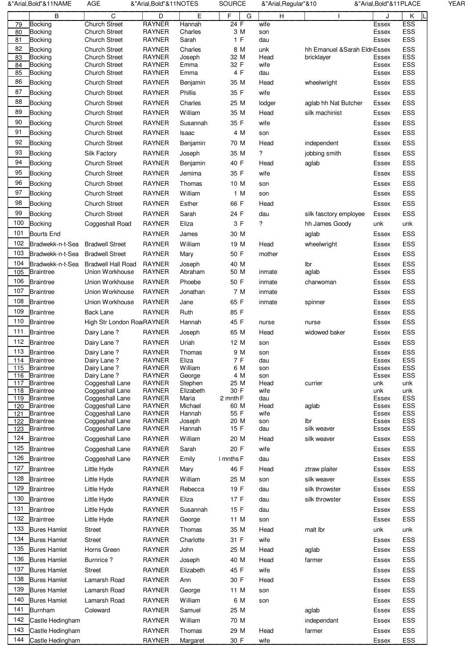|            | &"Arial,Bold"&11NAME                 | AGE                                          | &"Arial, Bold"&11NOTES         |                      | <b>SOURCE</b> |              | &"Arial, Regular"&10                        | &"Arial,Bold"&11PLACE |            | <b>YEAR</b> |
|------------|--------------------------------------|----------------------------------------------|--------------------------------|----------------------|---------------|--------------|---------------------------------------------|-----------------------|------------|-------------|
|            | B                                    | C                                            | D                              | E                    | F             | G<br>н       |                                             |                       | Κ          |             |
| 79         | <b>Bocking</b>                       | <b>Church Street</b>                         | <b>RAYNER</b>                  | Hannah               | 24 F          | wife         |                                             | Essex                 | ESS        |             |
| 80<br>81   | <b>Bocking</b><br>Bocking            | <b>Church Street</b><br>Church Street        | <b>RAYNER</b><br>RAYNER        | Charles<br>Sarah     | 3 M<br>1 F    | son<br>dau   |                                             | Essex<br>Essex        | ESS<br>ESS |             |
| 82         |                                      |                                              |                                |                      |               |              |                                             |                       |            |             |
| 83         | <b>Bocking</b><br><b>Bocking</b>     | <b>Church Street</b><br><b>Church Street</b> | <b>RAYNER</b><br><b>RAYNER</b> | Charles<br>Joseph    | 8 M<br>32 M   | unk<br>Head  | hh Emanuel & Sarah Eldr Essex<br>bricklayer | Essex                 | ESS<br>ESS |             |
| 84         | Bocking                              | <b>Church Street</b>                         | <b>RAYNER</b>                  | Emma                 | 32 F          | wife         |                                             | Essex                 | ESS        |             |
| 85         | <b>Bocking</b>                       | Church Street                                | <b>RAYNER</b>                  | Emma                 | 4 F           | dau          |                                             | Essex                 | ESS        |             |
| 86         | <b>Bocking</b>                       | <b>Church Street</b>                         | <b>RAYNER</b>                  | Benjamin             | 35 M          | Head         | wheelwright                                 | Essex                 | ESS        |             |
| 87         | <b>Bocking</b>                       | <b>Church Street</b>                         | <b>RAYNER</b>                  | Phillis              | 35 F          | wife         |                                             | Essex                 | ESS        |             |
| 88         | <b>Bocking</b>                       | <b>Church Street</b>                         | <b>RAYNER</b>                  | Charles              | 25 M          | lodger       | aglab hh Nat Butcher                        | Essex                 | ESS        |             |
| 89         | <b>Bocking</b>                       | <b>Church Street</b>                         | <b>RAYNER</b>                  | William              | 35 M          | Head         | silk machinist                              | Essex                 | ESS        |             |
| 90         | <b>Bocking</b>                       | <b>Church Street</b>                         | <b>RAYNER</b>                  | Susannah             | 35 F          | wife         |                                             | Essex                 | ESS        |             |
| 91         | <b>Bocking</b>                       | <b>Church Street</b>                         | <b>RAYNER</b>                  |                      | 4 M           |              |                                             |                       | ESS        |             |
| 92         |                                      |                                              |                                | Isaac                |               | son          |                                             | Essex                 |            |             |
|            | <b>Bocking</b>                       | <b>Church Street</b>                         | <b>RAYNER</b>                  | Benjamin             | 70 M          | Head         | independent                                 | Essex                 | ESS        |             |
| 93         | <b>Bocking</b>                       | Silk Factory                                 | <b>RAYNER</b>                  | Joseph               | 35 M          | ?            | jobbing smith                               | Essex                 | ESS        |             |
| 94         | <b>Bocking</b>                       | <b>Church Street</b>                         | <b>RAYNER</b>                  | Benjamin             | 40 F          | Head         | aglab                                       | Essex                 | ESS        |             |
| 95         | <b>Bocking</b>                       | <b>Church Street</b>                         | <b>RAYNER</b>                  | Jemima               | 35 F          | wife         |                                             | Essex                 | ESS        |             |
| 96         | <b>Bocking</b>                       | <b>Church Street</b>                         | <b>RAYNER</b>                  | Thomas               | 10 M          | son          |                                             | Essex                 | ESS        |             |
| 97         | <b>Bocking</b>                       | <b>Church Street</b>                         | <b>RAYNER</b>                  | William              | 1 M           | son          |                                             | Essex                 | ESS        |             |
| 98         | <b>Bocking</b>                       | <b>Church Street</b>                         | <b>RAYNER</b>                  | Esther               | 66 F          | Head         |                                             | Essex                 | ESS        |             |
| 99         | <b>Bocking</b>                       | <b>Church Street</b>                         | <b>RAYNER</b>                  | Sarah                | 24 F          | dau          | silk fasctory employee                      | Essex                 | ESS        |             |
| 100        | <b>Bocking</b>                       | Coggeshall Road                              | <b>RAYNER</b>                  | Eliza                | 3 F           | ?            | hh James Goody                              | unk                   | unk        |             |
| 101        | <b>Bourts End</b>                    |                                              | <b>RAYNER</b>                  | James                | 30 M          |              | aglab                                       | Essex                 | ESS        |             |
| 102        |                                      |                                              |                                | William              |               |              |                                             |                       |            |             |
|            | Bradwekk-n-t-Sea                     | <b>Bradwell Street</b>                       | <b>RAYNER</b>                  |                      | 19 M          | Head         | wheelwright                                 | Essex                 | ESS        |             |
| 103        | Bradwekk-n-t-Sea                     | <b>Bradwell Street</b>                       | <b>RAYNER</b>                  | Mary                 | 50 F          | mother       |                                             | Essex                 | ESS        |             |
| 104        | Bradwekk-n-t-Sea                     | <b>Bradwell Hall Road</b>                    | <b>RAYNER</b>                  | Joseph               | 40 M          |              | lbr                                         | Essex                 | ESS        |             |
| 105        | <b>Braintree</b>                     | Union Workhouse                              | <b>RAYNER</b>                  | Abraham              | 50 M          | inmate       | aglab                                       | Essex                 | ESS        |             |
| 106        | <b>Braintree</b>                     | Union Workhouse                              | <b>RAYNER</b>                  | Phoebe               | 50 F          | inmate       | charwoman                                   | Essex                 | ESS        |             |
| 107        | <b>Braintree</b>                     | Union Workhouse                              | <b>RAYNER</b>                  | Jonathan             | 7 M           | inmate       |                                             | Essex                 | ESS        |             |
| 108        | <b>Braintree</b>                     | Union Workhouse                              | <b>RAYNER</b>                  | Jane                 | 65 F          | inmate       | spinner                                     | Essex                 | ESS        |             |
| 109        | <b>Braintree</b>                     | Back Lane                                    | <b>RAYNER</b>                  | Ruth                 | 85 F          |              |                                             | Essex                 | ESS        |             |
| 110        | <b>Braintree</b>                     | High Str London Roa RAYNER                   |                                | Hannah               | 45 F          | nurse        | nurse                                       | Essex                 | ESS        |             |
| 111        | <b>Braintree</b>                     | Pairy Lane?                                  | <b>RAYNER</b>                  | Joseph               | 65 M          | Head         | widowed baker                               | Essex                 | ESS        |             |
| 112        | <b>Braintree</b>                     | <b>Dairy Lane?</b>                           | <b>RAYNER</b>                  | Uriah                | 12 M          | son          |                                             | Essex                 | ESS        |             |
| 113        | <b>Braintree</b>                     | <b>Dairy Lane?</b>                           | <b>RAYNER</b>                  | Thomas               | 9 M           | son          |                                             | Essex                 | ESS        |             |
| 114        | Braintree                            | <b>Dairy Lane?</b>                           | <b>RAYNER</b>                  | Eliza                | 7 F           | dau          |                                             | Essex                 | ESS        |             |
| 115        | <b>Braintree</b>                     | Pairy Lane?                                  | <b>RAYNER</b>                  | William              | 6 M           | son          |                                             | Essex                 | ESS        |             |
| 116        | <b>Braintree</b>                     | Pairy Lane?                                  | <b>RAYNER</b>                  | George               | 4 M           | son          |                                             | Essex                 | ESS        |             |
| 117        | <b>Braintree</b>                     | Coggeshall Lane                              | <b>RAYNER</b><br><b>RAYNER</b> | Stephen<br>Elizabeth | 25 M<br>30 F  | Head<br>wife | currier                                     | unk<br>unk            | unk<br>unk |             |
| 118<br>119 | <b>Braintree</b><br><b>Braintree</b> | Coggeshall Lane<br>Coggeshall Lane           | <b>RAYNER</b>                  | Maria                | 2 mnth F      | dau          |                                             | Essex                 | ESS        |             |
| 120        | <b>Braintree</b>                     | Coggeshall Lane                              | <b>RAYNER</b>                  | Michael              | 60 M          | Head         | aglab                                       | Essex                 | ESS        |             |
| 121        | <b>Braintree</b>                     | Coggeshall Lane                              | <b>RAYNER</b>                  | Hannah               | 55 F          | wife         |                                             | Essex                 | ESS        |             |
| 122        | <b>Braintree</b>                     | Coggeshall Lane                              | <b>RAYNER</b>                  | Joseph               | 20 M          | son          | lbr                                         | Essex                 | ESS        |             |
| 123        | <b>Braintree</b>                     | Coggeshall Lane                              | <b>RAYNER</b>                  | Hannah               | 15 F          | dau          | silk weaver                                 | Essex                 | ESS        |             |
| 124        | <b>Braintree</b>                     | Coggeshall Lane                              | <b>RAYNER</b>                  | William              | 20 M          | Head         | silk weaver                                 | Essex                 | ESS        |             |
| 125        | <b>Braintree</b>                     | Coggeshall Lane                              | <b>RAYNER</b>                  | Sarah                | 20 F          | wife         |                                             | Essex                 | ESS        |             |
| 126        | <b>Braintree</b>                     | Coggeshall Lane                              | <b>RAYNER</b>                  | Emily                | I mnths F     | dau          |                                             | Essex                 | ESS        |             |
| 127        | <b>Braintree</b>                     | Little Hyde                                  | <b>RAYNER</b>                  | Mary                 | 46 F          | Head         | ztraw plaiter                               | Essex                 | ESS        |             |
| 128        | <b>Braintree</b>                     | Little Hyde                                  | <b>RAYNER</b>                  | William              | 25 M          | son          | silk weaver                                 | Essex                 | ESS        |             |
| 129        | <b>Braintree</b>                     | Little Hyde                                  | <b>RAYNER</b>                  | Rebecca              | 19 F          | dau          | silk throwster                              | Essex                 | ESS        |             |
| 130        | <b>Braintree</b>                     | Little Hyde                                  | <b>RAYNER</b>                  | Eliza                | 17 F          | dau          | silk throwster                              | Essex                 | ESS        |             |
| 131        | <b>Braintree</b>                     | Little Hyde                                  | <b>RAYNER</b>                  | Susannah             | 15 F          | dau          |                                             | Essex                 | ESS        |             |
| 132        |                                      |                                              |                                |                      |               |              |                                             |                       |            |             |
|            | <b>Braintree</b>                     | Little Hyde                                  | <b>RAYNER</b>                  | George               | 11 M          | son          |                                             | Essex                 | ESS        |             |
| 133        | <b>Bures Hamlet</b>                  | <b>Street</b>                                | <b>RAYNER</b>                  | Thomas               | 35 M          | Head         | malt lbr                                    | unk                   | unk        |             |
| 134        | <b>Bures Hamlet</b>                  | <b>Street</b>                                | <b>RAYNER</b>                  | Charlotte            | 31 F          | wife         |                                             | Essex                 | ESS        |             |
| 135        | <b>Bures Hamlet</b>                  | Horns Green                                  | <b>RAYNER</b>                  | John                 | 25 M          | Head         | aglab                                       | Essex                 | ESS        |             |
| 136        | <b>Bures Hamlet</b>                  | <b>Burnrice?</b>                             | <b>RAYNER</b>                  | Joseph               | 40 M          | Head         | farmer                                      | Essex                 | ESS        |             |
| 137        | <b>Bures Hamlet</b>                  | <b>Street</b>                                | <b>RAYNER</b>                  | Elizabeth            | 45 F          | wife         |                                             | Essex                 | ESS        |             |
| 138        | <b>Bures Hamlet</b>                  | Lamarsh Road                                 | <b>RAYNER</b>                  | Ann                  | 30 F          | Head         |                                             | Essex                 | ESS        |             |
| 139        | <b>Bures Hamlet</b>                  | Lamarsh Road                                 | <b>RAYNER</b>                  | George               | 11 M          | son          |                                             | Essex                 | ESS        |             |
| 140        | <b>Bures Hamlet</b>                  | Lamarsh Road                                 | <b>RAYNER</b>                  | William              | 6 M           | son          |                                             | Essex                 | ESS        |             |
| 141        |                                      |                                              |                                |                      |               |              |                                             |                       |            |             |
|            | <b>Burnham</b>                       | Coleward                                     | <b>RAYNER</b>                  | Samuel               | 25 M          |              | aglab                                       | Essex                 | ESS        |             |
| 142        | Castle Hedingham                     |                                              | <b>RAYNER</b>                  | William              | 70 M          |              | independant                                 | Essex                 | ESS        |             |
| 143        | Castle Hedingham                     |                                              | <b>RAYNER</b>                  | Thomas               | 29 M          | Head         | farmer                                      | Essex                 | ESS        |             |
| 144        | Castle Hedingham                     |                                              | <b>RAYNER</b>                  | Margaret             | 30 F          | wife         |                                             | Essex                 | ESS        |             |
|            |                                      |                                              |                                |                      |               |              |                                             |                       |            |             |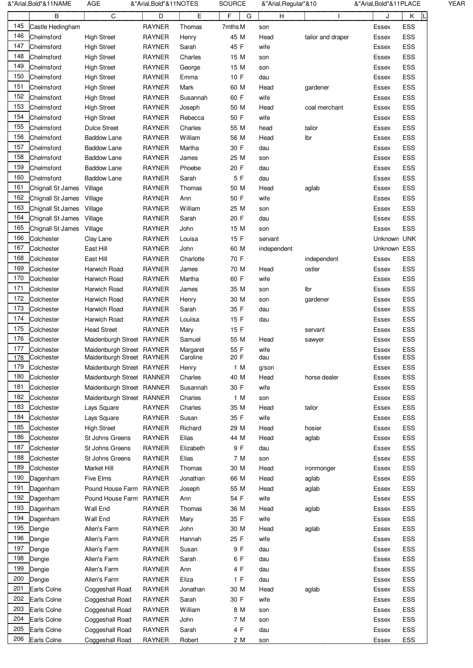|                  | &"Arial,Bold"&11NAME | <b>AGE</b>                | &"Arial,Bold"&11NOTES          |           | <b>SOURCE</b> | &"Arial, Regular"&10 |                   | &"Arial, Bold"& 11 PLACE |            |
|------------------|----------------------|---------------------------|--------------------------------|-----------|---------------|----------------------|-------------------|--------------------------|------------|
|                  | В                    | C                         | D                              | Ε         | F<br>G        | н                    |                   | J                        | Κ          |
| 145              | Castle Hedingham     |                           | <b>RAYNER</b>                  | Thomas    | 7mths M       | son                  |                   | Essex                    | ESS        |
| 146              | Chelmsford           | <b>High Street</b>        | <b>RAYNER</b>                  | Henry     | 45 M          | Head                 | tailor and draper | Essex                    | ESS        |
| 147              | Chelmsford           | <b>High Street</b>        | <b>RAYNER</b>                  | Sarah     | 45 F          | wife                 |                   | Essex                    | ESS        |
| 148              | Chelmsford           | <b>High Street</b>        | <b>RAYNER</b>                  | Charles   | 15 M          | son                  |                   | Essex                    | ESS        |
| 149              | Chelmsford           | <b>High Street</b>        | <b>RAYNER</b>                  | George    | 15 M          | son                  |                   | Essex                    | ESS        |
| 150              | Chelmsford           | <b>High Street</b>        | <b>RAYNER</b>                  | Emma      | 10 F          | dau                  |                   | Essex                    | ESS        |
| 151              | Chelmsford           |                           |                                |           |               |                      |                   |                          |            |
| 152              |                      | <b>High Street</b>        | <b>RAYNER</b><br><b>RAYNER</b> | Mark      | 60 M          | Head                 | gardener          | Essex                    | ESS        |
| 153              | Chelmsford           | <b>High Street</b>        |                                | Susannah  | 60 F          | wife                 |                   | Essex                    | ESS        |
|                  | Chelmsford           | <b>High Street</b>        | <b>RAYNER</b>                  | Joseph    | 50 M          | Head                 | coal merchant     | Essex                    | ESS        |
| 154              | Chelmsford           | <b>High Street</b>        | <b>RAYNER</b>                  | Rebecca   | 50 F          | wife                 |                   | Essex                    | ESS        |
| 155              | Chelmsford           | <b>Dulce Street</b>       | <b>RAYNER</b>                  | Charles   | 55 M          | head                 | tailor            | Essex                    | ESS        |
| 156              | Chelmsford           | Baddow Lane               | <b>RAYNER</b>                  | William   | 56 M          | Head                 | Ibr               | Essex                    | ESS        |
| 157              | Chelmsford           | Baddow Lane               | <b>RAYNER</b>                  | Martha    | 30 F          | dau                  |                   | Essex                    | ESS        |
| 158              | Chelmsford           | <b>Baddow Lane</b>        | <b>RAYNER</b>                  | James     | 25 M          | son                  |                   | Essex                    | ESS        |
| 159              | Chelmsford           | <b>Baddow Lane</b>        | <b>RAYNER</b>                  | Phoebe    | 20 F          | dau                  |                   | Essex                    | ESS        |
| 160              | Chelmsford           | <b>Baddow Lane</b>        | <b>RAYNER</b>                  | Sarah     | 5 F           | dau                  |                   | Essex                    | ESS        |
| 161              | Chignall St James    | Village                   | <b>RAYNER</b>                  | Thomas    | 50 M          | Head                 | aglab             | Essex                    | ESS        |
| 162              | Chignall St James    | Village                   | <b>RAYNER</b>                  | Ann       | 50 F          | wife                 |                   | Essex                    | <b>ESS</b> |
| 163              | Chignall St James    | Village                   | <b>RAYNER</b>                  | William   | 25 M          | son                  |                   | Essex                    | ESS        |
| 164              | Chignall St James    | Village                   | <b>RAYNER</b>                  | Sarah     | 20 F          | dau                  |                   | Essex                    | ESS        |
| 165              | Chignall St James    | Village                   | <b>RAYNER</b>                  | John      | 15 M          | son                  |                   | Essex                    | ESS        |
| 166              | Colchester           | Clay Lane                 | <b>RAYNER</b>                  | Louisa    | 15 F          | servant              |                   | Unknown UNK              |            |
| 167              | Colchester           | East Hill                 | <b>RAYNER</b>                  | John      | 60 M          | independent          |                   | Unknown ESS              |            |
| 168              | Colchester           | East Hill                 | <b>RAYNER</b>                  | Charlotte | 70 F          |                      | independent       | Essex                    | ESS        |
| 169              | Colchester           | Harwich Road              | <b>RAYNER</b>                  | James     | 70 M          | Head                 | ostler            | Essex                    | ESS        |
| 170              | Colchester           | Harwich Road              | <b>RAYNER</b>                  | Martha    | 60 F          | wife                 |                   |                          | ESS        |
| 171              |                      |                           |                                |           |               |                      |                   | Essex                    |            |
|                  | Colchester           | Harwich Road              | <b>RAYNER</b>                  | James     | 35 M          | son                  | lbr               | Essex                    | ESS        |
| 172              | Colchester           | Harwich Road              | <b>RAYNER</b>                  | Henry     | 30 M          | son                  | gardener          | Essex                    | ESS        |
| 173              | Colchester           | Harwich Road              | RAYNER                         | Sarah     | 35 F          | dau                  |                   | Essex                    | ESS        |
| 174              | Colchester           | Harwich Road              | <b>RAYNER</b>                  | Louiisa   | 15 F          | dau                  |                   | Essex                    | ESS        |
| 175              | Colchester           | <b>Head Street</b>        | <b>RAYNER</b>                  | Mary      | 15 F          |                      | servant           | Essex                    | ESS        |
| 176              | Colchester           | Maidenburgh Street RAYNER |                                | Samuel    | 55 M          | Head                 | sawyer            | Essex                    | ESS        |
| 177              | Colchester           | Maidenburgh Street RAYNER |                                | Margaret  | 55 F          | wife                 |                   | Essex                    | ESS        |
| $\overline{178}$ | Colchester           | Maidenburgh Street RAYNER |                                | Caroline  | 20 F          | dau                  |                   | Essex                    | ESS        |
| 179              | Colchester           | Maidenburgh Street RAYNER |                                | Henry     | 1 M           | $g$ /son             |                   | Essex                    | ESS        |
| 180              | Colchester           | Maidenburgh Street RANNER |                                | Charles   | 40 M          | Head                 | horse dealer      | Essex                    | ESS        |
| 181              | Colchester           | Maidenburgh Street RANNER |                                | Susannah  | 30 F          | wife                 |                   | Essex                    | ESS        |
| 182              | Colchester           | Maidenburgh Street RANNER |                                | Charles   | 1 M           | son                  |                   | Essex                    | ESS        |
| 183              | Colchester           | Lays Square               | <b>RAYNER</b>                  | Charles   | 35 M          | Head                 | tailor            | Essex                    | ESS        |
| 184              | Colchester           | Lays Square               | RAYNER                         | Susan     | 35 F          | wife                 |                   | Essex                    | ESS        |
| 185              | Colchester           | <b>High Street</b>        | RAYNER                         | Richard   | 29 M          | Head                 | hosier            | Essex                    | ESS        |
| 186              | Colchester           | St Johns Greens           | <b>RAYNER</b>                  | Elias     | 44 M          | Head                 | aglab             | Essex                    | ESS        |
| 187              | Colchester           | St Johns Greens           | <b>RAYNER</b>                  | Elizabeth | 9 F           | dau                  |                   | Essex                    | ESS        |
| 188              | Colchester           | St Johns Greens           | RAYNER                         | Elias     | 7 M           | son                  |                   | Essex                    | ESS        |
| 189              | Colchester           | Market Hill               | RAYNER                         | Thomas    | 30 M          | Head                 | ironmonger        | Essex                    | ESS        |
| 190              | Dagenham             | Five Elms                 | <b>RAYNER</b>                  | Jonathan  | 66 M          | Head                 | aglab             | Essex                    | ESS        |
| 191              | Dagenham             | Pound House Farm RAYNER   |                                | Joseph    | 55 M          | Head                 | aglab             | Essex                    | ESS        |
| 192              | Dagenham             | Pound House Farm RAYNER   |                                | Ann       | 54 F          | wife                 |                   | Essex                    | ESS        |
| 193              | Dagenham             | Wall End                  | RAYNER                         | Thomas    | 36 M          | Head                 | aglab             | Essex                    | ESS        |
| 194              | Dagenham             | Wall End                  | <b>RAYNER</b>                  | Mary      | 35 F          | wife                 |                   | Essex                    | ESS        |
| 195              |                      |                           |                                |           |               |                      |                   |                          |            |
| 196              | Dengie               | Allen's Farm              | <b>RAYNER</b>                  | John      | 30 M          | Head                 | aglab             | Essex                    | ESS        |
|                  | Dengie               | Allen's Farm              | <b>RAYNER</b>                  | Hannah    | 25 F          | wife                 |                   | Essex                    | ESS        |
| 197              | Dengie               | Allen's Farm              | RAYNER                         | Susan     | 9 F           | dau                  |                   | Essex                    | ESS        |
| 198              | Dengie               | Allen's Farm              | RAYNER                         | Sarah     | 6 F           | dau                  |                   | Essex                    | ESS        |
| 199              | Dengie               | Allen's Farm              | RAYNER                         | Ann       | 4 F           | dau                  |                   | Essex                    | ESS        |
| 200              | Dengie               | Allen's Farm              | RAYNER                         | Eliza     | 1 F           | dau                  |                   | Essex                    | ESS        |
| 201              | Earls Colne          | Coggeshall Road           | RAYNER                         | Jonathan  | 30 M          | Head                 | aglab             | Essex                    | ESS        |
| 202              | Earls Colne          | Coggeshall Road           | RAYNER                         | Sarah     | 30 F          | wife                 |                   | Essex                    | ESS        |
| 203              | Earls Colne          | Coggeshall Road           | RAYNER                         | William   | 8 M           | son                  |                   | Essex                    | ESS        |
| 204              | Earls Colne          | Coggeshall Road           | <b>RAYNER</b>                  | John      | 7 M           | son                  |                   | Essex                    | ESS        |
| 205              | Earls Colne          | Coggeshall Road           | <b>RAYNER</b>                  | Sarah     | 4 F           | dau                  |                   | Essex                    | ESS        |
|                  |                      |                           | <b>RAYNER</b>                  | Robert    | 2 M           |                      |                   | Essex                    | <b>ESS</b> |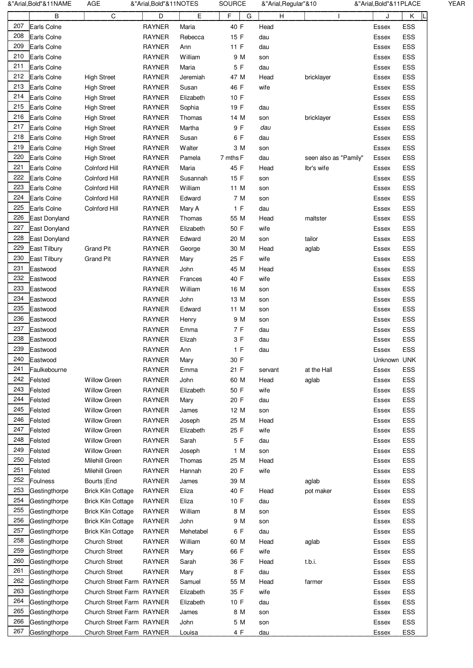| 207<br>208<br>209<br>210<br>211<br>212<br>213<br>214<br>215<br>216<br>217<br>218<br>219<br>220 | B<br>Earls Colne<br>Earls Colne<br>Earls Colne<br>Earls Colne<br>Earls Colne<br>Earls Colne<br>Earls Colne<br>Earls Colne | C                                                      | D<br><b>RAYNER</b><br><b>RAYNER</b><br><b>RAYNER</b><br><b>RAYNER</b> | E<br>Maria<br>Rebecca<br>Ann | F<br>40 F<br>15 F | G | H<br>Head<br>dau |                       | J<br>Essex<br>Essex | Κ<br>ESS<br>ESS |
|------------------------------------------------------------------------------------------------|---------------------------------------------------------------------------------------------------------------------------|--------------------------------------------------------|-----------------------------------------------------------------------|------------------------------|-------------------|---|------------------|-----------------------|---------------------|-----------------|
|                                                                                                |                                                                                                                           |                                                        |                                                                       |                              |                   |   |                  |                       |                     |                 |
|                                                                                                |                                                                                                                           |                                                        |                                                                       |                              |                   |   |                  |                       |                     |                 |
|                                                                                                |                                                                                                                           |                                                        |                                                                       |                              |                   |   |                  |                       |                     |                 |
|                                                                                                |                                                                                                                           |                                                        |                                                                       |                              | 11 F              |   | dau              |                       | Essex               | ESS             |
|                                                                                                |                                                                                                                           |                                                        |                                                                       | William                      | 9 M               |   | son              |                       | Essex               | ESS             |
|                                                                                                |                                                                                                                           |                                                        | <b>RAYNER</b>                                                         | Maria                        | 5 F               |   | dau              |                       | Essex               | ESS             |
|                                                                                                |                                                                                                                           | <b>High Street</b>                                     | <b>RAYNER</b>                                                         | Jeremiah                     | 47 M              |   | Head             | bricklayer            | Essex               | ESS             |
|                                                                                                |                                                                                                                           | <b>High Street</b>                                     | RAYNER                                                                | Susan                        | 46 F              |   | wife             |                       | Essex               | ESS             |
|                                                                                                |                                                                                                                           | <b>High Street</b>                                     | <b>RAYNER</b>                                                         | Elizabeth                    | 10 F              |   |                  |                       | Essex               | ESS             |
|                                                                                                | Earls Colne                                                                                                               | <b>High Street</b>                                     | <b>RAYNER</b>                                                         | Sophia                       | 19 F              |   | dau              |                       | Essex               | ESS             |
|                                                                                                | Earls Colne                                                                                                               | <b>High Street</b>                                     | <b>RAYNER</b>                                                         | Thomas                       | 14 M              |   | son              | bricklayer            | Essex               | ESS             |
|                                                                                                | Earls Colne                                                                                                               | <b>High Street</b>                                     | <b>RAYNER</b>                                                         | Martha                       | 9 F               |   | dau              |                       | Essex               | ESS             |
|                                                                                                | Earls Colne                                                                                                               | <b>High Street</b>                                     | <b>RAYNER</b>                                                         | Susan                        | 6 F               |   | dau              |                       | Essex               | ESS             |
|                                                                                                | Earls Colne                                                                                                               | <b>High Street</b>                                     | <b>RAYNER</b>                                                         | Walter                       | 3 M               |   |                  |                       | Essex               | ESS             |
|                                                                                                | Earls Colne                                                                                                               | <b>High Street</b>                                     | <b>RAYNER</b>                                                         | Pamela                       |                   |   | son<br>dau       |                       |                     | ESS             |
| 221                                                                                            |                                                                                                                           |                                                        |                                                                       |                              | 7 mths F          |   |                  | seen also as "Pamily" | Essex               |                 |
|                                                                                                | Earls Colne                                                                                                               | Colnford Hill                                          | <b>RAYNER</b>                                                         | Maria                        | 45 F              |   | Head             | lbr's wife            | Essex               | ESS             |
| 222                                                                                            | Earls Colne                                                                                                               | Colnford Hill                                          | <b>RAYNER</b>                                                         | Susannah                     | 15 F              |   | son              |                       | Essex               | ESS             |
| 223                                                                                            | Earls Colne                                                                                                               | Colnford Hill                                          | <b>RAYNER</b>                                                         | William                      | 11 M              |   | son              |                       | Essex               | ESS             |
| 224                                                                                            | Earls Colne                                                                                                               | Colnford Hill                                          | <b>RAYNER</b>                                                         | Edward                       | 7 M               |   | son              |                       | Essex               | ESS             |
| 225                                                                                            | Earls Colne                                                                                                               | Colnford Hill                                          | <b>RAYNER</b>                                                         | Mary A                       | 1 F               |   | dau              |                       | Essex               | ESS             |
| 226                                                                                            | East Donyland                                                                                                             |                                                        | <b>RAYNER</b>                                                         | Thomas                       | 55 M              |   | Head             | maltster              | Essex               | ESS             |
| 227                                                                                            | East Donyland                                                                                                             |                                                        | <b>RAYNER</b>                                                         | Elizabeth                    | 50 F              |   | wife             |                       | Essex               | ESS             |
| 228                                                                                            | East Donyland                                                                                                             |                                                        | <b>RAYNER</b>                                                         | Edward                       | 20 M              |   | son              | tailor                | Essex               | ESS             |
| 229                                                                                            | East Tilbury                                                                                                              | <b>Grand Pit</b>                                       | <b>RAYNER</b>                                                         | George                       | 30 M              |   | Head             | aglab                 | Essex               | ESS             |
| 230                                                                                            | East Tilbury                                                                                                              | <b>Grand Pit</b>                                       | <b>RAYNER</b>                                                         | Mary                         | 25 F              |   | wife             |                       | Essex               | ESS             |
| 231                                                                                            | Eastwood                                                                                                                  |                                                        | <b>RAYNER</b>                                                         | John                         | 45 M              |   | Head             |                       | Essex               | ESS             |
| 232                                                                                            | Eastwood                                                                                                                  |                                                        | <b>RAYNER</b>                                                         | Frances                      | 40 F              |   | wife             |                       | Essex               | ESS             |
| 233                                                                                            | Eastwood                                                                                                                  |                                                        | <b>RAYNER</b>                                                         | William                      | 16 M              |   | son              |                       | Essex               | ESS             |
| 234                                                                                            | Eastwood                                                                                                                  |                                                        | <b>RAYNER</b>                                                         | John                         | 13 M              |   | son              |                       | Essex               | ESS             |
| 235                                                                                            | Eastwood                                                                                                                  |                                                        | <b>RAYNER</b>                                                         | Edward                       | 11 M              |   | son              |                       | Essex               | ESS             |
| 236                                                                                            | Eastwood                                                                                                                  |                                                        | <b>RAYNER</b>                                                         | Henry                        | 9 M               |   | son              |                       | Essex               | ESS             |
| 237                                                                                            | Eastwood                                                                                                                  |                                                        | <b>RAYNER</b>                                                         | Emma                         | 7 F               |   | dau              |                       | Essex               | ESS             |
| 238                                                                                            | Eastwood                                                                                                                  |                                                        | <b>RAYNER</b>                                                         | Elizah                       | 3 F               |   | dau              |                       | Essex               | ESS             |
| 239                                                                                            | Eastwood                                                                                                                  |                                                        | <b>RAYNER</b>                                                         | Ann                          | 1 F               |   | dau              |                       | Essex               | ESS             |
| 240                                                                                            | Eastwood                                                                                                                  |                                                        | <b>RAYNER</b>                                                         | Mary                         | 30 F              |   |                  |                       | Unknown UNK         |                 |
| 241                                                                                            | Faulkebourne                                                                                                              |                                                        | <b>RAYNER</b>                                                         | Emma                         | 21 F              |   |                  | at the Hall           | Essex               | ESS             |
| 242                                                                                            | Felsted                                                                                                                   | <b>Willow Green</b>                                    | <b>RAYNER</b>                                                         | John                         | 60 M              |   | servant<br>Head  |                       | Essex               | ESS             |
| 243                                                                                            | Felsted                                                                                                                   |                                                        |                                                                       | Elizabeth                    |                   |   |                  | aglab                 |                     |                 |
| 244                                                                                            |                                                                                                                           | Willow Green                                           | <b>RAYNER</b>                                                         |                              | 50 F              |   | wife             |                       | Essex               | ESS             |
|                                                                                                | Felsted                                                                                                                   | <b>Willow Green</b>                                    | <b>RAYNER</b>                                                         | Mary                         | 20 F              |   | dau              |                       | Essex               | ESS             |
| 245                                                                                            | Felsted                                                                                                                   | <b>Willow Green</b>                                    | <b>RAYNER</b>                                                         | James                        | 12 M              |   | son              |                       | Essex               | ESS             |
| 246                                                                                            | Felsted                                                                                                                   | <b>Willow Green</b>                                    | <b>RAYNER</b>                                                         | Joseph                       | 25 M              |   | Head             |                       | Essex               | ESS             |
| 247                                                                                            | Felsted                                                                                                                   | <b>Willow Green</b>                                    | <b>RAYNER</b>                                                         | Elizabeth                    | 25 F              |   | wife             |                       | Essex               | ESS             |
| 248                                                                                            | Felsted                                                                                                                   | <b>Willow Green</b>                                    | <b>RAYNER</b>                                                         | Sarah                        | 5 F               |   | dau              |                       | Essex               | ESS             |
| 249                                                                                            | Felsted                                                                                                                   | <b>Willow Green</b>                                    | <b>RAYNER</b>                                                         | Joseph                       | 1 M               |   | son              |                       | Essex               | ESS             |
| 250                                                                                            | Felsted                                                                                                                   | Milehill Green                                         | <b>RAYNER</b>                                                         | Thomas                       | 25 M              |   | Head             |                       | Essex               | ESS             |
| 251                                                                                            | Felsted                                                                                                                   | Milehill Green                                         | <b>RAYNER</b>                                                         | Hannah                       | 20 F              |   | wife             |                       | Essex               | ESS             |
| 252                                                                                            | <b>Foulness</b>                                                                                                           | Bourts   End                                           | <b>RAYNER</b>                                                         | James                        | 39 M              |   |                  | aglab                 | Essex               | ESS             |
| 253                                                                                            | Gestingthorpe                                                                                                             | <b>Brick Kiln Cottage</b>                              | <b>RAYNER</b>                                                         | Eliza                        | 40 F              |   | Head             | pot maker             | Essex               | ESS             |
| 254                                                                                            | Gestingthorpe                                                                                                             | <b>Brick Kiln Cottage</b>                              | <b>RAYNER</b>                                                         | Eliza                        | 10 F              |   | dau              |                       | Essex               | ESS             |
| 255                                                                                            | Gestingthorpe                                                                                                             | <b>Brick Kiln Cottage</b>                              | <b>RAYNER</b>                                                         | William                      | 8 M               |   | son              |                       | Essex               | ESS             |
| 256                                                                                            | Gestingthorpe                                                                                                             | <b>Brick Kiln Cottage</b>                              | <b>RAYNER</b>                                                         | John                         | 9 M               |   | son              |                       | Essex               | ESS             |
| 257                                                                                            | Gestingthorpe                                                                                                             | <b>Brick Kiln Cottage</b>                              | <b>RAYNER</b>                                                         | Mehetabel                    | 6 F               |   | dau              |                       | Essex               | ESS             |
| 258                                                                                            | Gestingthorpe                                                                                                             | <b>Church Street</b>                                   | <b>RAYNER</b>                                                         | William                      | 60 M              |   | Head             | aglab                 | Essex               | ESS             |
| 259                                                                                            | Gestingthorpe                                                                                                             | <b>Church Street</b>                                   | <b>RAYNER</b>                                                         | Mary                         | 66 F              |   | wife             |                       | Essex               | ESS             |
| 260                                                                                            | Gestingthorpe                                                                                                             | <b>Church Street</b>                                   | <b>RAYNER</b>                                                         | Sarah                        | 36 F              |   | Head             | t.b.i.                | Essex               | ESS             |
| 261                                                                                            | Gestingthorpe                                                                                                             | <b>Church Street</b>                                   | <b>RAYNER</b>                                                         | Mary                         | 8 F               |   | dau              |                       | Essex               | ESS             |
| 262                                                                                            | Gestingthorpe                                                                                                             | Church Street Farm RAYNER                              |                                                                       | Samuel                       | 55 M              |   | Head             | farmer                | Essex               | ESS             |
| 263                                                                                            | Gestingthorpe                                                                                                             | Church Street Farm RAYNER                              |                                                                       | Elizabeth                    | 35 F              |   | wife             |                       | Essex               | ESS             |
| 264                                                                                            |                                                                                                                           |                                                        |                                                                       |                              |                   |   |                  |                       |                     |                 |
| 265                                                                                            | Gestingthorpe                                                                                                             | Church Street Farm RAYNER                              |                                                                       | Elizabeth                    | 10 F              |   | dau              |                       | Essex               | ESS             |
|                                                                                                | Gestingthorpe                                                                                                             | Church Street Farm RAYNER                              |                                                                       | James                        | 8 M               |   | son              |                       | Essex               | ESS             |
| 266<br>267                                                                                     | Gestingthorpe<br>Gestingthorpe                                                                                            | Church Street Farm RAYNER<br>Church Street Farm RAYNER |                                                                       | John<br>Louisa               | 5 M<br>4 F        |   | son<br>dau       |                       | Essex<br>Essex      | ESS<br>ESS      |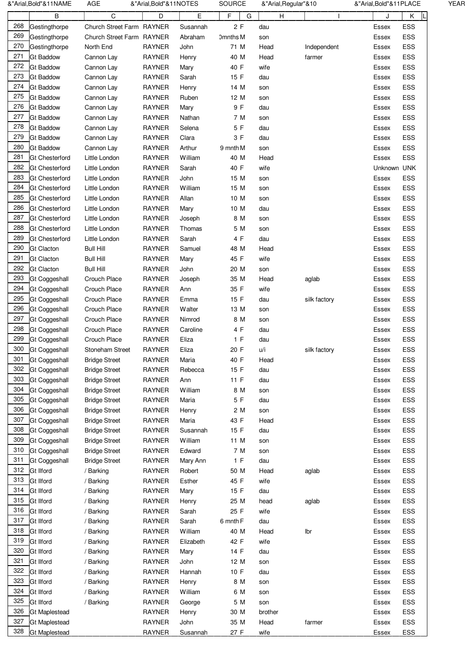|     | &"Arial,Bold"&11NAME  | AGE                       | &"Arial,Bold"&11NOTES |           | SOURCE          | &"Arial, Regular"&10 |              | &"Arial, Bold"&11PLACE |            | YEAR |
|-----|-----------------------|---------------------------|-----------------------|-----------|-----------------|----------------------|--------------|------------------------|------------|------|
|     | В                     | C                         | D                     | E         | F<br>G          | H                    |              | J                      | Κ          |      |
| 268 | Gestingthorpe         | Church Street Farm RAYNER |                       | Susannah  | 2F              | dau                  |              | Essex                  | ESS        |      |
| 269 | Gestingthorpe         | Church Street Farm RAYNER |                       | Abraham   | <b>Omnths M</b> | son                  |              | Essex                  | ESS        |      |
| 270 | Gestingthorpe         | North End                 | <b>RAYNER</b>         | John      | 71 M            | Head                 | Independent  | Essex                  | ESS        |      |
| 271 | <b>Gt Baddow</b>      | Cannon Lay                | <b>RAYNER</b>         | Henry     | 40 M            | Head                 | farmer       | Essex                  | ESS        |      |
| 272 | <b>Gt Baddow</b>      | Cannon Lay                | <b>RAYNER</b>         | Mary      | 40 F            | wife                 |              | Essex                  | ESS        |      |
| 273 | <b>Gt Baddow</b>      | Cannon Lay                | <b>RAYNER</b>         | Sarah     | 15 F            | dau                  |              | Essex                  | ESS        |      |
| 274 | <b>Gt Baddow</b>      | Cannon Lay                | <b>RAYNER</b>         | Henry     | 14 M            | son                  |              | Essex                  | ESS        |      |
| 275 | <b>Gt Baddow</b>      | Cannon Lay                | <b>RAYNER</b>         | Ruben     | 12 M            | son                  |              | Essex                  | ESS        |      |
| 276 | <b>Gt Baddow</b>      | Cannon Lay                | <b>RAYNER</b>         | Mary      | 9 F             | dau                  |              | Essex                  | ESS        |      |
| 277 | <b>Gt Baddow</b>      | Cannon Lay                | <b>RAYNER</b>         | Nathan    | 7 M             | son                  |              | Essex                  | <b>ESS</b> |      |
| 278 | <b>Gt Baddow</b>      | Cannon Lay                | <b>RAYNER</b>         | Selena    | 5 F             | dau                  |              | Essex                  | ESS        |      |
| 279 | <b>Gt Baddow</b>      | Cannon Lay                | <b>RAYNER</b>         | Clara     | 3 F             | dau                  |              | Essex                  | ESS        |      |
| 280 | <b>Gt Baddow</b>      | Cannon Lay                | <b>RAYNER</b>         | Arthur    | 9 mnth M        | son                  |              | Essex                  | ESS        |      |
| 281 | <b>Gt Chesterford</b> | Little London             | <b>RAYNER</b>         | William   | 40 M            | Head                 |              | Essex                  | ESS        |      |
| 282 | <b>Gt Chesterford</b> | Little London             | RAYNER                | Sarah     | 40 F            | wife                 |              | Unknown UNK            |            |      |
| 283 | <b>Gt Chesterford</b> | Little London             | <b>RAYNER</b>         | John      | 15 M            | son                  |              | Essex                  | ESS        |      |
| 284 | <b>Gt Chesterford</b> | Little London             | <b>RAYNER</b>         | William   | 15 M            | son                  |              | Essex                  | ESS        |      |
| 285 | <b>Gt Chesterford</b> | Little London             | <b>RAYNER</b>         | Allan     | 10 M            | son                  |              | Essex                  | ESS        |      |
| 286 | <b>Gt Chesterford</b> | Little London             | <b>RAYNER</b>         | Mary      | 10 M            | dau                  |              | Essex                  | ESS        |      |
| 287 | <b>Gt Chesterford</b> | Little London             | <b>RAYNER</b>         | Joseph    | 8 M             | son                  |              | Essex                  | ESS        |      |
| 288 | <b>Gt Chesterford</b> | Little London             | <b>RAYNER</b>         | Thomas    | 5 M             | son                  |              | Essex                  | ESS        |      |
| 289 | <b>Gt Chesterford</b> | Little London             | <b>RAYNER</b>         | Sarah     | 4 F             | dau                  |              | Essex                  | ESS        |      |
| 290 | <b>Gt Clacton</b>     | <b>Bull Hill</b>          | <b>RAYNER</b>         | Samuel    | 48 M            | Head                 |              | Essex                  | ESS        |      |
| 291 | <b>Gt Clacton</b>     | <b>Bull Hill</b>          | <b>RAYNER</b>         | Mary      | 45 F            | wife                 |              | Essex                  | ESS        |      |
| 292 | <b>Gt Clacton</b>     | <b>Bull Hill</b>          | <b>RAYNER</b>         | John      | 20 M            | son                  |              | Essex                  | ESS        |      |
| 293 | Gt Coggeshall         | Crouch Place              | <b>RAYNER</b>         | Joseph    | 35 M            | Head                 | aglab        | Essex                  | ESS        |      |
| 294 | Gt Coggeshall         | Crouch Place              | <b>RAYNER</b>         | Ann       | 35 F            | wife                 |              | Essex                  | ESS        |      |
| 295 | Gt Coggeshall         | Crouch Place              | <b>RAYNER</b>         | Emma      | 15 F            | dau                  | silk factory | Essex                  | ESS        |      |
| 296 | Gt Coggeshall         | Crouch Place              | <b>RAYNER</b>         | Walter    | 13 M            | son                  |              | Essex                  | ESS        |      |
| 297 | Gt Coggeshall         | Crouch Place              | <b>RAYNER</b>         | Nimrod    | 8 M             | son                  |              | Essex                  | ESS        |      |
| 298 | <b>Gt Coggeshall</b>  | Crouch Place              | <b>RAYNER</b>         | Caroline  | 4 F             | dau                  |              | Essex                  | ESS        |      |
| 299 | <b>Gt Coggeshall</b>  | Crouch Place              | <b>RAYNER</b>         | Eliza     | 1 F             | dau                  |              | Essex                  | ESS        |      |
| 300 | Gt Coggeshall         | Stoneham Street           | <b>RAYNER</b>         | Eliza     | 20 F            | u/i                  | silk factory | Essex                  | ESS        |      |
| 301 | <b>Gt Coggeshall</b>  | <b>Bridge Street</b>      | <b>RAYNER</b>         | Maria     | 40 F            | Head                 |              | Essex                  | ESS        |      |
| 302 | Gt Coggeshall         | <b>Bridge Street</b>      | <b>RAYNER</b>         | Rebecca   | 15 F            | dau                  |              | Essex                  | ESS        |      |
| 303 | <b>Gt Coggeshall</b>  | <b>Bridge Street</b>      | RAYNER                | Ann       | 11 F            | dau                  |              | Essex                  | ESS        |      |
| 304 | Gt Coggeshall         | <b>Bridge Street</b>      | <b>RAYNER</b>         | William   | 8 M             | son                  |              | Essex                  | ESS        |      |
| 305 | <b>Gt Coggeshall</b>  | <b>Bridge Street</b>      | <b>RAYNER</b>         | Maria     | 5 F             | dau                  |              | Essex                  | ESS        |      |
| 306 | <b>Gt Coggeshall</b>  | <b>Bridge Street</b>      | <b>RAYNER</b>         | Henry     | 2 M             | son                  |              | Essex                  | ESS        |      |
| 307 | <b>Gt Coggeshall</b>  | <b>Bridge Street</b>      | RAYNER                | Maria     | 43 F            | Head                 |              | Essex                  | ESS        |      |
| 308 | <b>Gt Coggeshall</b>  | <b>Bridge Street</b>      | <b>RAYNER</b>         | Susannah  | 15 F            | dau                  |              | Essex                  | ESS        |      |
| 309 | <b>Gt Coggeshall</b>  | <b>Bridge Street</b>      | <b>RAYNER</b>         | William   | 11 M            | son                  |              | Essex                  | ESS        |      |
| 310 | Gt Coggeshall         | <b>Bridge Street</b>      | <b>RAYNER</b>         | Edward    | 7 M             |                      |              | Essex                  | ESS        |      |
| 311 | <b>Gt Coggeshall</b>  |                           | RAYNER                |           | 1 F             | son                  |              | Essex                  | ESS        |      |
| 312 | Gt Ilford             | <b>Bridge Street</b>      | <b>RAYNER</b>         | Mary Ann  | 50 M            | dau                  |              |                        | ESS        |      |
| 313 |                       | / Barking                 |                       | Robert    |                 | Head                 | aglab        | Essex                  |            |      |
| 314 | <b>Gt Ilford</b>      | / Barking                 | <b>RAYNER</b>         | Esther    | 45 F            | wife                 |              | Essex                  | ESS        |      |
| 315 | <b>Gt Ilford</b>      | / Barking                 | <b>RAYNER</b>         | Mary      | 15 F            | dau                  |              | Essex                  | ESS        |      |
| 316 | <b>Gt Ilford</b>      | / Barking                 | <b>RAYNER</b>         | Henry     | 25 M            | head                 | aglab        | Essex                  | ESS        |      |
| 317 | <b>Gt Ilford</b>      | / Barking                 | <b>RAYNER</b>         | Sarah     | 25 F            | wife                 |              | Essex                  | ESS        |      |
|     | <b>Gt Ilford</b>      | / Barking                 | <b>RAYNER</b>         | Sarah     | 6 mnth F        | dau                  |              | Essex                  | ESS        |      |
| 318 | <b>Gt Ilford</b>      | / Barking                 | <b>RAYNER</b>         | William   | 40 M            | Head                 | lbr          | Essex                  | ESS        |      |
| 319 | <b>Gt Ilford</b>      | / Barking                 | <b>RAYNER</b>         | Elizabeth | 42 F            | wife                 |              | Essex                  | ESS        |      |
| 320 | <b>Gt Ilford</b>      | / Barking                 | RAYNER                | Mary      | 14 F            | dau                  |              | Essex                  | ESS        |      |
| 321 | <b>Gt Ilford</b>      | / Barking                 | <b>RAYNER</b>         | John      | 12 M            | son                  |              | Essex                  | ESS        |      |
| 322 | Gt Ilford             | / Barking                 | <b>RAYNER</b>         | Hannah    | 10 F            | dau                  |              | Essex                  | ESS        |      |
| 323 | <b>Gt Ilford</b>      | / Barking                 | <b>RAYNER</b>         | Henry     | 8 M             | son                  |              | Essex                  | ESS        |      |
| 324 | <b>Gt Ilford</b>      | / Barking                 | RAYNER                | William   | 6 M             | son                  |              | Essex                  | ESS        |      |
| 325 | <b>Gt Ilford</b>      | / Barking                 | <b>RAYNER</b>         | George    | 5 M             | son                  |              | Essex                  | ESS        |      |
| 326 | <b>Gt Maplestead</b>  |                           | <b>RAYNER</b>         | Henry     | 30 M            | brother              |              | Essex                  | ESS        |      |
| 327 | <b>Gt Maplestead</b>  |                           | <b>RAYNER</b>         | John      | 35 M            | Head                 | farmer       | Essex                  | ESS        |      |
| 328 | <b>Gt Maplestead</b>  |                           | RAYNER                | Susannah  | 27 F            | wife                 |              | Essex                  | ESS        |      |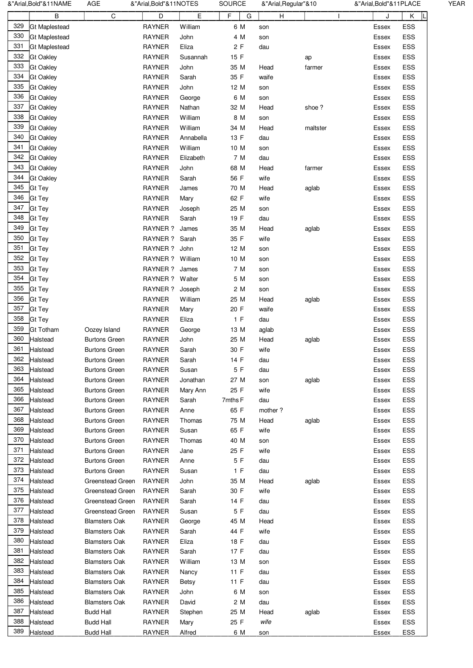|     | &"Arial, Bold"&11NAME | AGE                  | &"Arial, Bold"&11NOTES |              | SOURCE  | &"Arial, Regular"&10 |          | &"Arial, Bold"&11PLACE |
|-----|-----------------------|----------------------|------------------------|--------------|---------|----------------------|----------|------------------------|
|     | В                     | C                    | D                      | E            | F<br>G  | H                    |          | Κ<br>J                 |
| 329 | <b>Gt Maplestead</b>  |                      | <b>RAYNER</b>          | William      | 6 M     | son                  |          | ESS<br>Essex           |
| 330 | <b>Gt Maplestead</b>  |                      | <b>RAYNER</b>          | John         | 4 M     | son                  |          | ESS<br>Essex           |
| 331 | <b>Gt Maplestead</b>  |                      | <b>RAYNER</b>          | Eliza        | 2F      | dau                  |          | ESS<br>Essex           |
| 332 | <b>Gt Oakley</b>      |                      | <b>RAYNER</b>          | Susannah     | 15 F    |                      | ap       | ESS<br>Essex           |
| 333 | <b>Gt Oakley</b>      |                      | <b>RAYNER</b>          | John         | 35 M    | Head                 | farmer   | ESS<br>Essex           |
| 334 | <b>Gt Oakley</b>      |                      | <b>RAYNER</b>          | Sarah        | 35 F    | waife                |          | ESS<br>Essex           |
| 335 | <b>Gt Oakley</b>      |                      | <b>RAYNER</b>          | John         | 12 M    | son                  |          | ESS<br>Essex           |
| 336 | <b>Gt Oakley</b>      |                      | <b>RAYNER</b>          | George       | 6 M     | son                  |          | ESS<br>Essex           |
| 337 | <b>Gt Oakley</b>      |                      | <b>RAYNER</b>          | Nathan       | 32 M    | Head                 | shoe?    | ESS<br>Essex           |
| 338 | <b>Gt Oakley</b>      |                      | <b>RAYNER</b>          | William      | 8 M     | son                  |          | ESS<br>Essex           |
| 339 | <b>Gt Oakley</b>      |                      | <b>RAYNER</b>          | William      | 34 M    | Head                 | maltster | ESS<br>Essex           |
| 340 | <b>Gt Oakley</b>      |                      | <b>RAYNER</b>          | Annabella    | 13 F    | dau                  |          | ESS<br>Essex           |
| 341 | <b>Gt Oakley</b>      |                      | <b>RAYNER</b>          | William      | 10 M    | son                  |          | ESS<br>Essex           |
| 342 | <b>Gt Oakley</b>      |                      | <b>RAYNER</b>          | Elizabeth    | 7 M     | dau                  |          | ESS<br>Essex           |
| 343 | <b>Gt Oakley</b>      |                      | <b>RAYNER</b>          | John         | 68 M    | Head                 | farmer   | ESS<br>Essex           |
| 344 | <b>Gt Oakley</b>      |                      | <b>RAYNER</b>          | Sarah        | 56 F    | wife                 |          | ESS<br>Essex           |
| 345 | Gt Tey                |                      | <b>RAYNER</b>          | James        | 70 M    | Head                 | aglab    | ESS<br>Essex           |
| 346 | Gt Tey                |                      | <b>RAYNER</b>          | Mary         | 62 F    | wife                 |          | ESS<br>Essex           |
| 347 | Gt Tey                |                      | <b>RAYNER</b>          | Joseph       | 25 M    | son                  |          | ESS<br>Essex           |
| 348 | <b>Gt Tey</b>         |                      | <b>RAYNER</b>          | Sarah        | 19 F    | dau                  |          | ESS<br>Essex           |
| 349 | Gt Tey                |                      | RAYNER ?               | James        | 35 M    | Head                 |          | ESS                    |
| 350 | <b>Gt Tey</b>         |                      |                        |              |         |                      | aglab    | Essex                  |
| 351 | <b>Gt Tey</b>         |                      | RAYNER ? Sarah         |              | 35 F    | wife                 |          | ESS<br>Essex           |
| 352 |                       |                      | RAYNER ? John          |              | 12 M    | son                  |          | ESS<br>Essex           |
|     | <b>Gt Tey</b>         |                      | RAYNER ? William       |              | 10 M    | son                  |          | ESS<br>Essex           |
| 353 | <b>Gt Tey</b>         |                      | RAYNER ? James         |              | 7 M     | son                  |          | ESS<br>Essex           |
| 354 | <b>Gt Tey</b>         |                      | RAYNER ? Walter        |              | 5 M     | son                  |          | ESS<br>Essex           |
| 355 | <b>Gt Tey</b>         |                      | RAYNER ? Joseph        |              | 2 M     | son                  |          | ESS<br>Essex           |
| 356 | Gt Tey                |                      | <b>RAYNER</b>          | William      | 25 M    | Head                 | aglab    | ESS<br>Essex           |
| 357 | <b>Gt Tey</b>         |                      | <b>RAYNER</b>          | Mary         | 20 F    | waife                |          | ESS<br>Essex           |
| 358 | Gt Tey                |                      | <b>RAYNER</b>          | Eliza        | 1 F     | dau                  |          | ESS<br>Essex           |
| 359 | <b>Gt Totham</b>      | Oozey Island         | <b>RAYNER</b>          | George       | 13 M    | aglab                |          | ESS<br>Essex           |
| 360 | Halstead              | <b>Burtons Green</b> | <b>RAYNER</b>          | John         | 25 M    | Head                 | aglab    | ESS<br>Essex           |
| 361 | Halstead              | <b>Burtons Green</b> | <b>RAYNER</b>          | Sarah        | 30 F    | wife                 |          | ESS<br>Essex           |
| 362 | Halstead              | <b>Burtons Green</b> | <b>RAYNER</b>          | Sarah        | 14 F    | dau                  |          | ESS<br>Essex           |
| 363 | Halstead              | <b>Burtons Green</b> | <b>RAYNER</b>          | Susan        | 5 F     | dau                  |          | ESS<br>Essex           |
| 364 | Halstead              | Burtons Green        | <b>RAYNER</b>          | Jonathan     | 27 M    | son                  | aglab    | ESS<br>Essex           |
| 365 | Halstead              | <b>Burtons Green</b> | <b>RAYNER</b>          | Mary Ann     | 25 F    | wife                 |          | ESS<br>Essex           |
| 366 | Halstead              | Burtons Green        | <b>RAYNER</b>          | Sarah        | 7mths F | dau                  |          | ESS<br>Essex           |
| 367 | Halstead              | <b>Burtons Green</b> | <b>RAYNER</b>          | Anne         | 65 F    | mother?              |          | ESS<br>Essex           |
| 368 | Halstead              | <b>Burtons Green</b> | <b>RAYNER</b>          | Thomas       | 75 M    | Head                 | aglab    | ESS<br>Essex           |
| 369 | Halstead              | <b>Burtons Green</b> | <b>RAYNER</b>          | Susan        | 65 F    | wife                 |          | ESS<br>Essex           |
| 370 | Halstead              | Burtons Green        | <b>RAYNER</b>          | Thomas       | 40 M    | son                  |          | ESS<br>Essex           |
| 371 | Halstead              | <b>Burtons Green</b> | <b>RAYNER</b>          | Jane         | 25 F    | wife                 |          | ESS<br>Essex           |
| 372 | Halstead              | <b>Burtons Green</b> | <b>RAYNER</b>          | Anne         | 5 F     | dau                  |          | ESS<br>Essex           |
| 373 | Halstead              | <b>Burtons Green</b> | <b>RAYNER</b>          | Susan        | 1 F     | dau                  |          | ESS<br>Essex           |
| 374 | Halstead              | Greenstead Green     | <b>RAYNER</b>          | John         | 35 M    | Head                 | aglab    | ESS<br>Essex           |
| 375 | Halstead              | Greenstead Green     | <b>RAYNER</b>          | Sarah        | 30 F    | wife                 |          | ESS<br>Essex           |
| 376 | Halstead              | Greenstead Green     | <b>RAYNER</b>          | Sarah        | 14 F    | dau                  |          | ESS<br>Essex           |
| 377 | Halstead              | Greenstead Green     | <b>RAYNER</b>          | Susan        | 5 F     | dau                  |          | ESS<br>Essex           |
| 378 | Halstead              | Blamsters Oak        | <b>RAYNER</b>          | George       | 45 M    | Head                 |          | ESS<br>Essex           |
| 379 | Halstead              | Blamsters Oak        | <b>RAYNER</b>          | Sarah        | 44 F    | wife                 |          | ESS<br>Essex           |
| 380 | Halstead              | <b>Blamsters Oak</b> | <b>RAYNER</b>          | Eliza        | 18 F    | dau                  |          | ESS<br>Essex           |
| 381 | Halstead              | <b>Blamsters Oak</b> | <b>RAYNER</b>          | Sarah        | 17 F    | dau                  |          | ESS<br>Essex           |
| 382 |                       |                      | <b>RAYNER</b>          | William      | 13 M    |                      |          | ESS                    |
| 383 | Halstead              | <b>Blamsters Oak</b> |                        |              |         | son                  |          | Essex                  |
|     | Halstead              | Blamsters Oak        | <b>RAYNER</b>          | Nancy        | 11 F    | dau                  |          | ESS<br>Essex           |
| 384 | Halstead              | <b>Blamsters Oak</b> | <b>RAYNER</b>          | <b>Betsy</b> | 11 F    | dau                  |          | ESS<br>Essex           |
| 385 | Halstead              | <b>Blamsters Oak</b> | <b>RAYNER</b>          | John         | 6 M     | son                  |          | ESS<br>Essex           |
| 386 | Halstead              | <b>Blamsters Oak</b> | <b>RAYNER</b>          | David        | 2 M     | dau                  |          | ESS<br>Essex           |
| 387 | Halstead              | <b>Budd Hall</b>     | <b>RAYNER</b>          | Stephen      | 25 M    | Head                 | aglab    | ESS<br>Essex           |
| 388 | Halstead              | <b>Budd Hall</b>     | <b>RAYNER</b>          | Mary         | 25 F    | wife                 |          | ESS<br>Essex           |
| 389 | Halstead              | <b>Budd Hall</b>     | <b>RAYNER</b>          | Alfred       | 6 M     | son                  |          | ESS<br>Essex           |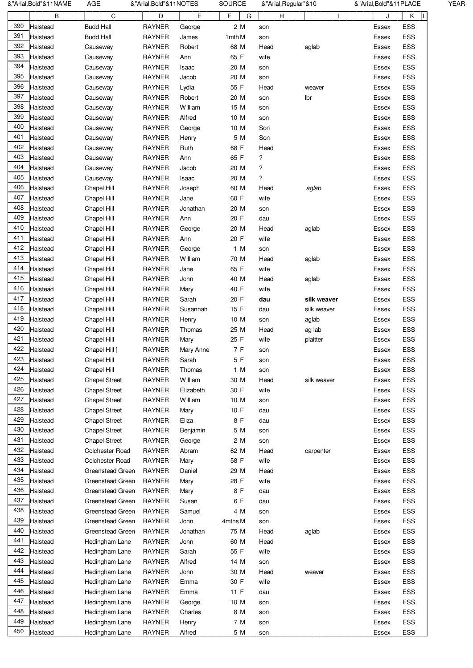|     | &"Arial,Bold"&11NAME | AGE                        | &"Arial,Bold"&11NOTES          |           | <b>SOURCE</b> | &"Arial, Regular"&10 |                            | &"Arial,Bold"&11PLACE |            | <b>YEAR</b> |
|-----|----------------------|----------------------------|--------------------------------|-----------|---------------|----------------------|----------------------------|-----------------------|------------|-------------|
|     | В                    | C                          | D                              | E         | F<br>G        | н                    |                            | J                     | Κ<br>L     |             |
| 390 | Halstead             | <b>Budd Hall</b>           | <b>RAYNER</b>                  | George    | 2 M           | son                  |                            | Essex                 | ESS        |             |
| 391 | Halstead             | <b>Budd Hall</b>           | <b>RAYNER</b>                  | James     | 1 mth M       | son                  |                            | Essex                 | ESS        |             |
| 392 | Halstead             | Causeway                   | <b>RAYNER</b>                  | Robert    | 68 M          | Head                 | aglab                      | Essex                 | ESS        |             |
| 393 | Halstead             | Causeway                   | <b>RAYNER</b>                  | Ann       | 65 F          | wife                 |                            | Essex                 | ESS        |             |
| 394 | Halstead             | Causeway                   | <b>RAYNER</b>                  | Isaac     | 20 M          | son                  |                            | Essex                 | ESS        |             |
| 395 | Halstead             | Causeway                   | <b>RAYNER</b>                  | Jacob     | 20 M          | son                  |                            | Essex                 | ESS        |             |
| 396 | Halstead             | Causeway                   | <b>RAYNER</b>                  | Lydia     | 55 F          | Head                 | weaver                     | Essex                 | ESS        |             |
| 397 | Halstead             | Causeway                   | <b>RAYNER</b>                  | Robert    | 20 M          | son                  | Ibr                        | Essex                 | ESS        |             |
| 398 | Halstead             | Causeway                   | <b>RAYNER</b>                  | William   | 15 M          | son                  |                            | Essex                 | ESS        |             |
| 399 | Halstead             | Causeway                   | <b>RAYNER</b>                  | Alfred    | 10 M          | son                  |                            | Essex                 | ESS        |             |
| 400 | Halstead             | Causeway                   | <b>RAYNER</b>                  | George    | 10 M          | Son                  |                            | Essex                 | ESS        |             |
| 401 | Halstead             | Causeway                   | <b>RAYNER</b>                  | Henry     | 5 M           | Son                  |                            | Essex                 | ESS        |             |
| 402 | Halstead             | Causeway                   | <b>RAYNER</b>                  | Ruth      | 68 F          | Head                 |                            | Essex                 | ESS        |             |
| 403 | Halstead             | Causeway                   | <b>RAYNER</b>                  | Ann       | 65 F          | ?                    |                            | Essex                 | ESS        |             |
| 404 | Halstead             | Causeway                   | <b>RAYNER</b>                  | Jacob     | 20 M          | ?                    |                            | Essex                 | ESS        |             |
| 405 | Halstead             | Causeway                   | <b>RAYNER</b>                  | Isaac     | 20 M          | ?                    |                            | Essex                 | ESS        |             |
| 406 | Halstead             | Chapel Hill                | <b>RAYNER</b>                  | Joseph    | 60 M          | Head                 | aglab                      | Essex                 | ESS        |             |
| 407 |                      | Chapel Hill                |                                |           | 60 F          | wife                 |                            |                       | ESS        |             |
| 408 | Halstead             |                            | <b>RAYNER</b>                  | Jane      | 20 M          |                      |                            | Essex                 | ESS        |             |
| 409 | Halstead             | Chapel Hill<br>Chapel Hill | <b>RAYNER</b>                  | Jonathan  |               | son                  |                            | Essex                 |            |             |
| 410 | Halstead             |                            | <b>RAYNER</b><br><b>RAYNER</b> | Ann       | 20 F          | dau                  |                            | Essex                 | ESS        |             |
| 411 | Halstead             | Chapel Hill                |                                | George    | 20 M<br>20 F  | Head                 | aglab                      | Essex                 | ESS<br>ESS |             |
| 412 | Halstead             | Chapel Hill                | <b>RAYNER</b>                  | Ann       |               | wife                 |                            | Essex                 |            |             |
| 413 | Halstead             | Chapel Hill                | <b>RAYNER</b>                  | George    | 1 M           | son                  |                            | Essex                 | ESS        |             |
| 414 | Halstead             | Chapel Hill                | <b>RAYNER</b>                  | William   | 70 M          | Head<br>wife         | aglab                      | Essex                 | ESS        |             |
| 415 | Halstead             | Chapel Hill                | <b>RAYNER</b>                  | Jane      | 65 F          |                      |                            | Essex                 | ESS        |             |
| 416 | Halstead             | Chapel Hill                | <b>RAYNER</b>                  | John      | 40 M          | Head                 | aglab                      | Essex                 | ESS        |             |
| 417 | Halstead             | Chapel Hill                | <b>RAYNER</b>                  | Mary      | 40 F          | wife                 |                            | Essex                 | ESS        |             |
| 418 | Halstead             | Chapel Hill                | <b>RAYNER</b>                  | Sarah     | 20 F          | dau                  | silk weaver<br>silk weaver | Essex                 | ESS<br>ESS |             |
| 419 | Halstead             | Chapel Hill                | <b>RAYNER</b>                  | Susannah  | 15 F          | dau                  |                            | Essex                 |            |             |
| 420 | Halstead             | Chapel Hill                | <b>RAYNER</b>                  | Henry     | 10 M          | son                  | aglab                      | Essex                 | ESS        |             |
| 421 | Halstead             | Chapel Hill                | <b>RAYNER</b>                  | Thomas    | 25 M          | Head                 | ag lab                     | Essex                 | ESS        |             |
| 422 | Halstead             | Chapel Hill                | <b>RAYNER</b>                  | Mary      | 25 F          | wife                 | plaitter                   | <b>Essex</b>          | ESS        |             |
| 423 | Halstead             | Chapel Hill ]              | <b>RAYNER</b>                  | Mary Anne | 7 F           | son                  |                            | Essex                 | ESS        |             |
| 424 | Halstead             | Chapel Hill                | RAYNER                         | Sarah     | 5 F           | son                  |                            | Essex                 | ESS        |             |
| 425 | Halstead             | Chapel Hill                | <b>RAYNER</b>                  | Thomas    | 1 M           | son                  |                            | Essex                 | ESS        |             |
| 426 | Halstead             | <b>Chapel Street</b>       | <b>RAYNER</b>                  | William   | 30 M          | Head                 | silk weaver                | Essex                 | ESS        |             |
|     | Halstead             | <b>Chapel Street</b>       | RAYNER                         | Elizabeth | 30 F          | wife                 |                            | Essex                 | ESS        |             |
| 427 | Halstead             | <b>Chapel Street</b>       | <b>RAYNER</b>                  | William   | 10 M          | son                  |                            | Essex                 | ESS        |             |
| 428 | Halstead             | <b>Chapel Street</b>       | <b>RAYNER</b>                  | Mary      | 10 F          | dau                  |                            | Essex                 | ESS        |             |
| 429 | Halstead             | <b>Chapel Street</b>       | <b>RAYNER</b>                  | Eliza     | 8 F           | dau                  |                            | Essex                 | ESS        |             |
| 430 | Halstead             | <b>Chapel Street</b>       | <b>RAYNER</b>                  | Benjamin  | 5 M           | son                  |                            | Essex                 | ESS        |             |
| 431 | Halstead             | <b>Chapel Street</b>       | <b>RAYNER</b>                  | George    | 2 M           | son                  |                            | Essex                 | ESS        |             |
| 432 | Halstead             | Colchester Road            | <b>RAYNER</b>                  | Abram     | 62 M          | Head                 | carpenter                  | Essex                 | ESS        |             |
| 433 | Halstead             | Colchester Road            | <b>RAYNER</b>                  | Mary      | 58 F          | wife                 |                            | Essex                 | ESS        |             |
| 434 | Halstead             | Greenstead Green           | <b>RAYNER</b>                  | Daniel    | 29 M          | Head                 |                            | Essex                 | ESS        |             |
| 435 | Halstead             | Greenstead Green           | <b>RAYNER</b>                  | Mary      | 28 F          | wife                 |                            | Essex                 | ESS        |             |
| 436 | Halstead             | Greenstead Green           | <b>RAYNER</b>                  | Mary      | 8 F           | dau                  |                            | Essex                 | ESS        |             |
| 437 | Halstead             | Greenstead Green           | <b>RAYNER</b>                  | Susan     | 6 F           | dau                  |                            | Essex                 | ESS        |             |
| 438 | Halstead             | Greenstead Green           | <b>RAYNER</b>                  | Samuel    | 4 M           | son                  |                            | Essex                 | ESS        |             |
| 439 | Halstead             | Greenstead Green           | <b>RAYNER</b>                  | John      | 4mths M       | son                  |                            | Essex                 | ESS        |             |
| 440 | Halstead             | Greenstead Green           | <b>RAYNER</b>                  | Jonathan  | 75 M          | Head                 | aglab                      | Essex                 | ESS        |             |
| 441 | Halstead             | Hedingham Lane             | <b>RAYNER</b>                  | John      | 60 M          | Head                 |                            | Essex                 | ESS        |             |
| 442 | Halstead             | Hedingham Lane             | RAYNER                         | Sarah     | 55 F          | wife                 |                            | Essex                 | ESS        |             |
| 443 | Halstead             | Hedingham Lane             | <b>RAYNER</b>                  | Alfred    | 14 M          | son                  |                            | Essex                 | ESS        |             |
| 444 | Halstead             | Hedingham Lane             | <b>RAYNER</b>                  | John      | 30 M          | Head                 | weaver                     | Essex                 | ESS        |             |
| 445 | Halstead             | Hedingham Lane             | <b>RAYNER</b>                  | Emma      | 30 F          | wife                 |                            | Essex                 | ESS        |             |
| 446 | Halstead             | Hedingham Lane             | <b>RAYNER</b>                  | Emma      | 11 F          | dau                  |                            | Essex                 | ESS        |             |
| 447 | Halstead             | Hedingham Lane             | <b>RAYNER</b>                  | George    | 10 M          | son                  |                            | Essex                 | ESS        |             |
| 448 | Halstead             | Hedingham Lane             | <b>RAYNER</b>                  | Charles   | 8 M           | son                  |                            | Essex                 | ESS        |             |
| 449 | Halstead             | Hedingham Lane             | <b>RAYNER</b>                  | Henry     | 7 M           | son                  |                            | Essex                 | ESS        |             |
| 450 | Halstead             | Hedingham Lane             | <b>RAYNER</b>                  | Alfred    | 5 M           | son                  |                            | Essex                 | <b>ESS</b> |             |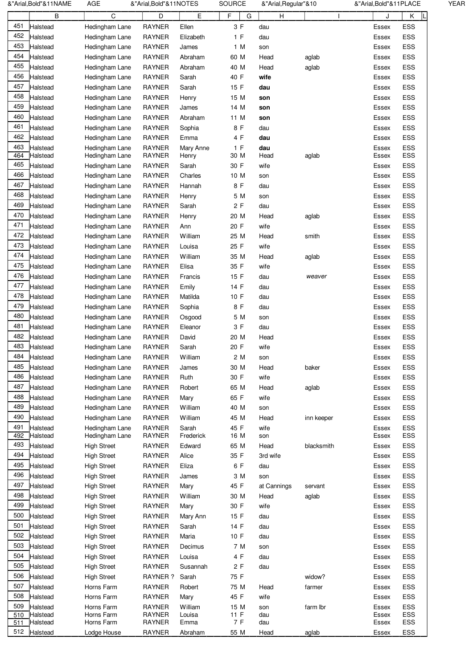|     | &"Arial,Bold"&11NAME | <b>AGE</b>         | &"Arial, Bold"&11NOTES |           | <b>SOURCE</b> | &"Arial, Regular"&10 |            | &"Arial, Bold"& 11 PLACE |            | <b>YEAR</b> |
|-----|----------------------|--------------------|------------------------|-----------|---------------|----------------------|------------|--------------------------|------------|-------------|
|     | В                    | С                  | D                      | E         | F<br>G        | H                    |            | J                        | Κ          |             |
| 451 | Halstead             | Hedingham Lane     | <b>RAYNER</b>          | Ellen     | 3 F           | dau                  |            | Essex                    | ESS        |             |
| 452 | Halstead             | Hedingham Lane     | <b>RAYNER</b>          | Elizabeth | 1 F           | dau                  |            | Essex                    | ESS        |             |
| 453 | Halstead             | Hedingham Lane     | <b>RAYNER</b>          | James     | 1 M           | son                  |            | Essex                    | ESS        |             |
| 454 | Halstead             | Hedingham Lane     | <b>RAYNER</b>          | Abraham   | 60 M          | Head                 | aglab      | Essex                    | ESS        |             |
| 455 | Halstead             | Hedingham Lane     | <b>RAYNER</b>          | Abraham   | 40 M          | Head                 | aglab      | Essex                    | ESS        |             |
| 456 | Halstead             | Hedingham Lane     | <b>RAYNER</b>          | Sarah     | 40 F          | wife                 |            | Essex                    | ESS        |             |
| 457 | Halstead             | Hedingham Lane     | <b>RAYNER</b>          | Sarah     | 15 F          | dau                  |            | Essex                    | ESS        |             |
| 458 | Halstead             | Hedingham Lane     | <b>RAYNER</b>          | Henry     | 15 M          | son                  |            | Essex                    | ESS        |             |
| 459 | Halstead             | Hedingham Lane     | <b>RAYNER</b>          | James     | 14 M          | son                  |            | Essex                    | ESS        |             |
| 460 | Halstead             | Hedingham Lane     | <b>RAYNER</b>          | Abraham   | 11 M          | son                  |            | Essex                    | ESS        |             |
| 461 | Halstead             | Hedingham Lane     | <b>RAYNER</b>          | Sophia    | 8 F           | dau                  |            | Essex                    | ESS        |             |
| 462 | Halstead             | Hedingham Lane     | <b>RAYNER</b>          | Emma      | 4 F           | dau                  |            | Essex                    | ESS        |             |
| 463 | Halstead             | Hedingham Lane     | <b>RAYNER</b>          | Mary Anne | 1 F           | dau                  |            | Essex                    | ESS        |             |
| 464 | Halstead             | Hedingham Lane     | <b>RAYNER</b>          | Henry     | 30 M          | Head                 | aglab      | Essex                    | ESS        |             |
| 465 | Halstead             | Hedingham Lane     | <b>RAYNER</b>          | Sarah     | 30 F          | wife                 |            | Essex                    | ESS        |             |
| 466 | Halstead             | Hedingham Lane     | <b>RAYNER</b>          | Charles   | 10 M          | son                  |            | Essex                    | ESS        |             |
| 467 | Halstead             | Hedingham Lane     | <b>RAYNER</b>          | Hannah    | 8 F           | dau                  |            | Essex                    | ESS        |             |
| 468 | Halstead             | Hedingham Lane     | RAYNER                 | Henry     | 5 M           | son                  |            | Essex                    | ESS        |             |
| 469 | Halstead             | Hedingham Lane     | <b>RAYNER</b>          | Sarah     | 2F            | dau                  |            | Essex                    | ESS        |             |
| 470 | Halstead             | Hedingham Lane     | <b>RAYNER</b>          | Henry     | 20 M          | Head                 | aglab      | Essex                    | ESS        |             |
| 471 | Halstead             | Hedingham Lane     | <b>RAYNER</b>          | Ann       | 20 F          | wife                 |            | Essex                    | ESS        |             |
| 472 | Halstead             | Hedingham Lane     | <b>RAYNER</b>          | William   | 25 M          | Head                 | smith      | Essex                    | ESS        |             |
| 473 | Halstead             | Hedingham Lane     | <b>RAYNER</b>          | Louisa    | 25 F          | wife                 |            | Essex                    | ESS        |             |
| 474 | Halstead             | Hedingham Lane     | <b>RAYNER</b>          | William   | 35 M          | Head                 | aglab      | Essex                    | ESS        |             |
| 475 | Halstead             | Hedingham Lane     | <b>RAYNER</b>          | Elisa     | 35 F          | wife                 |            | Essex                    | ESS        |             |
| 476 | Halstead             | Hedingham Lane     | <b>RAYNER</b>          | Francis   | 15 F          | dau                  | weaver     | Essex                    | ESS        |             |
| 477 | Halstead             | Hedingham Lane     | <b>RAYNER</b>          | Emily     | 14 F          | dau                  |            | Essex                    | ESS        |             |
| 478 | Halstead             | Hedingham Lane     | <b>RAYNER</b>          | Matilda   | 10 F          | dau                  |            | Essex                    | ESS        |             |
| 479 | Halstead             | Hedingham Lane     | <b>RAYNER</b>          | Sophia    | 8 F           | dau                  |            | Essex                    | ESS        |             |
| 480 | Halstead             | Hedingham Lane     | <b>RAYNER</b>          | Osgood    | 5 M           | son                  |            | Essex                    | ESS        |             |
| 481 | Halstead             | Hedingham Lane     | <b>RAYNER</b>          | Eleanor   | 3 F           | dau                  |            | Essex                    | ESS        |             |
| 482 | <b>Halstead</b>      | Hedingham Lane     | <b>RAYNER</b>          | David     | 20 M          | Head                 |            | Essex                    | ESS        |             |
| 483 | Halstead             | Hedingham Lane     | <b>RAYNER</b>          | Sarah     | 20 F          | wife                 |            | Essex                    | ESS        |             |
| 484 | Halstead             | Hedingham Lane     | <b>RAYNER</b>          | William   | 2 M           | son                  |            | Essex                    | ESS        |             |
| 485 | Halstead             | Hedingham Lane     | <b>RAYNER</b>          | James     | 30 M          | Head                 | baker      | Essex                    | ESS        |             |
| 486 | Halstead             | Hedingham Lane     | <b>RAYNER</b>          | Ruth      | 30 F          | wife                 |            | Essex                    | ESS        |             |
| 487 | Halstead             | Hedingham Lane     | <b>RAYNER</b>          | Robert    | 65 M          | Head                 | aglab      | Essex                    | ESS        |             |
| 488 | Halstead             | Hedingham Lane     | <b>RAYNER</b>          | Mary      | 65 F          | wife                 |            | Essex                    | ESS        |             |
| 489 | Halstead             | Hedingham Lane     | <b>RAYNER</b>          | William   | 40 M          | son                  |            | Essex                    | ESS        |             |
| 490 | Halstead             | Hedingham Lane     | <b>RAYNER</b>          | William   | 45 M          | Head                 | inn keeper | Essex                    | ESS        |             |
| 491 | Halstead             | Hedingham Lane     | <b>RAYNER</b>          | Sarah     | 45 F          | wife                 |            | Essex                    | ESS        |             |
| 492 | Halstead             | Hedingham Lane     | <b>RAYNER</b>          | Frederick | 16 M          | son                  |            | Essex                    | ESS        |             |
| 493 | Halstead             | <b>High Street</b> | <b>RAYNER</b>          | Edward    | 65 M          | Head                 | blacksmith | Essex                    | ESS        |             |
| 494 | Halstead             | <b>High Street</b> | <b>RAYNER</b>          | Alice     | 35 F          | 3rd wife             |            | Essex                    | ESS        |             |
| 495 | Halstead             | <b>High Street</b> | <b>RAYNER</b>          | Eliza     | 6 F           | dau                  |            | Essex                    | ESS        |             |
| 496 | Halstead             | <b>High Street</b> | <b>RAYNER</b>          | James     | 3 M           | son                  |            | Essex                    | ESS        |             |
| 497 | Halstead             | <b>High Street</b> | <b>RAYNER</b>          | Mary      | 45 F          | at Cannings          | servant    | Essex                    | ESS        |             |
| 498 | Halstead             | <b>High Street</b> | <b>RAYNER</b>          | William   | 30 M          | Head                 | aglab      | Essex                    | ESS        |             |
| 499 | Halstead             | <b>High Street</b> | <b>RAYNER</b>          | Mary      | 30 F          | wife                 |            | Essex                    | ESS        |             |
| 500 | Halstead             | <b>High Street</b> | <b>RAYNER</b>          | Mary Ann  | 15 F          | dau                  |            | Essex                    | ESS        |             |
| 501 | Halstead             | <b>High Street</b> | <b>RAYNER</b>          | Sarah     | 14 F          | dau                  |            | Essex                    | ESS        |             |
| 502 | Halstead             | <b>High Street</b> | <b>RAYNER</b>          | Maria     | 10 F          | dau                  |            | Essex                    | ESS        |             |
| 503 | Halstead             | <b>High Street</b> | <b>RAYNER</b>          | Decimus   | 7 M           | son                  |            | Essex                    | ESS        |             |
| 504 | Halstead             | <b>High Street</b> | <b>RAYNER</b>          | Louisa    | 4 F           | dau                  |            | Essex                    | ESS        |             |
| 505 | Halstead             | <b>High Street</b> | <b>RAYNER</b>          | Susannah  | 2F            | dau                  |            | Essex                    | ESS        |             |
| 506 | Halstead             | <b>High Street</b> | RAYNER ?               | Sarah     | 75 F          |                      | widow?     | Essex                    | ESS        |             |
| 507 | Halstead             | Horns Farm         | <b>RAYNER</b>          | Robert    | 75 M          | Head                 | farmer     | Essex                    | ESS        |             |
| 508 | Halstead             | Horns Farm         | <b>RAYNER</b>          | Mary      | 45 F          | wife                 |            | Essex                    | ESS        |             |
| 509 | <b>Halstead</b>      | Horns Farm         | <b>RAYNER</b>          | William   | 15 M          | son                  | farm lbr   | Essex                    | <b>ESS</b> |             |
| 510 | Halstead             | Horns Farm         | <b>RAYNER</b>          | Louisa    | 11F           | dau                  |            | Essex                    | ESS        |             |
| 511 | Halstead             | Horns Farm         | <b>RAYNER</b>          | Emma      | 7 F           | dau                  |            | Essex                    | ESS        |             |
| 512 | Halstead             | Lodge House        | <b>RAYNER</b>          | Abraham   | 55 M          | Head                 | aglab      | Essex                    | ESS        |             |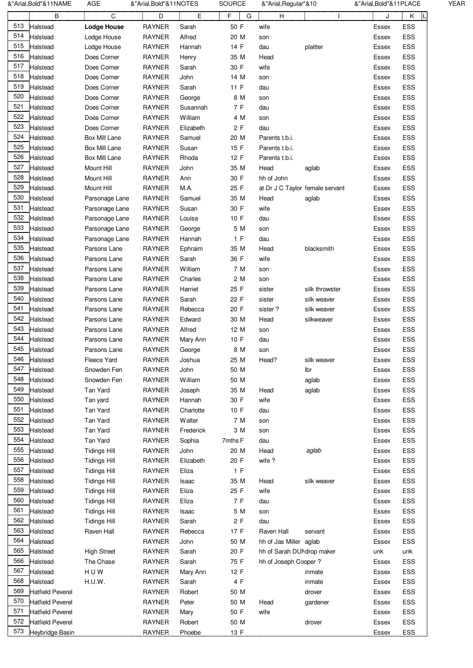|     | &"Arial, Bold"&11NAME   | AGE                 | &"Arial,Bold"&11NOTES |           | SOURCE    | &"Arial, Regular"&10            |                | &"Arial,Bold"&11PLACE |     | <b>YEAR</b> |
|-----|-------------------------|---------------------|-----------------------|-----------|-----------|---------------------------------|----------------|-----------------------|-----|-------------|
|     | B                       | C                   | D                     | E         | F<br>G    | H                               |                | J                     | Κ   |             |
| 513 | Halstead                | <b>Lodge House</b>  | <b>RAYNER</b>         | Sarah     | 50 F      | wife                            |                | Essex                 | ESS |             |
| 514 | Halstead                | Lodge House         | <b>RAYNER</b>         | Alfred    | 20 M      | son                             |                | Essex                 | ESS |             |
| 515 | Halstead                | Lodge House         | <b>RAYNER</b>         | Hannah    | 14 F      | dau                             | plaitter       | Essex                 | ESS |             |
| 516 | Halstead                | Does Corner         | <b>RAYNER</b>         | Henry     | 35 M      | Head                            |                | Essex                 | ESS |             |
| 517 | Halstead                | Does Corner         | <b>RAYNER</b>         | Sarah     | 30 F      | wife                            |                | Essex                 | ESS |             |
| 518 | Halstead                | Does Corner         | <b>RAYNER</b>         | John      | 14 M      |                                 |                | Essex                 | ESS |             |
| 519 | Halstead                | Does Corner         | <b>RAYNER</b>         | Sarah     | 11 F      | son<br>dau                      |                | Essex                 | ESS |             |
| 520 | Halstead                | Does Corner         | <b>RAYNER</b>         | George    | 8 M       | son                             |                | Essex                 | ESS |             |
| 521 | Halstead                | Does Corner         | <b>RAYNER</b>         | Susannah  | 7 F       | dau                             |                | Essex                 | ESS |             |
| 522 |                         |                     |                       |           |           |                                 |                |                       | ESS |             |
| 523 | Halstead                | Does Corner         | <b>RAYNER</b>         | William   | 4 M<br>2F | son                             |                | Essex                 |     |             |
| 524 | Halstead                | Does Corner         | <b>RAYNER</b>         | Elizabeth |           | dau                             |                | Essex                 | ESS |             |
| 525 | Halstead                | Box Mill Lane       | <b>RAYNER</b>         | Samuel    | 20 M      | Parents t.b.i.                  |                | Essex                 | ESS |             |
|     | Halstead                | Box Mill Lane       | RAYNER                | Susan     | 15 F      | Parents t.b.i.                  |                | Essex                 | ESS |             |
| 526 | Halstead                | Box Mill Lane       | <b>RAYNER</b>         | Rhoda     | 12 F      | Parents t.b.i.                  |                | Essex                 | ESS |             |
| 527 | Halstead                | Mount Hill          | <b>RAYNER</b>         | John      | 35 M      | Head                            | aglab          | Essex                 | ESS |             |
| 528 | Halstead                | Mount Hill          | <b>RAYNER</b>         | Ann       | 30 F      | hh of John                      |                | Essex                 | ESS |             |
| 529 | Halstead                | Mount Hill          | <b>RAYNER</b>         | M.A.      | 25 F      | at Dr J C Taylor female servant |                | Essex                 | ESS |             |
| 530 | Halstead                | Parsonage Lane      | <b>RAYNER</b>         | Samuel    | 35 M      | Head                            | aglab          | Essex                 | ESS |             |
| 531 | Halstead                | Parsonage Lane      | <b>RAYNER</b>         | Susan     | 30 F      | wife                            |                | Essex                 | ESS |             |
| 532 | Halstead                | Parsonage Lane      | <b>RAYNER</b>         | Louisa    | 10 F      | dau                             |                | Essex                 | ESS |             |
| 533 | Halstead                | Parsonage Lane      | RAYNER                | George    | 5 M       | son                             |                | Essex                 | ESS |             |
| 534 | Halstead                | Parsonage Lane      | <b>RAYNER</b>         | Hannah    | 1 F       | dau                             |                | Essex                 | ESS |             |
| 535 | Halstead                | Parsons Lane        | <b>RAYNER</b>         | Ephraim   | 35 M      | Head                            | blacksmith     | Essex                 | ESS |             |
| 536 | Halstead                | Parsons Lane        | <b>RAYNER</b>         | Sarah     | 36 F      | wife                            |                | Essex                 | ESS |             |
| 537 | Halstead                | Parsons Lane        | <b>RAYNER</b>         | William   | 7 M       | son                             |                | Essex                 | ESS |             |
| 538 | Halstead                | Parsons Lane        | <b>RAYNER</b>         | Charles   | 2 M       | son                             |                | Essex                 | ESS |             |
| 539 | Halstead                | Parsons Lane        | <b>RAYNER</b>         | Harriet   | 25 F      | sister                          | silk throwster | Essex                 | ESS |             |
| 540 | Halstead                | Parsons Lane        | <b>RAYNER</b>         | Sarah     | 22 F      | sister                          | silk weaver    | Essex                 | ESS |             |
| 541 | Halstead                | Parsons Lane        | <b>RAYNER</b>         | Rebecca   | 20 F      | sister?                         | silk weaver    | Essex                 | ESS |             |
| 542 | Halstead                | Parsons Lane        | RAYNER                | Edward    | 30 M      | Head                            | silkweaver     | Essex                 | ESS |             |
| 543 | Halstead                | Parsons Lane        | <b>RAYNER</b>         | Alfred    | 12 M      | son                             |                | Essex                 | ESS |             |
| 544 | Halstead                | Parsons Lane        | <b>RAYNER</b>         | Mary Ann  | 10 F      | dau                             |                | Essex                 | ESS |             |
| 545 | Halstead                | Parsons Lane        | <b>RAYNER</b>         | George    | 8 M       | son                             |                | Essex                 | ESS |             |
| 546 | Halstead                | Fleece Yard         | <b>RAYNER</b>         | Joshua    | 25 M      | Head?                           | silk weaver    | Essex                 | ESS |             |
| 547 | Halstead                | Snowden Fen         | <b>RAYNER</b>         | John      | 50 M      |                                 | Ibr            | Essex                 | ESS |             |
| 548 | Halstead                | Snowden Fen         | <b>RAYNER</b>         | William   | 50 M      |                                 | aglab          | Essex                 | ESS |             |
| 549 | Halstead                | Tan Yard            | <b>RAYNER</b>         | Joseph    | 35 M      | Head                            | aglab          | Essex                 | ESS |             |
| 550 | Halstead                | Tan yard            | <b>RAYNER</b>         | Hannah    | 30 F      | wife                            |                | Essex                 | ESS |             |
| 551 | Halstead                | Tan Yard            | <b>RAYNER</b>         | Charlotte | 10 F      | dau                             |                | Essex                 | ESS |             |
| 552 | Halstead                | Tan Yard            | <b>RAYNER</b>         | Walter    | 7 M       | son                             |                | Essex                 | ESS |             |
| 553 | Halstead                | Tan Yard            | <b>RAYNER</b>         | Frederick | 3 M       | son                             |                | Essex                 | ESS |             |
| 554 | Halstead                | Tan Yard            | <b>RAYNER</b>         | Sophia    | 7mths F   | dau                             |                | Essex                 | ESS |             |
| 555 | Halstead                | <b>Tidings Hill</b> | <b>RAYNER</b>         | John      | 20 M      | Head                            | aglab          | Essex                 | ESS |             |
| 556 | Halstead                | <b>Tidings Hill</b> | <b>RAYNER</b>         | Elizabeth | 20 F      | wife?                           |                | Essex                 | ESS |             |
| 557 | Halstead                | <b>Tidings Hill</b> | <b>RAYNER</b>         | Eliza     | 1 F       |                                 |                | Essex                 | ESS |             |
| 558 | Halstead                | <b>Tidings Hill</b> | <b>RAYNER</b>         | Isaac     | 35 M      | Head                            | silk weaver    | Essex                 | ESS |             |
| 559 | Halstead                | <b>Tidings Hill</b> | <b>RAYNER</b>         | Eliza     | 25 F      | wife                            |                | Essex                 | ESS |             |
| 560 | Halstead                | <b>Tidings Hill</b> | <b>RAYNER</b>         | Eliza     | 7 F       | dau                             |                | Essex                 | ESS |             |
| 561 | Halstead                | <b>Tidings Hill</b> | <b>RAYNER</b>         | Isaac     | 5 M       | son                             |                | Essex                 | ESS |             |
| 562 | Halstead                | <b>Tidings Hill</b> | <b>RAYNER</b>         | Sarah     | 2F        | dau                             |                | Essex                 | ESS |             |
| 563 | Halstead                | Raven Hall          | <b>RAYNER</b>         | Rebecca   | 17 F      | Raven Hall                      | servant        | Essex                 | ESS |             |
| 564 | Halstead                |                     | <b>RAYNER</b>         | John      | 50 M      | hh of Jas Miller aglab          |                | Essex                 | ESS |             |
| 565 | Halstead                | <b>High Street</b>  | <b>RAYNER</b>         | Sarah     | 20 F      | hh of Sarah DUNdrop maker       |                | unk                   | unk |             |
| 566 | Halstead                | The Chase           | <b>RAYNER</b>         | Sarah     | 75 F      | hh of Joseph Cooper?            |                | Essex                 | ESS |             |
| 567 | Halstead                | HUW                 | <b>RAYNER</b>         | Mary Ann  | 12 F      |                                 | inmate         | Essex                 | ESS |             |
| 568 | Halstead                | H.U.W.              | <b>RAYNER</b>         | Sarah     | 4 F       |                                 | inmate         | Essex                 | ESS |             |
| 569 | <b>Hatfield Peverel</b> |                     | <b>RAYNER</b>         | Robert    | 50 M      |                                 | drover         | Essex                 | ESS |             |
| 570 | <b>Hatfield Peverel</b> |                     | <b>RAYNER</b>         | Peter     | 50 M      | Head                            | gardener       | Essex                 | ESS |             |
| 571 | <b>Hatfield Peverel</b> |                     | <b>RAYNER</b>         | Mary      | 50 F      | wife                            |                | Essex                 | ESS |             |
| 572 | <b>Hatfield Peverel</b> |                     | <b>RAYNER</b>         | Robert    | 50 M      |                                 | drover         | Essex                 | ESS |             |
| 573 | Heybridge Basin         |                     | <b>RAYNER</b>         | Phoebe    | 13 F      |                                 |                | Essex                 | ESS |             |
|     |                         |                     |                       |           |           |                                 |                |                       |     |             |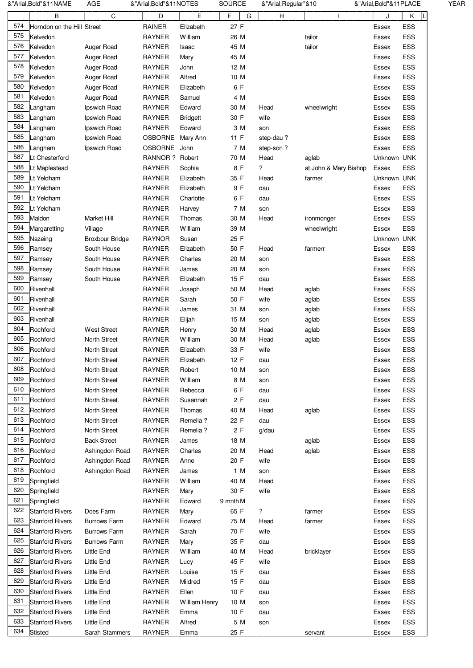|     | &"Arial,Bold"&11NAME       | AGE                    | &"Arial,Bold"&11NOTES |                 | <b>SOURCE</b> |   | &"Arial, Regular"&10 |                       | &"Arial,Bold"&11PLACE |            | YEAR |
|-----|----------------------------|------------------------|-----------------------|-----------------|---------------|---|----------------------|-----------------------|-----------------------|------------|------|
|     | B                          | C                      | D                     | Е               | F             | G | H                    |                       | J                     | Κ          |      |
| 574 | Horndon on the Hill Street |                        | <b>RAINER</b>         | Elizabeth       | 27 F          |   |                      |                       | Essex                 | ESS        |      |
| 575 | Kelvedon                   |                        | <b>RAYNER</b>         | William         | 26 M          |   |                      | tailor                | Essex                 | <b>ESS</b> |      |
| 576 | Kelvedon                   | Auger Road             | <b>RAYNER</b>         | Isaac           | 45 M          |   |                      | tailor                | Essex                 | ESS        |      |
| 577 | Kelvedon                   | Auger Road             | <b>RAYNER</b>         | Mary            | 45 M          |   |                      |                       | Essex                 | ESS        |      |
| 578 | Kelvedon                   | Auger Road             | <b>RAYNER</b>         | John            | 12 M          |   |                      |                       | Essex                 | ESS        |      |
| 579 | Kelvedon                   | Auger Road             | <b>RAYNER</b>         | Alfred          | 10 M          |   |                      |                       |                       | ESS        |      |
| 580 |                            |                        |                       |                 |               |   |                      |                       | Essex                 |            |      |
| 581 | Kelvedon                   | Auger Road             | <b>RAYNER</b>         | Elizabeth       | 6 F           |   |                      |                       | Essex                 | ESS        |      |
|     | Kelvedon                   | Auger Road             | <b>RAYNER</b>         | Samuel          | 4 M           |   |                      |                       | Essex                 | ESS        |      |
| 582 | Langham                    | Ipswich Road           | <b>RAYNER</b>         | Edward          | 30 M          |   | Head                 | wheelwright           | Essex                 | ESS        |      |
| 583 | Langham                    | Ipswich Road           | <b>RAYNER</b>         | <b>Bridgett</b> | 30 F          |   | wife                 |                       | Essex                 | ESS        |      |
| 584 | Langham                    | Ipswich Road           | <b>RAYNER</b>         | Edward          | 3 M           |   | son                  |                       | Essex                 | ESS        |      |
| 585 | Langham                    | Ipswich Road           | OSBORNE Mary Ann      |                 | 11 F          |   | step-dau?            |                       | Essex                 | ESS        |      |
| 586 | Langham                    | Ipswich Road           | OSBORNE John          |                 | 7 M           |   | step-son?            |                       | Essex                 | <b>ESS</b> |      |
| 587 | Lt Chesterford             |                        | RANNOR ? Robert       |                 | 70 M          |   | Head                 | aglab                 | Unknown UNK           |            |      |
| 588 | Lt Maplestead              |                        | <b>RAYNER</b>         | Sophia          | 8 F           |   | ?                    | at John & Mary Bishop | Essex                 | <b>ESS</b> |      |
| 589 | Lt Yeldham                 |                        | <b>RAYNER</b>         | Elizabeth       | 35 F          |   | Head                 | farmer                | Unknown UNK           |            |      |
| 590 | Lt Yeldham                 |                        | <b>RAYNER</b>         | Elizabeth       | 9 F           |   | dau                  |                       | Essex                 | ESS        |      |
| 591 | Lt Yeldham                 |                        | <b>RAYNER</b>         | Charlotte       | 6 F           |   | dau                  |                       | Essex                 | ESS        |      |
| 592 | Lt Yeldham                 |                        | <b>RAYNER</b>         | Harvey          | 7 M           |   | son                  |                       | Essex                 | ESS        |      |
| 593 | Maldon                     | Market Hill            | <b>RAYNER</b>         | Thomas          | 30 M          |   | Head                 | ironmonger            | Essex                 | ESS        |      |
| 594 | Margaretting               | Village                | <b>RAYNER</b>         | William         | 39 M          |   |                      | wheelwright           | Essex                 | <b>ESS</b> |      |
| 595 | Nazeing                    | <b>Broxbour Bridge</b> | <b>RAYNOR</b>         | Susan           | 25 F          |   |                      |                       | Unknown UNK           |            |      |
| 596 | Ramsey                     | South House            | <b>RAYNER</b>         | Elizabeth       | 50 F          |   | Head                 | farmerr               | Essex                 | ESS        |      |
| 597 | Ramsey                     | South House            | <b>RAYNER</b>         | Charles         | 20 M          |   | son                  |                       | Essex                 | ESS        |      |
| 598 | Ramsey                     | South House            | <b>RAYNER</b>         | James           | 20 M          |   | son                  |                       | Essex                 | ESS        |      |
| 599 | Ramsey                     | South House            | <b>RAYNER</b>         | Elizabeth       | 15 F          |   | dau                  |                       | Essex                 | ESS        |      |
| 600 | Rivenhall                  |                        | <b>RAYNER</b>         | Joseph          | 50 M          |   | Head                 | aglab                 | Essex                 | <b>ESS</b> |      |
| 601 | Rivenhall                  |                        | <b>RAYNER</b>         | Sarah           | 50 F          |   | wife                 |                       |                       | ESS        |      |
| 602 | Rivenhall                  |                        | <b>RAYNER</b>         |                 |               |   |                      | aglab                 | Essex                 | <b>ESS</b> |      |
| 603 |                            |                        |                       | James           | 31 M          |   | son                  | aglab                 | Essex                 |            |      |
|     | Rivenhall                  |                        | <b>RAYNER</b>         | Elijah          | 15 M          |   | son                  | aglab                 | Essex                 | ESS        |      |
| 604 | Rochford                   | <b>West Street</b>     | <b>RAYNER</b>         | Henry           | 30 M          |   | Head                 | aglab                 | Essex                 | ESS        |      |
| 605 | Rochford                   | North Street           | <b>RAYNER</b>         | William         | 30 M          |   | Head                 | aglab                 | Essex                 | ESS        |      |
| 606 | Rochford                   | <b>North Street</b>    | <b>RAYNER</b>         | Elizabeth       | 33 F          |   | wife                 |                       | Essex                 | ESS        |      |
| 607 | Rochford                   | North Street           | <b>RAYNER</b>         | Elizabeth       | 12 F          |   | dau                  |                       | Essex                 | ESS        |      |
| 608 | Rochford                   | North Street           | <b>RAYNER</b>         | Robert          | 10 M          |   | son                  |                       | Essex                 | ESS        |      |
| 609 | Rochford                   | North Street           | <b>RAYNER</b>         | William         | 8 M           |   | son                  |                       | Essex                 | ESS        |      |
| 610 | Rochford                   | North Street           | <b>RAYNER</b>         | Rebecca         | 6 F           |   | dau                  |                       | Essex                 | ESS        |      |
| 611 | Rochford                   | North Street           | <b>RAYNER</b>         | Susannah        | 2F            |   | dau                  |                       | Essex                 | ESS        |      |
| 612 | Rochford                   | North Street           | <b>RAYNER</b>         | Thomas          | 40 M          |   | Head                 | aglab                 | Essex                 | ESS        |      |
| 613 | Rochford                   | North Street           | <b>RAYNER</b>         | Remelia?        | 22 F          |   | dau                  |                       | Essex                 | ESS        |      |
| 614 | Rochford                   | North Street           | RAYNER                | Remelia?        | 2F            |   | g/dau                |                       | Essex                 | ESS        |      |
| 615 | Rochford                   | <b>Back Street</b>     | <b>RAYNER</b>         | James           | 18 M          |   |                      | aglab                 | Essex                 | ESS        |      |
| 616 | Rochford                   | Ashingdon Road         | RAYNER                | Charles         | 20 M          |   | Head                 | aglab                 | Essex                 | ESS        |      |
| 617 | Rochford                   | Ashingdon Road         | <b>RAYNER</b>         | Anne            | 20 F          |   | wife                 |                       | Essex                 | ESS        |      |
| 618 | Rochford                   | Ashingdon Road         | <b>RAYNER</b>         | James           | 1 M           |   | son                  |                       | Essex                 | ESS        |      |
| 619 | Springfield                |                        | <b>RAYNER</b>         | William         | 40 M          |   | Head                 |                       | Essex                 | ESS        |      |
| 620 | Springfield                |                        | <b>RAYNER</b>         | Mary            | 30 F          |   | wife                 |                       | Essex                 | ESS        |      |
| 621 | Springfield                |                        | <b>RAYNER</b>         | Edward          | 9 mnth M      |   |                      |                       | Essex                 | ESS        |      |
| 622 | <b>Stanford Rivers</b>     | Does Farm              | <b>RAYNER</b>         | Mary            | 65 F          |   | ?                    | farmer                | Essex                 | ESS        |      |
| 623 | <b>Stanford Rivers</b>     | <b>Burrows Farm</b>    | <b>RAYNER</b>         | Edward          | 75 M          |   | Head                 | farmer                | Essex                 | ESS        |      |
| 624 | <b>Stanford Rivers</b>     | <b>Burrows Farm</b>    | <b>RAYNER</b>         | Sarah           | 70 F          |   | wife                 |                       | Essex                 | ESS        |      |
| 625 | <b>Stanford Rivers</b>     | <b>Burrows Farm</b>    | <b>RAYNER</b>         |                 | 35 F          |   | dau                  |                       |                       | ESS        |      |
| 626 |                            |                        |                       | Mary            |               |   |                      |                       | Essex                 |            |      |
| 627 | <b>Stanford Rivers</b>     | Little End             | <b>RAYNER</b>         | William         | 40 M          |   | Head                 | bricklayer            | Essex                 | ESS        |      |
|     | <b>Stanford Rivers</b>     | Little End             | <b>RAYNER</b>         | Lucy            | 45 F          |   | wife                 |                       | Essex                 | ESS        |      |
| 628 | <b>Stanford Rivers</b>     | <b>Little End</b>      | <b>RAYNER</b>         | Louise          | 15 F          |   | dau                  |                       | Essex                 | ESS        |      |
| 629 | <b>Stanford Rivers</b>     | <b>Little End</b>      | <b>RAYNER</b>         | Mildred         | 15 F          |   | dau                  |                       | Essex                 | ESS        |      |
| 630 | <b>Stanford Rivers</b>     | <b>Little End</b>      | <b>RAYNER</b>         | Ellen           | 10 F          |   | dau                  |                       | Essex                 | ESS        |      |
| 631 | <b>Stanford Rivers</b>     | Little End             | <b>RAYNER</b>         | William Henry   | 10 M          |   | son                  |                       | Essex                 | ESS        |      |
| 632 | <b>Stanford Rivers</b>     | Little End             | <b>RAYNER</b>         | Emma            | 10 F          |   | dau                  |                       | Essex                 | ESS        |      |
| 633 | <b>Stanford Rivers</b>     | <b>Little End</b>      | <b>RAYNER</b>         | Alfred          | 5 M           |   | son                  |                       | Essex                 | ESS        |      |
| 634 | <b>Stisted</b>             | Sarah Stammers         | RAYNER                | Emma            | 25 F          |   |                      | servant               | Essex                 | ESS        |      |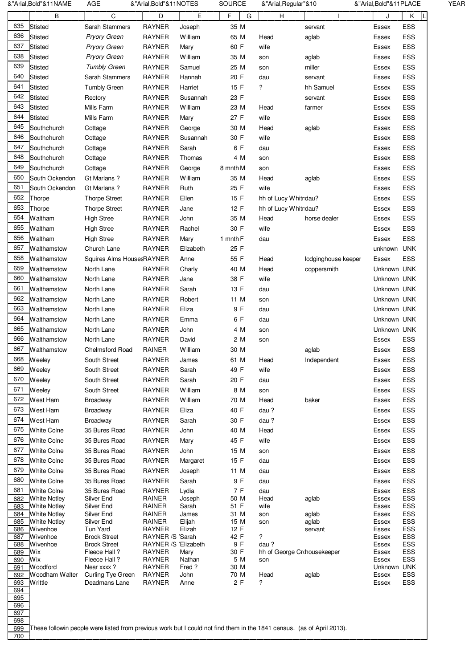|            | &"Arial,Bold"&11NAME                       | AGE                                 | &"Arial,Bold"&11NOTES                 |                | <b>SOURCE</b> |     | &"Arial, Regular"&10                   |                     | &"Arial, Bold"& 11 PLACE |            | YEAR |
|------------|--------------------------------------------|-------------------------------------|---------------------------------------|----------------|---------------|-----|----------------------------------------|---------------------|--------------------------|------------|------|
|            | B                                          | C                                   | D                                     | E              | F             | G   | н                                      |                     |                          | Κ          |      |
| 635        | <b>Stisted</b>                             | Sarah Stammers                      | <b>RAYNER</b>                         | Joseph         | 35 M          |     |                                        | servant             | Essex                    | ESS        |      |
| 636        | <b>Stisted</b>                             | Pryory Green                        | <b>RAYNER</b>                         | William        | 65 M          |     | Head                                   | aglab               | Essex                    | ESS        |      |
| 637        | <b>Stisted</b>                             | <b>Pryory Green</b>                 | <b>RAYNER</b>                         | Mary           | 60 F          |     | wife                                   |                     | Essex                    | ESS        |      |
| 638        | <b>Stisted</b>                             | <b>Pryory Green</b>                 | <b>RAYNER</b>                         | William        | 35 M          |     | son                                    | aglab               | Essex                    | ESS        |      |
| 639        | <b>Stisted</b>                             | <b>Tumbly Green</b>                 | <b>RAYNER</b>                         | Samuel         | 25 M          |     | son                                    | miller              | Essex                    | ESS        |      |
| 640        | <b>Stisted</b>                             | Sarah Stammers                      | <b>RAYNER</b>                         | Hannah         | 20 F          |     | dau                                    | servant             | Essex                    | ESS        |      |
| 641        | <b>Stisted</b>                             | <b>Tumbly Green</b>                 | <b>RAYNER</b>                         | Harriet        | 15 F          |     | ?                                      | hh Samuel           | Essex                    | ESS        |      |
| 642        | <b>Stisted</b>                             | Rectory                             | <b>RAYNER</b>                         | Susannah       | 23 F          |     |                                        | servant             | Essex                    | ESS        |      |
| 643        | <b>Stisted</b>                             | Mills Farm                          | <b>RAYNER</b>                         | William        | 23 M          |     |                                        |                     |                          | ESS        |      |
| 644        | <b>Stisted</b>                             |                                     |                                       |                | 27 F          |     | Head<br>wife                           | farmer              | Essex                    |            |      |
| 645        |                                            | Mills Farm                          | <b>RAYNER</b>                         | Mary           |               |     |                                        |                     | Essex                    | ESS        |      |
|            | Southchurch                                | Cottage                             | <b>RAYNER</b>                         | George         | 30 M          |     | Head                                   | aglab               | Essex                    | ESS        |      |
| 646        | Southchurch                                | Cottage                             | <b>RAYNER</b>                         | Susannah       | 30 F          |     | wife                                   |                     | Essex                    | ESS        |      |
| 647        | Southchurch                                | Cottage                             | <b>RAYNER</b>                         | Sarah          |               | 6 F | dau                                    |                     | Essex                    | ESS        |      |
| 648        | Southchurch                                | Cottage                             | <b>RAYNER</b>                         | Thomas         |               | 4 M | son                                    |                     | Essex                    | ESS        |      |
| 649        | Southchurch                                | Cottage                             | <b>RAYNER</b>                         | George         | 8 mnth M      |     | son                                    |                     | Essex                    | ESS        |      |
| 650        | South Ockendon                             | Gt Marlans ?                        | <b>RAYNER</b>                         | William        | 35 M          |     | Head                                   | aglab               | Essex                    | ESS        |      |
| 651        | South Ockendon                             | Gt Marlans ?                        | <b>RAYNER</b>                         | Ruth           | 25 F          |     | wife                                   |                     | Essex                    | ESS        |      |
| 652        | Thorpe                                     | <b>Thorpe Street</b>                | <b>RAYNER</b>                         | Ellen          | 15 F          |     | hh of Lucy Whitndau?                   |                     | Essex                    | ESS        |      |
| 653        | Thorpe                                     | <b>Thorpe Street</b>                | <b>RAYNER</b>                         | Jane           | 12 F          |     | hh of Lucy Whitndau?                   |                     | Essex                    | ESS        |      |
| 654        | Waltham                                    | <b>High Stree</b>                   | <b>RAYNER</b>                         | John           | 35 M          |     | Head                                   | horse dealer        | Essex                    | ESS        |      |
| 655        | Waltham                                    | <b>High Stree</b>                   | <b>RAYNER</b>                         | Rachel         | 30 F          |     | wife                                   |                     | Essex                    | ESS        |      |
| 656        | <b>Waltham</b>                             | <b>High Stree</b>                   | <b>RAYNER</b>                         | Mary           | 1 mnth F      |     | dau                                    |                     | Essex                    | ESS        |      |
| 657        | Walthamstow                                | Church Lane                         | <b>RAYNER</b>                         | Elizabeth      | 25 F          |     |                                        |                     | unknown                  | <b>UNK</b> |      |
| 658        | Walthamstow                                | Squires Alms HousesRAYNER           |                                       | Anne           | 55 F          |     | Head                                   | lodginghouse keeper | Essex                    | ESS        |      |
| 659        |                                            |                                     |                                       |                |               |     |                                        |                     | Unknown UNK              |            |      |
| 660        | Walthamstow                                | North Lane                          | <b>RAYNER</b>                         | Charly         | 40 M          |     | Head                                   | coppersmith         |                          |            |      |
|            | Walthamstow                                | North Lane                          | <b>RAYNER</b>                         | Jane           | 38 F          |     | wife                                   |                     | Unknown UNK              |            |      |
| 661        | Walthamstow                                | North Lane                          | <b>RAYNER</b>                         | Sarah          | 13 F          |     | dau                                    |                     | Unknown UNK              |            |      |
| 662        | Walthamstow                                | North Lane                          | <b>RAYNER</b>                         | Robert         | 11 M          |     | son                                    |                     | Unknown UNK              |            |      |
| 663        | Walthamstow                                | North Lane                          | <b>RAYNER</b>                         | Eliza          |               | 9 F | dau                                    |                     | Unknown UNK              |            |      |
| 664        | Walthamstow                                | North Lane                          | <b>RAYNER</b>                         | Emma           |               | 6 F | dau                                    |                     | Unknown UNK              |            |      |
| 665        | Walthamstow                                | North Lane                          | <b>RAYNER</b>                         | John           |               | 4 M | son                                    |                     | Unknown UNK              |            |      |
| 666        | Walthamstow                                | North Lane                          | <b>RAYNER</b>                         | David          |               | 2 M | son                                    |                     | Essex                    | ESS        |      |
| 667        | Walthamstow                                | <b>Chelmsford Road</b>              | <b>RAINER</b>                         | William        | 30 M          |     |                                        | aglab               | Essex                    | ESS        |      |
| 668        | <b>Weeley</b>                              | South Street                        | RAYNER                                | James          | 61 M          |     | Head                                   | Independent         | Essex                    | ESS        |      |
| 669        | Weeley                                     | South Street                        | RAYNER                                | Sarah          | 49 F          |     | wife                                   |                     | Essex                    | ESS        |      |
| 670        | Weeley                                     | South Street                        | RAYNER                                | Sarah          | 20 F          |     | dau                                    |                     | Essex                    | ESS        |      |
| 671        | Weeley                                     | South Street                        | <b>RAYNER</b>                         | William        |               | 8 M | son                                    |                     | Essex                    | ESS        |      |
| 672        | West Ham                                   | Broadway                            | <b>RAYNER</b>                         | William        | 70 M          |     | Head                                   | baker               | Essex                    | ESS        |      |
| 673        | West Ham                                   | Broadway                            | <b>RAYNER</b>                         | Eliza          | 40 F          |     | dau?                                   |                     | Essex                    | ESS        |      |
| 674        | West Ham                                   | Broadway                            | <b>RAYNER</b>                         | Sarah          | 30 F          |     | dau?                                   |                     | Essex                    | ESS        |      |
| 675        | <b>White Colne</b>                         | 35 Bures Road                       | <b>RAYNER</b>                         | John           | 40 M          |     | Head                                   |                     | Essex                    | ESS        |      |
| 676        |                                            |                                     |                                       |                |               |     |                                        |                     |                          |            |      |
| 677        | <b>White Colne</b>                         | 35 Bures Road                       | <b>RAYNER</b>                         | Mary           | 45 F          |     | wife                                   |                     | <b>Essex</b>             | ESS        |      |
|            | <b>White Colne</b>                         | 35 Bures Road                       | <b>RAYNER</b>                         | John           | 15 M          |     | son                                    |                     | Essex                    | ESS        |      |
| 678        | <b>White Colne</b>                         | 35 Bures Road                       | <b>RAYNER</b>                         | Margaret       | 15 F          |     | dau                                    |                     | Essex                    | ESS        |      |
| 679        | <b>White Colne</b>                         | 35 Bures Road                       | <b>RAYNER</b>                         | Joseph         | 11 M          |     | dau                                    |                     | Essex                    | ESS        |      |
| 680        | <b>White Colne</b>                         | 35 Bures Road                       | <b>RAYNER</b>                         | Sarah          |               | 9 F | dau                                    |                     | Essex                    | ESS        |      |
| 681        | <b>White Colne</b>                         | 35 Bures Road                       | <b>RAYNER</b>                         | Lydia          |               | 7 F | dau                                    |                     | Essex                    | ESS        |      |
| 682        | <b>White Notley</b><br><b>White Notley</b> | Silver End<br>Silver End            | RAINER<br>RAINER                      | Joseph         | 50 M<br>51 F  |     | Head<br>wife                           | aglab               | Essex                    | ESS        |      |
| 683<br>684 | <b>White Notley</b>                        | Silver End                          | RAINER                                | Sarah<br>James | 31 M          |     | son                                    | aglab               | Essex<br>Essex           | ESS<br>ESS |      |
| 685        | <b>White Notley</b>                        | Silver End                          | RAINER                                | Elijah         | 15 M          |     | son                                    | aglab               | Essex                    | ESS        |      |
| 686        | Wivenhoe                                   | Tun Yard                            | <b>RAYNER</b>                         | Elizah         | 12 F          |     |                                        | servant             | Essex                    | ESS        |      |
| 687        | Wivenhoe                                   | <b>Brook Street</b>                 | RAYNER /S 'Sarah                      |                | 42 F          |     | ?                                      |                     | Essex                    | ESS        |      |
| 688<br>689 | Wivenhoe<br>Wix                            | <b>Brook Street</b><br>Fleece Hall? | RAYNER /S 'Elizabeth<br><b>RAYNER</b> | Mary           | 30 F          | 9 F | dau?<br>hh of George Cr<br>housekeeper |                     | Essex<br>Essex           | ESS<br>ESS |      |
| 690        | Wix                                        | Fleece Hall?                        | <b>RAYNER</b>                         | Nathan         |               | 5 M | son                                    |                     | Essex                    | ESS        |      |
| 691        | <b>Woodford</b>                            | Near xxxx?                          | <b>RAYNER</b>                         | Fred?          | 30 M          |     |                                        |                     | Unknown UNK              |            |      |
| 692        | Woodham Walter                             | Curling Tye Green                   | <b>RAYNER</b>                         | John           | 70 M          |     | Head                                   | aglab               | Essex                    | ESS        |      |
| 693<br>694 | Writtle                                    | Deadmans Lane                       | <b>RAYNER</b>                         | Anne           |               | 2F  | ?                                      |                     | Essex                    | ESS        |      |
|            |                                            |                                     |                                       |                |               |     |                                        |                     |                          |            |      |
|            |                                            |                                     |                                       |                |               |     |                                        |                     |                          |            |      |
| 695<br>696 |                                            |                                     |                                       |                |               |     |                                        |                     |                          |            |      |
| 697<br>698 |                                            |                                     |                                       |                |               |     |                                        |                     |                          |            |      |

700